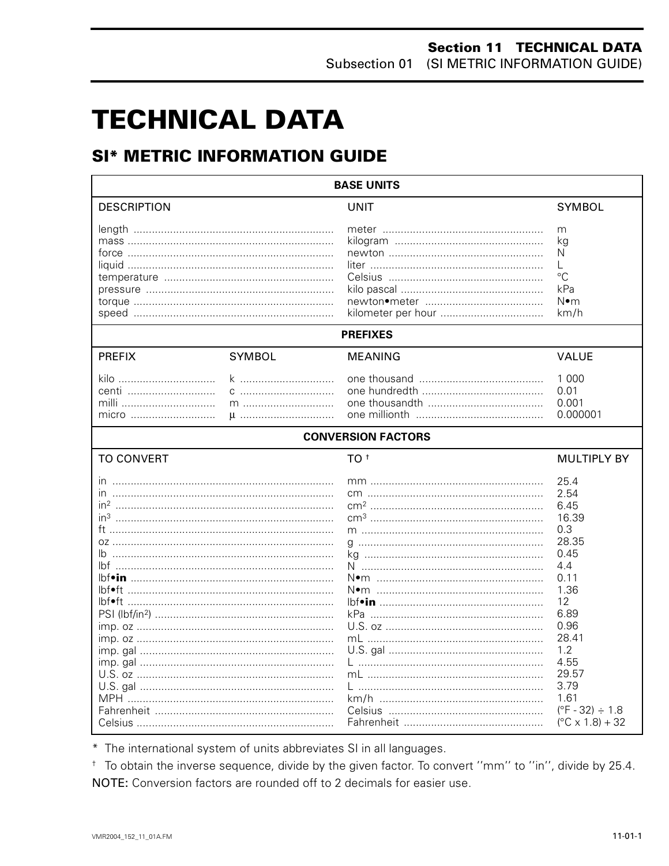# **TECHNICAL DATA**

# **SI\* METRIC INFORMATION GUIDE**

| <b>BASE UNITS</b>               |               |                           |                                                                                                                                                                                                                     |  |  |
|---------------------------------|---------------|---------------------------|---------------------------------------------------------------------------------------------------------------------------------------------------------------------------------------------------------------------|--|--|
| <b>DESCRIPTION</b>              |               | <b>UNIT</b>               | <b>SYMBOL</b>                                                                                                                                                                                                       |  |  |
|                                 |               |                           | m<br>ka<br>N<br>L<br>$^{\circ}C$<br>kPa<br>N∙m<br>km/h                                                                                                                                                              |  |  |
|                                 |               | <b>PREFIXES</b>           |                                                                                                                                                                                                                     |  |  |
| <b>PREFIX</b>                   | <b>SYMBOL</b> | <b>MEANING</b>            | <b>VALUE</b>                                                                                                                                                                                                        |  |  |
| kilo<br>centi<br>milli<br>micro | k<br>$\mu$    |                           | 1 0 0 0<br>0.01<br>0.001<br>0.000001                                                                                                                                                                                |  |  |
|                                 |               | <b>CONVERSION FACTORS</b> |                                                                                                                                                                                                                     |  |  |
| <b>TO CONVERT</b>               |               | TO <sup>+</sup>           | <b>MULTIPLY BY</b>                                                                                                                                                                                                  |  |  |
| ın<br>in <sup>3</sup><br>Ib     |               | N•m ………………………………………………    | 25.4<br>2.54<br>6.45<br>16.39<br>0.3<br>28.35<br>0.45<br>4.4<br>0.11<br>1.36<br>12<br>6.89<br>0.96<br>28.41<br>1.2<br>4.55<br>29.57<br>3.79<br>1.61<br>$(^{\circ}F - 32) \div 1.8$<br>$(^{\circ}C \times 1.8) + 32$ |  |  |

\* The international system of units abbreviates SI in all languages.

<sup>+</sup> To obtain the inverse sequence, divide by the given factor. To convert "mm" to "in", divide by 25.4. NOTE: Conversion factors are rounded off to 2 decimals for easier use.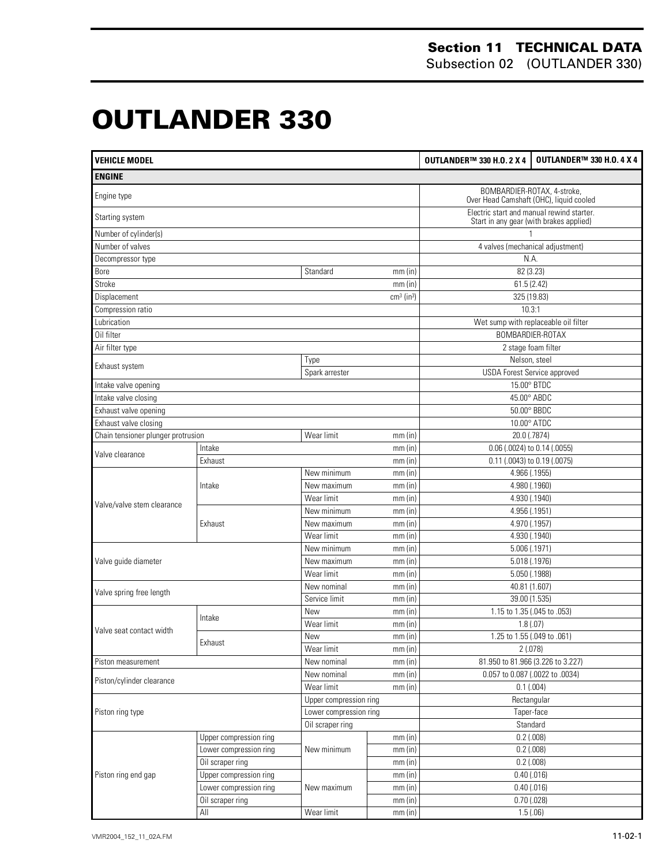# **OUTLANDER 330 0**

| <b>VEHICLE MODEL</b>               |                        |                          |                            | <b>OUTLANDER™ 330 H.O. 2 X 4</b>                                       | <b>OUTLANDER™ 330 H.O. 4 X 4</b>                                                     |  |
|------------------------------------|------------------------|--------------------------|----------------------------|------------------------------------------------------------------------|--------------------------------------------------------------------------------------|--|
| <b>ENGINE</b>                      |                        |                          |                            |                                                                        |                                                                                      |  |
| Engine type                        |                        |                          |                            | BOMBARDIER-ROTAX, 4-stroke,<br>Over Head Camshaft (OHC), liquid cooled |                                                                                      |  |
| Starting system                    |                        |                          |                            |                                                                        | Electric start and manual rewind starter.<br>Start in any gear (with brakes applied) |  |
| Number of cylinder(s)              |                        |                          |                            |                                                                        |                                                                                      |  |
| Number of valves                   |                        |                          |                            | 4 valves (mechanical adjustment)                                       |                                                                                      |  |
| Decompressor type                  |                        |                          |                            | N.A.                                                                   |                                                                                      |  |
| Bore                               |                        | Standard                 | $mm$ (in)                  | 82 (3.23)                                                              |                                                                                      |  |
| Stroke                             |                        |                          | $mm$ (in)                  | 61.5(2.42)                                                             |                                                                                      |  |
| Displacement                       |                        |                          | $cm3$ (in <sup>3</sup> )   | 325 (19.83)                                                            |                                                                                      |  |
| Compression ratio                  |                        |                          |                            | 10.3:1                                                                 |                                                                                      |  |
| Lubrication                        |                        |                          |                            | Wet sump with replaceable oil filter                                   |                                                                                      |  |
| Oil filter                         |                        |                          |                            |                                                                        | BOMBARDIER-ROTAX                                                                     |  |
| Air filter type                    |                        |                          |                            |                                                                        | 2 stage foam filter                                                                  |  |
|                                    |                        | Type                     |                            | Nelson, steel                                                          |                                                                                      |  |
| Exhaust system                     |                        | Spark arrester           |                            | <b>USDA Forest Service approved</b>                                    |                                                                                      |  |
| Intake valve opening               |                        |                          |                            | 15.00° BTDC                                                            |                                                                                      |  |
| Intake valve closing               |                        |                          |                            | 45.00° ABDC                                                            |                                                                                      |  |
| Exhaust valve opening              |                        |                          |                            | 50.00° BBDC                                                            |                                                                                      |  |
| Exhaust valve closing              |                        |                          |                            | 10.00° ATDC                                                            |                                                                                      |  |
| Chain tensioner plunger protrusion |                        | Wear limit               | mm(in)                     | 20.0 (.7874)                                                           |                                                                                      |  |
|                                    | Intake                 |                          | $mm$ (in)                  | 0.06 (.0024) to 0.14 (.0055)                                           |                                                                                      |  |
| Valve clearance                    | Exhaust                |                          | mm(in)                     | 0.11 (.0043) to 0.19 (.0075)                                           |                                                                                      |  |
|                                    |                        | New minimum              | $mm$ (in)                  | 4.966 (.1955)                                                          |                                                                                      |  |
|                                    | Intake                 | New maximum              | mm(in)                     | 4.980 (.1960)                                                          |                                                                                      |  |
|                                    |                        | Wear limit               | mm(in)                     | 4.930 (.1940)                                                          |                                                                                      |  |
| Valve/valve stem clearance         | Exhaust                | New minimum              | mm(in)                     | 4.956 (.1951)                                                          |                                                                                      |  |
|                                    |                        | New maximum              | 4.970 (.1957)<br>$mm$ (in) |                                                                        |                                                                                      |  |
|                                    |                        | Wear limit               | mm(in)                     | 4.930 (.1940)                                                          |                                                                                      |  |
|                                    |                        | New minimum<br>$mm$ (in) |                            | 5.006 (.1971)                                                          |                                                                                      |  |
| Valve guide diameter               |                        | New maximum              | mm(in)                     | 5.018 (.1976)                                                          |                                                                                      |  |
|                                    |                        | Wear limit               | mm(in)                     | 5.050 (.1988)                                                          |                                                                                      |  |
|                                    |                        | New nominal              | mm(in)                     | 40.81 (1.607)                                                          |                                                                                      |  |
| Valve spring free length           |                        | Service limit            | $mm$ (in)                  | 39.00 (1.535)                                                          |                                                                                      |  |
|                                    |                        | New                      | $mm$ (in)                  | 1.15 to 1.35 (.045 to .053)                                            |                                                                                      |  |
|                                    | Intake                 | Wear limit               | $mm$ (in)                  | 1.8(0.07)                                                              |                                                                                      |  |
| Valve seat contact width           |                        | New                      | $mm$ (in)                  | 1.25 to 1.55 (.049 to .061)                                            |                                                                                      |  |
|                                    | Exhaust                | Wear limit               | mm(in)                     | 2(.078)                                                                |                                                                                      |  |
| Piston measurement                 |                        | New nominal              | $mm$ (in)                  | 81.950 to 81.966 (3.226 to 3.227)                                      |                                                                                      |  |
|                                    |                        | New nominal              | $mm$ (in)                  | 0.057 to 0.087 (.0022 to .0034)                                        |                                                                                      |  |
| Piston/cylinder clearance          |                        | Wear limit               | mm(in)                     | 0.1(.004)                                                              |                                                                                      |  |
|                                    |                        | Upper compression ring   |                            | Rectangular                                                            |                                                                                      |  |
| Piston ring type                   |                        | Lower compression ring   |                            | Taper-face                                                             |                                                                                      |  |
|                                    |                        | Oil scraper ring         |                            | Standard                                                               |                                                                                      |  |
|                                    | Upper compression ring |                          | mm(in)                     | $0.2$ (.008)                                                           |                                                                                      |  |
|                                    | Lower compression ring | New minimum              | mm(in)                     | $0.2$ (.008)                                                           |                                                                                      |  |
|                                    | Oil scraper ring       |                          | mm(in)                     | $0.2$ (.008)                                                           |                                                                                      |  |
| Piston ring end gap                | Upper compression ring |                          | $mm$ (in)                  | $0.40$ (.016)                                                          |                                                                                      |  |
|                                    | Lower compression ring | New maximum              | mm(in)                     | $0.40$ (.016)                                                          |                                                                                      |  |
|                                    | Oil scraper ring       |                          | $mm$ (in)                  | $0.70$ (.028)                                                          |                                                                                      |  |
|                                    | $\mathsf{All}$         | Wear limit               | $mm$ (in)                  | 1.5(0.06)                                                              |                                                                                      |  |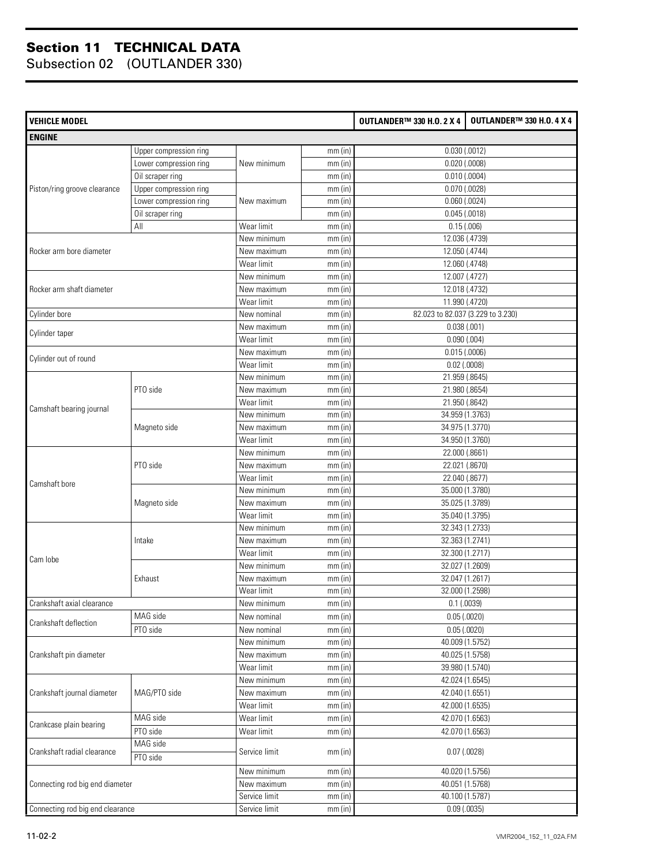| <b>VEHICLE MODEL</b>             |                        |               |           | <b>OUTLANDER™ 330 H.O. 2 X 4</b> | <b>OUTLANDER™ 330 H.O. 4 X 4</b>  |
|----------------------------------|------------------------|---------------|-----------|----------------------------------|-----------------------------------|
| <b>ENGINE</b>                    |                        |               |           |                                  |                                   |
|                                  | Upper compression ring |               | mm(in)    |                                  | $0.030$ $(.0012)$                 |
|                                  | Lower compression ring | New minimum   | mm(in)    |                                  | $0.020$ (.0008)                   |
|                                  | Oil scraper ring       |               | mm(in)    |                                  | $0.010$ (.0004)                   |
| Piston/ring groove clearance     | Upper compression ring |               | mm(in)    |                                  | $0.070$ (.0028)                   |
|                                  | Lower compression ring | New maximum   | $mm$ (in) |                                  | $0.060$ $(.0024)$                 |
|                                  | Oil scraper ring       |               | mm(in)    |                                  | $0.045$ (.0018)                   |
|                                  | All                    | Wear limit    | mm(in)    |                                  | 0.15(.006)                        |
|                                  |                        | New minimum   | mm(in)    |                                  | 12.036 (.4739)                    |
| Rocker arm bore diameter         |                        | New maximum   | mm(in)    |                                  | 12.050 (.4744)                    |
|                                  |                        | Wear limit    | mm(in)    |                                  | 12.060 (.4748)                    |
|                                  |                        | New minimum   | mm(in)    |                                  | 12.007 (.4727)                    |
| Rocker arm shaft diameter        |                        | New maximum   | mm(in)    |                                  | 12.018 (.4732)                    |
|                                  |                        | Wear limit    | mm(in)    |                                  | 11.990 (.4720)                    |
| Cylinder bore                    |                        | New nominal   | mm(in)    |                                  | 82.023 to 82.037 (3.229 to 3.230) |
|                                  |                        | New maximum   | mm(in)    | 0.038(.001)                      |                                   |
| Cylinder taper                   |                        | Wear limit    | mm(in)    |                                  | 0.090(.004)                       |
|                                  |                        | New maximum   | $mm$ (in) |                                  | 0.015(.0006)                      |
| Cylinder out of round            |                        | Wear limit    | mm(in)    | $0.02$ (.0008)                   |                                   |
|                                  |                        | New minimum   | mm(in)    |                                  | 21.959 (.8645)                    |
|                                  | PTO side               | New maximum   | mm(in)    |                                  | 21.980 (.8654)                    |
|                                  |                        | Wear limit    | mm(in)    |                                  | 21.950 (.8642)                    |
| Camshaft bearing journal         | Magneto side           | New minimum   | mm(in)    |                                  | 34.959 (1.3763)                   |
|                                  |                        | New maximum   | $mm$ (in) |                                  | 34.975 (1.3770)                   |
|                                  |                        | Wear limit    | mm(in)    |                                  | 34.950 (1.3760)                   |
|                                  | PTO side               | New minimum   | mm(in)    |                                  | 22.000 (.8661)                    |
|                                  |                        | New maximum   | mm(in)    |                                  | 22.021 (.8670)                    |
|                                  |                        | Wear limit    | mm(in)    |                                  | 22.040 (.8677)                    |
| Camshaft bore                    |                        | New minimum   | mm(in)    |                                  | 35.000 (1.3780)                   |
|                                  | Magneto side           | New maximum   | $mm$ (in) |                                  | 35.025 (1.3789)                   |
|                                  |                        | Wear limit    | mm(in)    |                                  | 35.040 (1.3795)                   |
|                                  |                        | New minimum   | mm(in)    |                                  | 32.343 (1.2733)                   |
|                                  | Intake                 | New maximum   | mm(in)    |                                  | 32.363 (1.2741)                   |
|                                  |                        | Wear limit    | mm(in)    |                                  | 32.300 (1.2717)                   |
| Cam lobe                         |                        | New minimum   | mm(in)    |                                  | 32.027 (1.2609)                   |
|                                  | Exhaust                | New maximum   | $mm$ (in) |                                  | 32.047 (1.2617)                   |
|                                  |                        | Wear limit    | $mm$ (in) |                                  | 32.000 (1.2598)                   |
| Crankshaft axial clearance       |                        | New minimum   | $mm$ (in) |                                  | $0.1$ (.0039)                     |
|                                  | MAG side               | New nominal   | mm(in)    |                                  | 0.05(0.0020)                      |
| Crankshaft deflection            | PTO side               | New nominal   | $mm$ (in) |                                  | 0.05(0.0020)                      |
|                                  |                        | New minimum   | $mm$ (in) |                                  | 40.009 (1.5752)                   |
| Crankshaft pin diameter          |                        | New maximum   | $mm$ (in) |                                  | 40.025 (1.5758)                   |
|                                  |                        | Wear limit    | $mm$ (in) |                                  | 39.980 (1.5740)                   |
|                                  |                        | New minimum   | $mm$ (in) |                                  | 42.024 (1.6545)                   |
| Crankshaft journal diameter      | MAG/PTO side           | New maximum   | $mm$ (in) |                                  | 42.040 (1.6551)                   |
|                                  |                        | Wear limit    | mm(in)    |                                  | 42.000 (1.6535)                   |
|                                  | MAG side               | Wear limit    | $mm$ (in) |                                  | 42.070 (1.6563)                   |
| Crankcase plain bearing          | PTO side               | Wear limit    | $mm$ (in) |                                  | 42.070 (1.6563)                   |
|                                  | MAG side               |               |           |                                  |                                   |
| Crankshaft radial clearance      | PTO side               | Service limit | $mm$ (in) |                                  | $0.07$ $(.0028)$                  |
|                                  |                        | New minimum   | $mm$ (in) |                                  | 40.020 (1.5756)                   |
| Connecting rod big end diameter  |                        | New maximum   | $mm$ (in) |                                  | 40.051 (1.5768)                   |
|                                  |                        | Service limit | $mm$ (in) |                                  | 40.100 (1.5787)                   |
| Connecting rod big end clearance |                        | Service limit | $mm$ (in) |                                  | 0.09(0.0035)                      |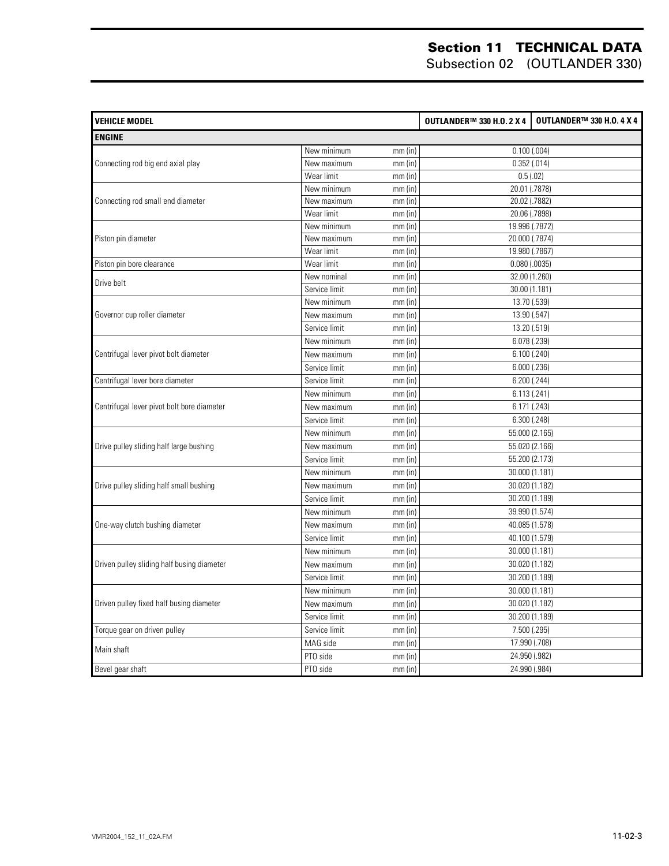| <b>VEHICLE MODEL</b>                       |               |           | <b>OUTLANDER™ 330 H.O. 2 X 4</b> | <b>OUTLANDER™ 330 H.O. 4 X 4</b> |
|--------------------------------------------|---------------|-----------|----------------------------------|----------------------------------|
| <b>ENGINE</b>                              |               |           |                                  |                                  |
|                                            | New minimum   | mm(in)    | $0.100$ (.004)                   |                                  |
| Connecting rod big end axial play          | New maximum   | mm(in)    |                                  | 0.352(0.014)                     |
|                                            | Wear limit    | $mm$ (in) |                                  | 0.5(0.02)                        |
|                                            | New minimum   | mm(in)    | 20.01 (.7878)                    |                                  |
| Connecting rod small end diameter          | New maximum   | mm(in)    |                                  | 20.02 (.7882)                    |
|                                            | Wear limit    | $mm$ (in) |                                  | 20.06 (.7898)                    |
|                                            | New minimum   | mm(in)    |                                  | 19.996 (.7872)                   |
| Piston pin diameter                        | New maximum   | $mm$ (in) |                                  | 20.000 (.7874)                   |
|                                            | Wear limit    | $mm$ (in) | 19.980 (.7867)                   |                                  |
| Piston pin bore clearance                  | Wear limit    | mm (in)   | $0.080$ $(.0035)$                |                                  |
| Drive belt                                 | New nominal   | $mm$ (in) | 32.00 (1.260)                    |                                  |
|                                            | Service limit | mm(in)    | 30.00 (1.181)                    |                                  |
|                                            | New minimum   | $mm$ (in) |                                  | 13.70 (.539)                     |
| Governor cup roller diameter               | New maximum   | $mm$ (in) | 13.90 (.547)                     |                                  |
|                                            | Service limit | $mm$ (in) |                                  | 13.20 (.519)                     |
| Centrifugal lever pivot bolt diameter      | New minimum   | $mm$ (in) | 6.078 (.239)                     |                                  |
|                                            | New maximum   | mm(in)    |                                  | 6.100(.240)                      |
|                                            | Service limit | mm(in)    | $6.000$ $(.236)$                 |                                  |
| Centrifugal lever bore diameter            | Service limit | $mm$ (in) | $6.200$ $(.244)$                 |                                  |
|                                            | New minimum   | mm(in)    | 6.113(.241)                      |                                  |
| Centrifugal lever pivot bolt bore diameter | New maximum   | mm(in)    |                                  | 6.171 (.243)                     |
|                                            | Service limit | mm(in)    |                                  | $6.300$ $(.248)$                 |
|                                            | New minimum   | mm(in)    | 55.000 (2.165)                   |                                  |
| Drive pulley sliding half large bushing    | New maximum   | mm(in)    |                                  | 55.020 (2.166)                   |
|                                            | Service limit | mm(in)    | 55.200 (2.173)                   |                                  |
|                                            | New minimum   | mm(in)    |                                  | 30.000 (1.181)                   |
| Drive pulley sliding half small bushing    | New maximum   | $mm$ (in) |                                  | 30.020 (1.182)                   |
|                                            | Service limit | mm(in)    |                                  | 30.200 (1.189)                   |
|                                            | New minimum   | $mm$ (in) |                                  | 39.990 (1.574)                   |
| One-way clutch bushing diameter            | New maximum   | mm(in)    |                                  | 40.085 (1.578)                   |
|                                            | Service limit | mm(in)    |                                  | 40.100 (1.579)                   |
|                                            | New minimum   | $mm$ (in) |                                  | 30.000 (1.181)                   |
| Driven pulley sliding half busing diameter | New maximum   | mm(in)    |                                  | 30.020 (1.182)                   |
|                                            | Service limit | $mm$ (in) |                                  | 30.200 (1.189)                   |
|                                            | New minimum   | mm(in)    |                                  | 30.000 (1.181)                   |
| Driven pulley fixed half busing diameter   | New maximum   | $mm$ (in) |                                  | 30.020 (1.182)                   |
|                                            | Service limit | mm(in)    |                                  | 30.200 (1.189)                   |
| Torque gear on driven pulley               | Service limit | mm(in)    |                                  | 7.500 (.295)                     |
|                                            | MAG side      | $mm$ (in) | 17.990 (.708)                    |                                  |
| Main shaft                                 | PTO side      | $mm$ (in) |                                  | 24.950 (.982)                    |
| Bevel gear shaft                           | PTO side      | $mm$ (in) | 24.990 (.984)                    |                                  |
|                                            |               |           |                                  |                                  |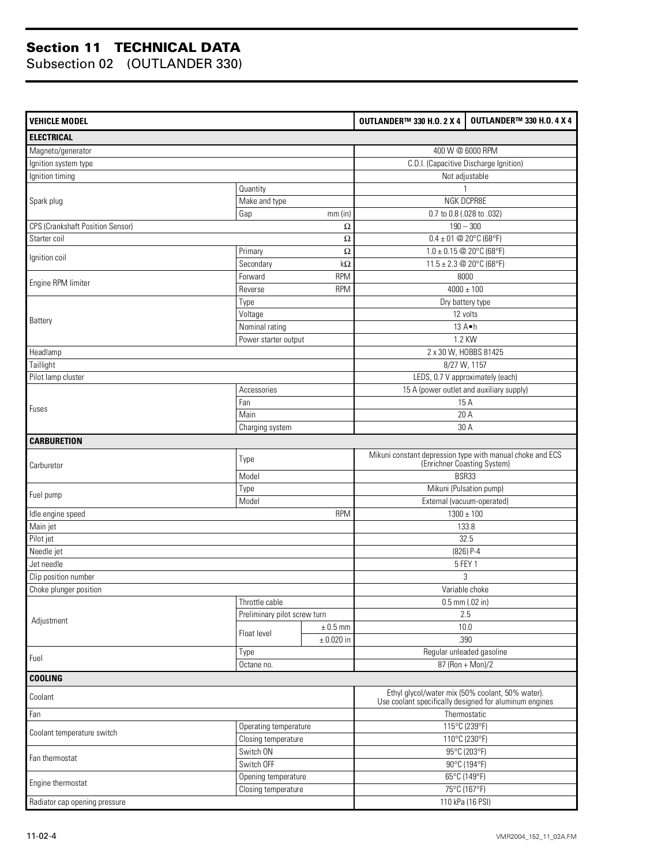| <b>VEHICLE MODEL</b>                    |                              |                | <b>OUTLANDER™ 330 H.O. 2 X 4</b>                                                         | <b>OUTLANDER™ 330 H.O. 4 X 4</b>                                                                           |  |
|-----------------------------------------|------------------------------|----------------|------------------------------------------------------------------------------------------|------------------------------------------------------------------------------------------------------------|--|
| <b>ELECTRICAL</b>                       |                              |                |                                                                                          |                                                                                                            |  |
| Magneto/generator                       |                              |                | 400 W @ 6000 RPM                                                                         |                                                                                                            |  |
| Ignition system type                    |                              |                | C.D.I. (Capacitive Discharge Ignition)                                                   |                                                                                                            |  |
| Ignition timing                         |                              |                |                                                                                          | Not adjustable                                                                                             |  |
|                                         | Quantity                     |                |                                                                                          |                                                                                                            |  |
| Spark plug                              | Make and type                |                |                                                                                          | NGK DCPR8E                                                                                                 |  |
|                                         | Gap<br>$mm$ (in)             |                | 0.7 to 0.8 (.028 to .032)                                                                |                                                                                                            |  |
| <b>CPS (Crankshaft Position Sensor)</b> |                              | $\Omega$       |                                                                                          | $190 - 300$                                                                                                |  |
| Starter coil                            |                              | Ω              | $0.4 \pm 01$ @ 20°C (68°F)                                                               |                                                                                                            |  |
| Ignition coil                           | Primary                      | Ω              | $1.0 \pm 0.15$ @ 20°C (68°F)                                                             |                                                                                                            |  |
|                                         | Secondary                    | $k\Omega$      | 11.5 ± 2.3 @ 20°C (68°F)                                                                 |                                                                                                            |  |
| Engine RPM limiter                      | Forward                      | <b>RPM</b>     | 8000                                                                                     |                                                                                                            |  |
|                                         | Reverse                      | <b>RPM</b>     |                                                                                          | $4000 \pm 100$                                                                                             |  |
|                                         | Type                         |                | Dry battery type                                                                         |                                                                                                            |  |
| Battery                                 | Voltage                      |                | 12 volts                                                                                 |                                                                                                            |  |
|                                         | Nominal rating               |                |                                                                                          | 13 A.h                                                                                                     |  |
|                                         | Power starter output         |                | 1.2 KW                                                                                   |                                                                                                            |  |
| Headlamp                                |                              |                | 2 x 30 W, HOBBS 81425                                                                    |                                                                                                            |  |
| Taillight                               |                              |                | 8/27 W, 1157                                                                             |                                                                                                            |  |
| Pilot lamp cluster                      |                              |                | LEDS, 0.7 V approximately (each)                                                         |                                                                                                            |  |
|                                         | Accessories                  |                | 15 A (power outlet and auxiliary supply)                                                 |                                                                                                            |  |
|                                         | Fan                          |                | 15 A                                                                                     |                                                                                                            |  |
| Fuses                                   | Main                         |                | 20 A                                                                                     |                                                                                                            |  |
|                                         | Charging system              |                | 30 A                                                                                     |                                                                                                            |  |
| <b>CARBURETION</b>                      |                              |                |                                                                                          |                                                                                                            |  |
| Carburetor                              | Type                         |                | Mikuni constant depression type with manual choke and ECS<br>(Enrichner Coasting System) |                                                                                                            |  |
|                                         | Model                        |                |                                                                                          | BSR33                                                                                                      |  |
|                                         | Type                         |                |                                                                                          | Mikuni (Pulsation pump)                                                                                    |  |
| Fuel pump                               | Model                        |                | External (vacuum-operated)                                                               |                                                                                                            |  |
| Idle engine speed                       |                              | <b>RPM</b>     |                                                                                          | $1300 \pm 100$                                                                                             |  |
| Main jet                                |                              |                |                                                                                          | 133.8                                                                                                      |  |
| Pilot jet                               |                              |                |                                                                                          | 32.5                                                                                                       |  |
| Needle jet                              |                              |                |                                                                                          | $(826)$ P-4                                                                                                |  |
| Jet needle                              |                              |                |                                                                                          | 5 FEY 1                                                                                                    |  |
| Clip position number                    |                              |                | 3                                                                                        |                                                                                                            |  |
| Choke plunger position                  |                              |                | Variable choke                                                                           |                                                                                                            |  |
|                                         | Throttle cable               |                | $0.5$ mm (.02 in)                                                                        |                                                                                                            |  |
| Adjustment                              | Preliminary pilot screw turn |                |                                                                                          | 2.5                                                                                                        |  |
|                                         |                              | $\pm$ 0.5 mm   |                                                                                          | 10.0                                                                                                       |  |
|                                         | Float level                  | $\pm$ 0.020 in |                                                                                          | .390                                                                                                       |  |
|                                         | Type                         |                |                                                                                          | Regular unleaded gasoline                                                                                  |  |
| Fuel                                    | Octane no.                   |                |                                                                                          | $87 (Ron + Mon)/2$                                                                                         |  |
| <b>COOLING</b>                          |                              |                |                                                                                          |                                                                                                            |  |
| Coolant                                 |                              |                |                                                                                          | Ethyl glycol/water mix (50% coolant, 50% water).<br>Use coolant specifically designed for aluminum engines |  |
| Fan                                     |                              |                |                                                                                          | Thermostatic                                                                                               |  |
|                                         | Operating temperature        |                |                                                                                          | 115°C (239°F)                                                                                              |  |
| Coolant temperature switch              | Closing temperature          |                |                                                                                          | 110°C (230°F)                                                                                              |  |
|                                         | Switch ON                    |                |                                                                                          | 95°C (203°F)                                                                                               |  |
| Fan thermostat                          | Switch OFF                   |                |                                                                                          | 90°C (194°F)                                                                                               |  |
|                                         | Opening temperature          |                |                                                                                          | 65°C (149°F)                                                                                               |  |
| Engine thermostat                       | Closing temperature          |                |                                                                                          | 75°C (167°F)                                                                                               |  |
| Radiator cap opening pressure           |                              |                |                                                                                          | 110 kPa (16 PSI)                                                                                           |  |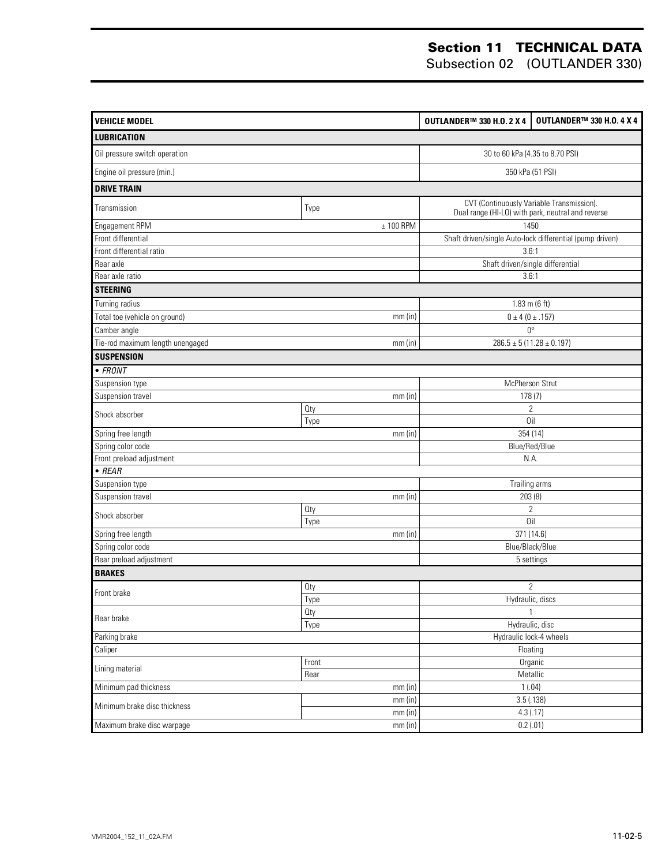| <b>VEHICLE MODEL</b>             | OUTLANDER™ 330 H.O. 2 X 4       | <b>OUTLANDER™ 330 H.O. 4 X 4</b>                                                               |                                |  |
|----------------------------------|---------------------------------|------------------------------------------------------------------------------------------------|--------------------------------|--|
| <b>LUBRICATION</b>               |                                 |                                                                                                |                                |  |
| Oil pressure switch operation    | 30 to 60 kPa (4.35 to 8.70 PSI) |                                                                                                |                                |  |
| Engine oil pressure (min.)       | 350 kPa (51 PSI)                |                                                                                                |                                |  |
| <b>DRIVE TRAIN</b>               |                                 |                                                                                                |                                |  |
| Transmission                     | Type                            | CVT (Continuously Variable Transmission).<br>Dual range (HI-LO) with park, neutral and reverse |                                |  |
| Engagement RPM                   | $± 100$ RPM                     | 1450                                                                                           |                                |  |
| Front differential               |                                 | Shaft driven/single Auto-lock differential (pump driven)                                       |                                |  |
| Front differential ratio         |                                 | 3.6:1                                                                                          |                                |  |
| Rear axle                        |                                 | Shaft driven/single differential                                                               |                                |  |
| Rear axle ratio                  |                                 | 3.6:1                                                                                          |                                |  |
| <b>STEERING</b>                  |                                 |                                                                                                |                                |  |
| Turning radius                   |                                 | $1.83$ m (6 ft)                                                                                |                                |  |
| Total toe (vehicle on ground)    | mm(in)                          | $0 \pm 4 (0 \pm .157)$                                                                         |                                |  |
| Camber angle                     |                                 | $0^{\circ}$                                                                                    |                                |  |
| Tie-rod maximum length unengaged | mm(in)                          |                                                                                                | $286.5 \pm 5(11.28 \pm 0.197)$ |  |
| <b>SUSPENSION</b>                |                                 |                                                                                                |                                |  |
| $\bullet$ FRONT                  |                                 |                                                                                                |                                |  |
| Suspension type                  |                                 | McPherson Strut                                                                                |                                |  |
| Suspension travel                | mm(in)                          | 178(7)                                                                                         |                                |  |
|                                  | Oty                             | $\overline{2}$                                                                                 |                                |  |
| Shock absorber                   | Type                            | Oil                                                                                            |                                |  |
| Spring free length               | mm(in)                          | 354(14)                                                                                        |                                |  |
| Spring color code                |                                 |                                                                                                | Blue/Red/Blue                  |  |
| Front preload adjustment         |                                 | N.A.                                                                                           |                                |  |
| $\bullet$ REAR                   |                                 |                                                                                                |                                |  |
| Suspension type                  |                                 | Trailing arms                                                                                  |                                |  |
| Suspension travel                | $mm$ (in)                       | 203(8)                                                                                         |                                |  |
| Shock absorber                   | <b>Qty</b>                      | $\overline{2}$                                                                                 |                                |  |
|                                  | Type                            | Oil                                                                                            |                                |  |
| Spring free length               | $mm$ (in)                       | 371 (14.6)<br>Blue/Black/Blue                                                                  |                                |  |
| Spring color code                |                                 |                                                                                                |                                |  |
| Rear preload adjustment          |                                 |                                                                                                | 5 settings                     |  |
| <b>BRAKES</b>                    |                                 |                                                                                                |                                |  |
| Front brake                      | <b>Qty</b>                      | $\overline{2}$                                                                                 |                                |  |
|                                  | <b>Type</b>                     | Hydraulic, discs                                                                               |                                |  |
| Rear brake                       | <b>Qty</b>                      | $\mathbf{1}$                                                                                   |                                |  |
| Type                             |                                 | Hydraulic, disc                                                                                |                                |  |
| Parking brake                    | Hydraulic lock-4 wheels         |                                                                                                |                                |  |
| Caliper                          |                                 | Floating                                                                                       |                                |  |
| Front<br>Lining material<br>Rear |                                 |                                                                                                | Organic                        |  |
| Minimum pad thickness            | Metallic<br>1(.04)              |                                                                                                |                                |  |
|                                  | $mm$ (in)                       | 3.5(.138)                                                                                      |                                |  |
| Minimum brake disc thickness     | $mm$ (in)<br>$mm$ (in)          | 4.3(.17)                                                                                       |                                |  |
| Maximum brake disc warpage       | $mm$ (in)                       | 0.2(0.01)                                                                                      |                                |  |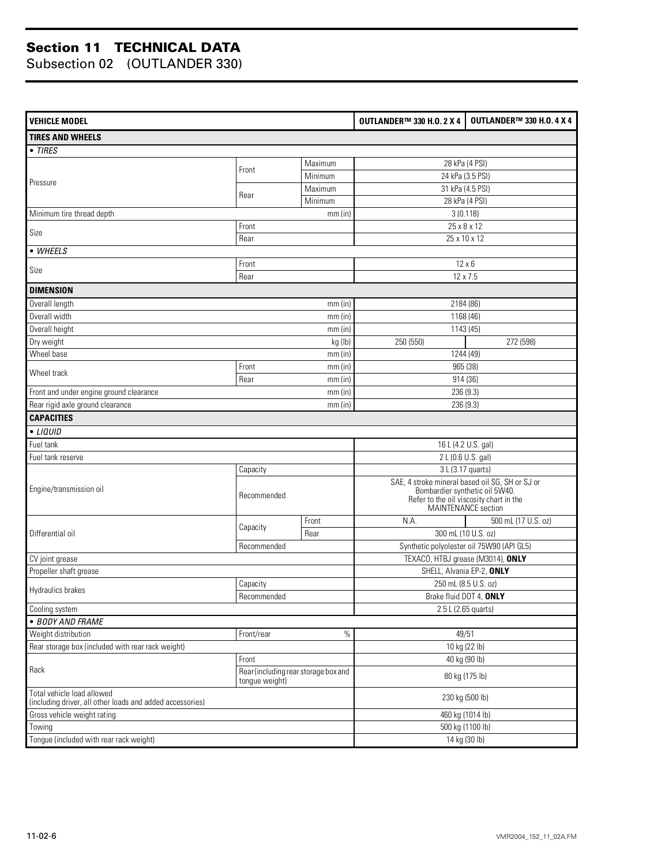| <b>VEHICLE MODEL</b>                                                                    |                                                        |           | OUTLANDER™ 330 H.O. 2 X 4                                                                                                                           | <b>OUTLANDER™ 330 H.O. 4 X 4</b>          |  |
|-----------------------------------------------------------------------------------------|--------------------------------------------------------|-----------|-----------------------------------------------------------------------------------------------------------------------------------------------------|-------------------------------------------|--|
| <b>TIRES AND WHEELS</b>                                                                 |                                                        |           |                                                                                                                                                     |                                           |  |
| • TIRES                                                                                 |                                                        |           |                                                                                                                                                     |                                           |  |
|                                                                                         |                                                        | Maximum   |                                                                                                                                                     | 28 kPa (4 PSI)                            |  |
|                                                                                         | Front                                                  | Minimum   |                                                                                                                                                     | 24 kPa (3.5 PSI)                          |  |
| Pressure                                                                                |                                                        | Maximum   |                                                                                                                                                     | 31 kPa (4.5 PSI)                          |  |
|                                                                                         | Rear                                                   | Minimum   |                                                                                                                                                     | 28 kPa (4 PSI)                            |  |
| Minimum tire thread depth                                                               |                                                        | mm(in)    |                                                                                                                                                     | 3(0.118)                                  |  |
| Size                                                                                    | Front                                                  |           |                                                                                                                                                     | 25 x 8 x 12                               |  |
|                                                                                         | Rear                                                   |           |                                                                                                                                                     | 25 x 10 x 12                              |  |
| • WHEELS                                                                                |                                                        |           |                                                                                                                                                     |                                           |  |
| Size                                                                                    | Front                                                  |           |                                                                                                                                                     | $12 \times 6$                             |  |
|                                                                                         | Rear                                                   |           |                                                                                                                                                     | 12 x 7.5                                  |  |
| <b>DIMENSION</b>                                                                        |                                                        |           |                                                                                                                                                     |                                           |  |
| Overall length                                                                          |                                                        | $mm$ (in) |                                                                                                                                                     | 2184 (86)                                 |  |
| Overall width                                                                           |                                                        | $mm$ (in) |                                                                                                                                                     | 1168 (46)                                 |  |
| Overall height                                                                          |                                                        | $mm$ (in) |                                                                                                                                                     | 1143 (45)                                 |  |
| Dry weight                                                                              |                                                        | kg (lb)   | 250 (550)                                                                                                                                           | 272 (598)                                 |  |
| Wheel base                                                                              |                                                        | mm(in)    |                                                                                                                                                     | 1244 (49)                                 |  |
| Wheel track                                                                             | Front                                                  | mm(in)    |                                                                                                                                                     | 965 (38)                                  |  |
|                                                                                         | Rear                                                   | $mm$ (in) | 914 (36)                                                                                                                                            |                                           |  |
| Front and under engine ground clearance                                                 |                                                        | mm(in)    | 236 (9.3)                                                                                                                                           |                                           |  |
| Rear rigid axle ground clearance                                                        |                                                        | mm(in)    | 236 (9.3)                                                                                                                                           |                                           |  |
| <b>CAPACITIES</b>                                                                       |                                                        |           |                                                                                                                                                     |                                           |  |
| • LIQUID                                                                                |                                                        |           |                                                                                                                                                     |                                           |  |
| Fuel tank                                                                               |                                                        |           |                                                                                                                                                     | 16 L (4.2 U.S. gal)                       |  |
| Fuel tank reserve                                                                       |                                                        |           |                                                                                                                                                     | 2 L (0.6 U.S. gal)                        |  |
|                                                                                         | Capacity                                               |           | 3 L (3.17 quarts)                                                                                                                                   |                                           |  |
| Engine/transmission oil                                                                 | Recommended                                            |           | SAE, 4 stroke mineral based oil SG, SH or SJ or<br>Bombardier synthetic oil 5W40.<br>Refer to the oil viscosity chart in the<br>MAINTENANCE section |                                           |  |
|                                                                                         |                                                        | Front     | N.A.                                                                                                                                                | 500 mL (17 U.S. oz)                       |  |
| Differential oil                                                                        | Capacity                                               | Rear      |                                                                                                                                                     | 300 mL (10 U.S. oz)                       |  |
|                                                                                         | Recommended                                            |           |                                                                                                                                                     | Synthetic polyolester oil 75W90 (API GL5) |  |
| CV joint grease                                                                         |                                                        |           |                                                                                                                                                     | TEXACO, HTBJ grease (M3014), ONLY         |  |
| Propeller shaft grease                                                                  |                                                        |           |                                                                                                                                                     | SHELL, Alvania EP-2, ONLY                 |  |
| Hydraulics brakes                                                                       | Capacity                                               |           | 250 mL (8.5 U.S. oz)                                                                                                                                |                                           |  |
|                                                                                         | Recommended                                            |           | Brake fluid DOT 4, ONLY                                                                                                                             |                                           |  |
| Cooling system                                                                          |                                                        |           |                                                                                                                                                     | 2.5 L (2.65 quarts)                       |  |
| · BODY AND FRAME                                                                        |                                                        |           |                                                                                                                                                     |                                           |  |
| Weight distribution                                                                     | Front/rear                                             | $\%$      |                                                                                                                                                     | 49/51                                     |  |
| Rear storage box (included with rear rack weight)                                       |                                                        |           |                                                                                                                                                     | 10 kg (22 lb)                             |  |
|                                                                                         | Front                                                  |           |                                                                                                                                                     | 40 kg (90 lb)                             |  |
| Rack                                                                                    | Rear (including rear storage box and<br>tongue weight) |           | 80 kg (175 lb)                                                                                                                                      |                                           |  |
| Total vehicle load allowed<br>(including driver, all other loads and added accessories) |                                                        |           |                                                                                                                                                     | 230 kg (500 lb)                           |  |
| Gross vehicle weight rating                                                             |                                                        |           |                                                                                                                                                     | 460 kg (1014 lb)                          |  |
| Towing                                                                                  |                                                        |           |                                                                                                                                                     | 500 kg (1100 lb)                          |  |
| Tongue (included with rear rack weight)                                                 |                                                        |           | 14 kg (30 lb)                                                                                                                                       |                                           |  |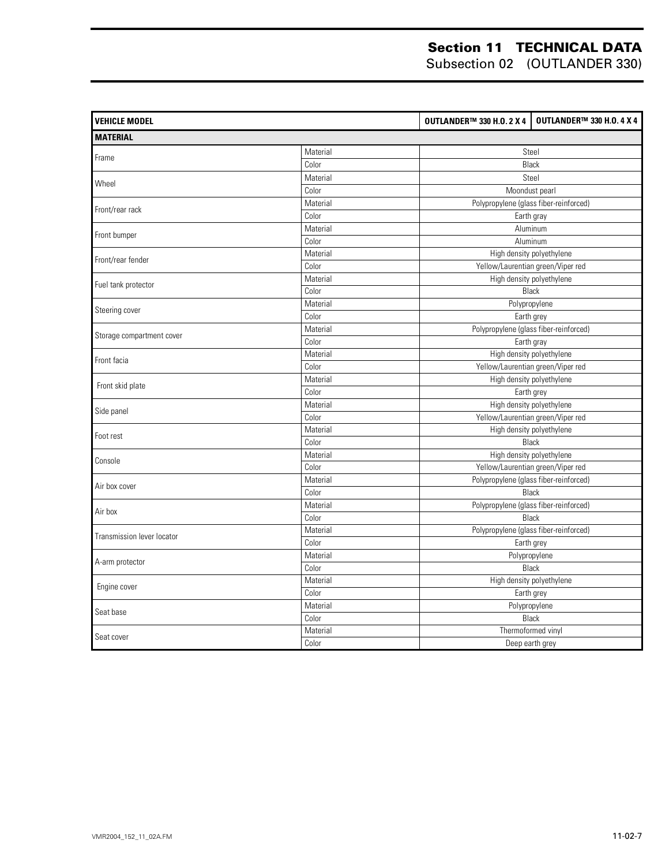| <b>VEHICLE MODEL</b>       |          | <b>OUTLANDER™ 330 H.O. 2 X 4</b> | <b>OUTLANDER™ 330 H.O. 4 X 4</b>       |
|----------------------------|----------|----------------------------------|----------------------------------------|
| <b>MATERIAL</b>            |          |                                  |                                        |
|                            | Material |                                  | Steel                                  |
| Frame                      | Color    |                                  | Black                                  |
|                            | Material |                                  | Steel                                  |
| Wheel                      | Color    |                                  | Moondust pearl                         |
|                            | Material |                                  | Polypropylene (glass fiber-reinforced) |
| Front/rear rack            | Color    |                                  | Earth gray                             |
|                            | Material |                                  | Aluminum                               |
| Front bumper               | Color    |                                  | Aluminum                               |
| Front/rear fender          | Material |                                  | High density polyethylene              |
|                            | Color    |                                  | Yellow/Laurentian green/Viper red      |
| Fuel tank protector        | Material |                                  | High density polyethylene              |
|                            | Color    |                                  | Black                                  |
| Steering cover             | Material |                                  | Polypropylene                          |
|                            | Color    |                                  | Earth grey                             |
| Storage compartment cover  | Material |                                  | Polypropylene (glass fiber-reinforced) |
|                            | Color    |                                  | Earth gray                             |
| Front facia                | Material |                                  | High density polyethylene              |
|                            | Color    |                                  | Yellow/Laurentian green/Viper red      |
| Front skid plate           | Material |                                  | High density polyethylene              |
|                            | Color    |                                  | Earth grey                             |
| Side panel                 | Material |                                  | High density polyethylene              |
|                            | Color    |                                  | Yellow/Laurentian green/Viper red      |
| Foot rest                  | Material |                                  | High density polyethylene              |
|                            | Color    |                                  | Black                                  |
| Console                    | Material |                                  | High density polyethylene              |
|                            | Color    |                                  | Yellow/Laurentian green/Viper red      |
| Air box cover              | Material |                                  | Polypropylene (glass fiber-reinforced) |
|                            | Color    |                                  | Black                                  |
| Air box                    | Material |                                  | Polypropylene (glass fiber-reinforced) |
|                            | Color    |                                  | Black                                  |
| Transmission lever locator | Material |                                  | Polypropylene (glass fiber-reinforced) |
|                            | Color    |                                  | Earth grey                             |
| A-arm protector            | Material |                                  | Polypropylene                          |
|                            | Color    |                                  | Black                                  |
| Engine cover               | Material |                                  | High density polyethylene              |
|                            | Color    |                                  | Earth grey                             |
| Seat base                  | Material |                                  | Polypropylene                          |
|                            | Color    |                                  | Black                                  |
| Seat cover                 | Material |                                  | Thermoformed vinyl                     |
|                            | Color    |                                  | Deep earth grey                        |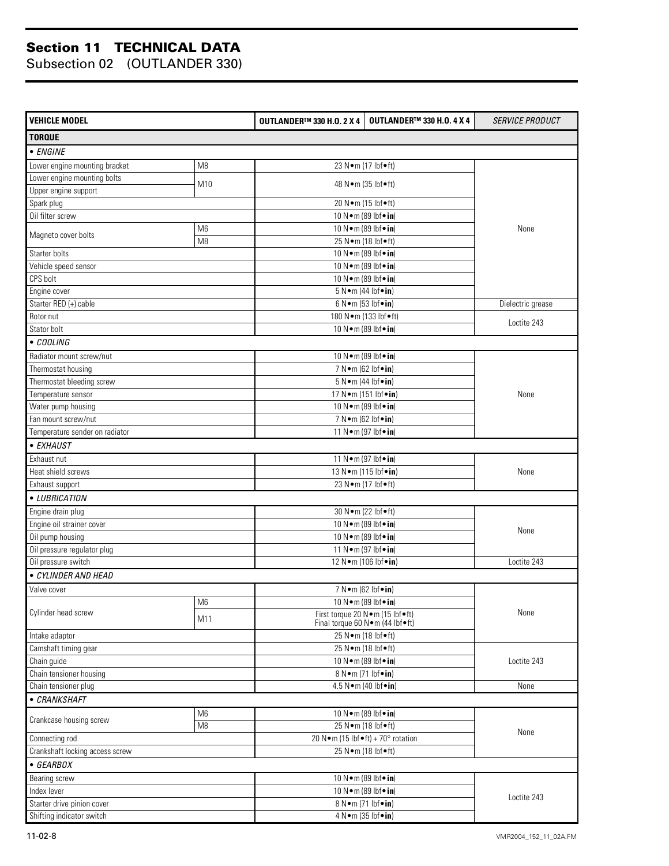| <b>VEHICLE MODEL</b>                      |                | <b>OUTLANDER™ 330 H.O. 2 X 4</b> | <b>OUTLANDER™ 330 H.O. 4 X 4</b>                                           | <b>SERVICE PRODUCT</b> |  |
|-------------------------------------------|----------------|----------------------------------|----------------------------------------------------------------------------|------------------------|--|
| <b>TORQUE</b>                             |                |                                  |                                                                            |                        |  |
| $\overline{\bullet}$ ENGINE               |                |                                  |                                                                            |                        |  |
| Lower engine mounting bracket             | M8             |                                  | 23 N•m (17 lbf•ft)                                                         |                        |  |
| Lower engine mounting bolts               |                |                                  |                                                                            |                        |  |
| Upper engine support                      | M10            |                                  | 48 N • m (35 lbf • ft)                                                     |                        |  |
| Spark plug                                |                |                                  | 20 N · m (15 lbf · ft)                                                     |                        |  |
| Oil filter screw                          |                |                                  | 10 N · m (89 lbf · in)                                                     |                        |  |
|                                           | M <sub>6</sub> |                                  | 10 N · m (89 lbf · in)                                                     | None                   |  |
| Magneto cover bolts                       | M <sub>8</sub> |                                  | 25 N•m (18 lbf•ft)                                                         |                        |  |
| Starter bolts                             |                |                                  | 10 N · m (89 lbf · in)                                                     |                        |  |
| Vehicle speed sensor                      |                |                                  | 10 N · m (89 lbf · in)                                                     |                        |  |
| CPS bolt                                  |                |                                  | 10 N · m (89 lbf · in)                                                     |                        |  |
| Engine cover                              |                |                                  | $5 N \cdot m$ (44 lbf $\cdot$ in)                                          |                        |  |
| Starter RED (+) cable                     |                |                                  | $6 N \cdot m$ (53 lbf $\cdot in$ )                                         | Dielectric grease      |  |
| Rotor nut                                 |                |                                  | 180 N•m (133 lbf•ft)                                                       |                        |  |
| Stator bolt                               |                |                                  | 10 N · m (89 lbf · in)                                                     | Loctite 243            |  |
| • COOLING                                 |                |                                  |                                                                            |                        |  |
| Radiator mount screw/nut                  |                |                                  |                                                                            |                        |  |
| Thermostat housing                        |                |                                  | 10 N · m (89 lbf · in)<br>7 N • m (62 lbf • in)                            |                        |  |
|                                           |                |                                  |                                                                            |                        |  |
| Thermostat bleeding screw                 |                |                                  | $5 N \cdot m$ (44 lbf $\cdot$ in)<br>17 N·m (151 lbf•in)                   |                        |  |
| Temperature sensor                        |                |                                  |                                                                            | None                   |  |
| Water pump housing                        |                |                                  | 10 N · m (89 lbf · in)                                                     |                        |  |
| Fan mount screw/nut                       |                |                                  | 7 N•m (62 lbf•in)                                                          |                        |  |
| Temperature sender on radiator            |                |                                  | 11 N · m (97 lbf · in)                                                     |                        |  |
| • EXHAUST                                 |                |                                  |                                                                            |                        |  |
| Exhaust nut                               |                |                                  | 11 N • m (97 lbf • in)                                                     |                        |  |
| Heat shield screws                        |                |                                  | 13 N · m (115 lbf · in)                                                    | None                   |  |
| Exhaust support                           |                |                                  | 23 N • m (17 lbf • ft)                                                     |                        |  |
| • LUBRICATION                             |                |                                  |                                                                            |                        |  |
| Engine drain plug                         |                |                                  | 30 N · m (22 lbf · ft)                                                     |                        |  |
| Engine oil strainer cover                 |                |                                  | 10 N · m (89 lbf · in)                                                     | None                   |  |
| Oil pump housing                          |                |                                  | 10 N · m (89 lbf · in)                                                     |                        |  |
| Oil pressure regulator plug               |                |                                  | 11 N • m (97 lbf • in)                                                     |                        |  |
| Oil pressure switch                       |                |                                  | 12 N · m (106 lbf · in)                                                    |                        |  |
| • CYLINDER AND HEAD                       |                |                                  |                                                                            |                        |  |
| Valve cover                               |                |                                  | 7 N•m (62 lbf•in)                                                          |                        |  |
|                                           | M6             |                                  | 10 N · m (89 lbf · in)                                                     |                        |  |
| Cylinder head screw                       | M11            |                                  | First torque 20 N · m (15 lbf · ft)<br>Final torque 60 N · m (44 lbf · ft) |                        |  |
| Intake adaptor                            |                |                                  | 25 N•m (18 lbf•ft)                                                         |                        |  |
| Camshaft timing gear                      |                |                                  | 25 N•m (18 lbf•ft)                                                         |                        |  |
| Chain guide                               |                |                                  | 10 N · m (89 lbf · in)                                                     |                        |  |
| Chain tensioner housing                   |                |                                  | 8 N•m (71 lbf•in)                                                          |                        |  |
| Chain tensioner plug                      |                |                                  | 4.5 N•m (40 lbf•in)                                                        | None                   |  |
| • CRANKSHAFT                              |                |                                  |                                                                            |                        |  |
|                                           | M <sub>6</sub> |                                  | 10 N · m (89 lbf · in)                                                     |                        |  |
| Crankcase housing screw<br>M <sub>8</sub> |                | 25 N•m (18 lbf•ft)               | None                                                                       |                        |  |
| Connecting rod                            |                |                                  | 20 N · m (15 lbf $\bullet$ ft) + 70° rotation                              |                        |  |
| Crankshaft locking access screw           |                | 25 N•m (18 lbf•ft)               |                                                                            |                        |  |
| • GEARBOX                                 |                |                                  |                                                                            |                        |  |
| Bearing screw                             |                |                                  | 10 N · m (89 lbf · in)                                                     |                        |  |
| Index lever                               |                |                                  | 10 N · m (89 lbf · in)                                                     |                        |  |
| Starter drive pinion cover                |                |                                  | 8 N•m (71 lbf•in)                                                          | Loctite 243            |  |
| Shifting indicator switch                 |                |                                  |                                                                            |                        |  |
|                                           |                |                                  | 4 N•m (35 lbf•in)                                                          |                        |  |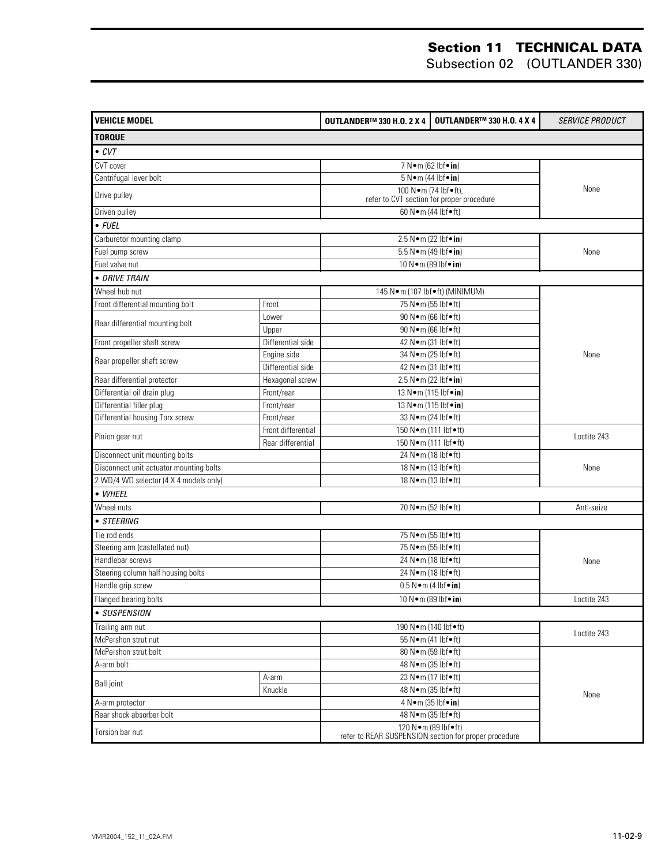| <b>VEHICLE MODEL</b>                    |                    | <b>OUTLANDER™ 330 H.O. 2 X 4</b>                                                 | <b>OUTLANDER™ 330 H.O. 4 X 4</b>          | <b>SERVICE PRODUCT</b> |  |
|-----------------------------------------|--------------------|----------------------------------------------------------------------------------|-------------------------------------------|------------------------|--|
| <b>TORQUE</b>                           |                    |                                                                                  |                                           |                        |  |
| $\bullet$ CVT                           |                    |                                                                                  |                                           |                        |  |
| CVT cover                               |                    | 7 N•m (62 lbf•in)                                                                |                                           |                        |  |
| Centrifugal lever bolt                  |                    | $5 N \cdot m$ (44 lbf $\cdot$ in)                                                |                                           |                        |  |
| Drive pulley                            |                    | 100 N•m (74 lbf•ft),                                                             | refer to CVT section for proper procedure | None                   |  |
| Driven pulley                           |                    | 60 N · m (44 lbf • ft)                                                           |                                           |                        |  |
| $\bullet$ FUEL                          |                    |                                                                                  |                                           |                        |  |
| Carburetor mounting clamp               |                    | 2.5 N•m (22 lbf•in)                                                              |                                           |                        |  |
| Fuel pump screw                         |                    | 5.5 N · m (49 lbf · in)                                                          |                                           | None                   |  |
| Fuel valve nut                          |                    | 10 N · m (89 lbf · in)                                                           |                                           |                        |  |
| · DRIVE TRAIN                           |                    |                                                                                  |                                           |                        |  |
| Wheel hub nut                           |                    | 145 N · m (107 lbf • ft) (MINIMUM)                                               |                                           |                        |  |
| Front differential mounting bolt        | Front              | 75 N•m (55 lbf•ft)                                                               |                                           |                        |  |
|                                         | Lower              | 90 N · m (66 lbf · ft)                                                           |                                           |                        |  |
| Rear differential mounting bolt         | Upper              | 90 N · m (66 lbf • ft)                                                           |                                           |                        |  |
| Front propeller shaft screw             | Differential side  | 42 N • m (31 lbf • ft)                                                           |                                           |                        |  |
|                                         | Engine side        | 34 N · m (25 lbf · ft)                                                           |                                           | None                   |  |
| Rear propeller shaft screw              | Differential side  | 42 N • m (31 lbf • ft)                                                           |                                           |                        |  |
| Rear differential protector             | Hexagonal screw    | 2.5 N•m (22 lbf•in)                                                              |                                           |                        |  |
| Differential oil drain plug             | Front/rear         | 13 N · m (115 lbf · in)                                                          |                                           |                        |  |
| Differential filler plug                | Front/rear         | 13 N · m (115 lbf · in)                                                          |                                           |                        |  |
| Differential housing Torx screw         | Front/rear         | 33 N • m (24 lbf • ft)                                                           |                                           |                        |  |
| Pinion gear nut                         | Front differential | 150 N•m (111 lbf•ft)                                                             | Loctite 243                               |                        |  |
|                                         | Rear differential  | 150 N·m (111 lbf•ft)                                                             |                                           |                        |  |
| Disconnect unit mounting bolts          |                    | 24 N•m (18 lbf•ft)                                                               |                                           |                        |  |
| Disconnect unit actuator mounting bolts |                    | 18 N • m (13 lbf • ft)                                                           | None                                      |                        |  |
| 2 WD/4 WD selector (4 X 4 models only)  |                    | 18 N•m (13 lbf•ft)                                                               |                                           |                        |  |
| • WHEEL                                 |                    |                                                                                  |                                           |                        |  |
| Wheel nuts                              |                    | 70 N · m (52 lbf · ft)                                                           |                                           | Anti-seize             |  |
| • STEERING                              |                    |                                                                                  |                                           |                        |  |
| Tie rod ends                            |                    | 75 N•m (55 lbf•ft)                                                               |                                           |                        |  |
| Steering arm (castellated nut)          |                    | 75 N•m (55 lbf•ft)                                                               |                                           |                        |  |
| Handlebar screws                        |                    | 24 Nom (18 lbfoft)                                                               | None                                      |                        |  |
| Steering column half housing bolts      |                    | 24 N · m (18 lbf • ft)                                                           |                                           |                        |  |
| Handle grip screw                       |                    | $0.5 N \cdot m$ (4 lbf $\cdot in$ )                                              |                                           |                        |  |
| Flanged bearing bolts                   |                    | 10 N · m (89 lbf · in)                                                           |                                           | Loctite 243            |  |
| • SUSPENSION                            |                    |                                                                                  |                                           |                        |  |
| Trailing arm nut                        |                    | 190 N · m (140 lbf · ft)                                                         |                                           |                        |  |
| McPershon strut nut                     |                    | 55 N•m (41 lbf•ft)                                                               |                                           | Loctite 243            |  |
| McPershon strut bolt                    |                    | 80 N · m (59 lbf · ft)                                                           |                                           |                        |  |
| A-arm bolt                              |                    | 48 N • m (35 lbf • ft)                                                           | None                                      |                        |  |
| A-arm<br><b>Ball</b> joint<br>Knuckle   |                    | 23 N • m (17 lbf • ft)                                                           |                                           |                        |  |
|                                         |                    | 48 N • m (35 lbf • ft)                                                           |                                           |                        |  |
| A-arm protector                         |                    | $4 N \cdot m (35)$ lbf $\cdot$ in)                                               |                                           |                        |  |
| Rear shock absorber bolt                |                    | 48 N • m (35 lbf • ft)                                                           |                                           |                        |  |
| Torsion bar nut                         |                    | 120 N · m (89 lbf • ft)<br>refer to REAR SUSPENSION section for proper procedure |                                           |                        |  |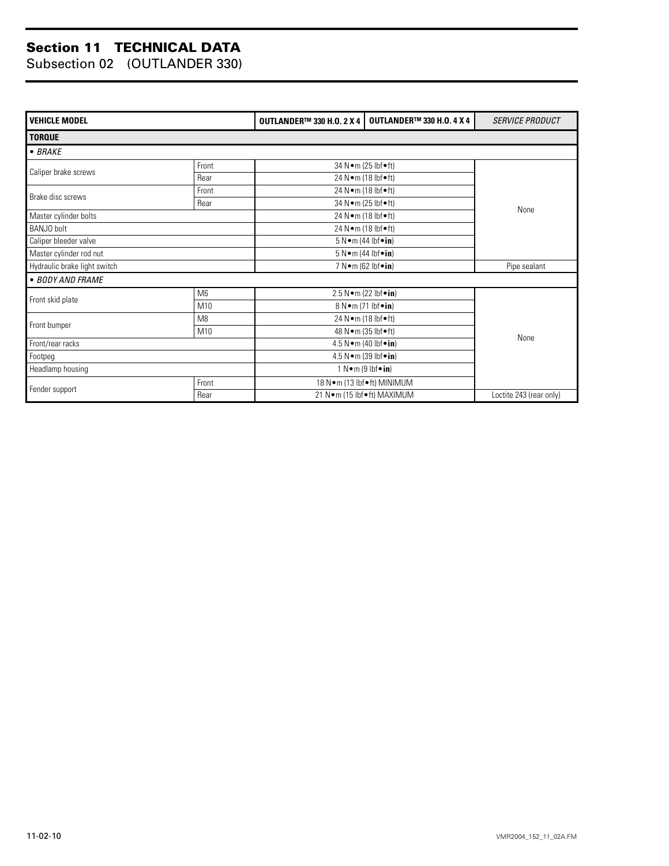| <b>VEHICLE MODEL</b>         |                | <b>OUTLANDER™ 330 H.O. 2 X 4</b> | <b>OUTLANDER™ 330 H.O. 4 X 4</b>        | <b>SERVICE PRODUCT</b> |  |  |  |  |
|------------------------------|----------------|----------------------------------|-----------------------------------------|------------------------|--|--|--|--|
| <b>TORQUE</b>                |                |                                  |                                         |                        |  |  |  |  |
| $-BRAKE$                     |                |                                  |                                         |                        |  |  |  |  |
| Caliper brake screws         | Front          |                                  | 34 N • m (25 lbf • ft)                  |                        |  |  |  |  |
|                              | Rear           |                                  | 24 N•m (18 lbf•ft)                      |                        |  |  |  |  |
| Brake disc screws            | Front          |                                  | 24 N•m (18 lbf•ft)                      |                        |  |  |  |  |
|                              | Rear           |                                  | 34 N • m (25 lbf • ft)                  | None                   |  |  |  |  |
| Master cylinder bolts        |                |                                  | 24 N•m (18 lbf•ft)                      |                        |  |  |  |  |
| BANJO bolt                   |                |                                  | 24 N•m (18 lbf•ft)                      |                        |  |  |  |  |
| Caliper bleeder valve        |                |                                  | $5 N \cdot m$ (44 lbf $\cdot in$ )      |                        |  |  |  |  |
| Master cylinder rod nut      |                |                                  | $5 N \cdot m$ (44 lbf $\cdot in$ )      |                        |  |  |  |  |
| Hydraulic brake light switch |                |                                  | 7 N $\bullet$ m (62 lbf $\bullet$ in)   | Pipe sealant           |  |  |  |  |
| • BODY AND FRAME             |                |                                  |                                         |                        |  |  |  |  |
|                              | M6             |                                  | 2.5 N • m (22 lbf • in)                 |                        |  |  |  |  |
| Front skid plate             | M10            |                                  | 8 N • m (71 lbf • in)                   |                        |  |  |  |  |
|                              | M <sub>8</sub> |                                  | 24 N • m (18 lbf • ft)                  |                        |  |  |  |  |
| Front bumper                 | M10            |                                  | 48 N • m (35 lbf • ft)                  |                        |  |  |  |  |
| Front/rear racks             |                |                                  | 4.5 N $\bullet$ m (40 lbf $\bullet$ in) |                        |  |  |  |  |
| Footpeg                      |                |                                  | $4.5 N \cdot m$ (39 lbf $\cdot$ in)     |                        |  |  |  |  |
| Headlamp housing             |                |                                  | $1$ N $\bullet$ m (9 lbf $\bullet$ in)  |                        |  |  |  |  |
|                              | Front          |                                  | 18 N•m (13 lbf•ft) MINIMUM              |                        |  |  |  |  |
| Fender support               | Rear           |                                  | 21 N•m (15 lbf•ft) MAXIMUM              |                        |  |  |  |  |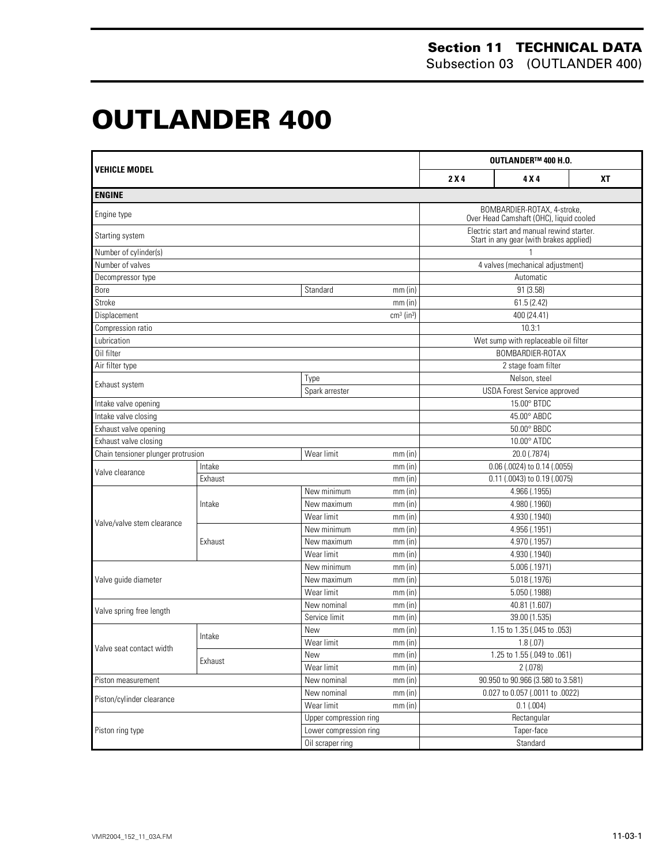# **OUTLANDER 400 0**

| <b>VEHICLE MODEL</b>               |         |                        | OUTLANDER™ 400 H.O.      |                                                                                      |                                                                        |           |  |
|------------------------------------|---------|------------------------|--------------------------|--------------------------------------------------------------------------------------|------------------------------------------------------------------------|-----------|--|
|                                    |         |                        |                          | 2X4                                                                                  | 4 X 4                                                                  | <b>XT</b> |  |
| <b>ENGINE</b>                      |         |                        |                          |                                                                                      |                                                                        |           |  |
| Engine type                        |         |                        |                          |                                                                                      | BOMBARDIER-ROTAX, 4-stroke,<br>Over Head Camshaft (OHC), liquid cooled |           |  |
| Starting system                    |         |                        |                          | Electric start and manual rewind starter.<br>Start in any gear (with brakes applied) |                                                                        |           |  |
| Number of cylinder(s)              |         |                        |                          |                                                                                      |                                                                        |           |  |
| Number of valves                   |         |                        |                          |                                                                                      | 4 valves (mechanical adjustment)                                       |           |  |
| Decompressor type                  |         |                        |                          |                                                                                      | Automatic                                                              |           |  |
| Bore                               |         | Standard               | $mm$ (in)                |                                                                                      | 91 (3.58)                                                              |           |  |
| Stroke                             |         |                        | mm(in)                   |                                                                                      | 61.5 (2.42)                                                            |           |  |
| Displacement                       |         |                        | $cm3$ (in <sup>3</sup> ) |                                                                                      | 400 (24.41)                                                            |           |  |
| Compression ratio                  |         |                        |                          |                                                                                      | 10.3:1                                                                 |           |  |
| Lubrication                        |         |                        |                          |                                                                                      | Wet sump with replaceable oil filter                                   |           |  |
| Oil filter                         |         |                        |                          |                                                                                      | BOMBARDIER-ROTAX                                                       |           |  |
| Air filter type                    |         |                        |                          |                                                                                      | 2 stage foam filter                                                    |           |  |
| Exhaust system                     |         | Type                   |                          |                                                                                      | Nelson, steel                                                          |           |  |
|                                    |         | Spark arrester         |                          |                                                                                      | <b>USDA Forest Service approved</b>                                    |           |  |
| Intake valve opening               |         |                        | 15.00° BTDC              |                                                                                      |                                                                        |           |  |
| Intake valve closing               |         |                        |                          | 45.00° ABDC                                                                          |                                                                        |           |  |
| Exhaust valve opening              |         |                        |                          | 50.00° BBDC                                                                          |                                                                        |           |  |
| Exhaust valve closing              |         |                        |                          | $10.00^\circ$ ATDC                                                                   |                                                                        |           |  |
| Chain tensioner plunger protrusion |         | Wear limit             | $mm$ (in)                |                                                                                      | 20.0 (.7874)                                                           |           |  |
| Valve clearance                    | Intake  |                        | $mm$ (in)                |                                                                                      | 0.06 (.0024) to 0.14 (.0055)                                           |           |  |
|                                    | Exhaust |                        | $mm$ (in)                |                                                                                      | 0.11 (.0043) to 0.19 (.0075)                                           |           |  |
|                                    |         | New minimum            | $mm$ (in)                |                                                                                      | 4.966 (.1955)                                                          |           |  |
|                                    | Intake  | New maximum            | $mm$ (in)                |                                                                                      | 4.980 (.1960)                                                          |           |  |
| Valve/valve stem clearance         |         | Wear limit             | $mm$ (in)                |                                                                                      | 4.930 (.1940)                                                          |           |  |
|                                    |         | New minimum            | $mm$ (in)                |                                                                                      | 4.956 (.1951)                                                          |           |  |
|                                    | Exhaust | New maximum            | mm(in)                   |                                                                                      | 4.970 (.1957)                                                          |           |  |
|                                    |         | Wear limit             | $mm$ (in)                |                                                                                      | 4.930 (.1940)                                                          |           |  |
|                                    |         | New minimum            | $mm$ (in)                |                                                                                      | 5.006 (.1971)                                                          |           |  |
| Valve guide diameter               |         | New maximum            | $mm$ (in)                |                                                                                      | 5.018 (.1976)                                                          |           |  |
|                                    |         | Wear limit             | $mm$ (in)                |                                                                                      | 5.050 (.1988)                                                          |           |  |
| Valve spring free length           |         | New nominal            | mm(in)                   |                                                                                      | 40.81 (1.607)                                                          |           |  |
|                                    |         | Service limit          | mm (in)                  |                                                                                      | 39.00 (1.535)                                                          |           |  |
|                                    | Intake  | New                    | $mm$ (in)                |                                                                                      | 1.15 to 1.35 (.045 to .053)                                            |           |  |
| Valve seat contact width           |         | Wear limit             | mm(in)                   |                                                                                      | 1.8(0.07)                                                              |           |  |
|                                    | Exhaust | New                    | $mm$ (in)                |                                                                                      | 1.25 to 1.55 (.049 to .061)                                            |           |  |
|                                    |         | Wear limit             | $mm$ (in)                |                                                                                      | 2(.078)                                                                |           |  |
| Piston measurement                 |         | New nominal            | mm(in)                   |                                                                                      | 90.950 to 90.966 (3.580 to 3.581)                                      |           |  |
| Piston/cylinder clearance          |         | New nominal            | mm(in)                   |                                                                                      | 0.027 to 0.057 (.0011 to .0022)                                        |           |  |
|                                    |         | Wear limit             | $mm$ (in)                |                                                                                      | 0.1(.004)                                                              |           |  |
|                                    |         | Upper compression ring |                          |                                                                                      | Rectangular                                                            |           |  |
| Piston ring type                   |         | Lower compression ring |                          |                                                                                      | Taper-face                                                             |           |  |
|                                    |         | Oil scraper ring       |                          | Standard                                                                             |                                                                        |           |  |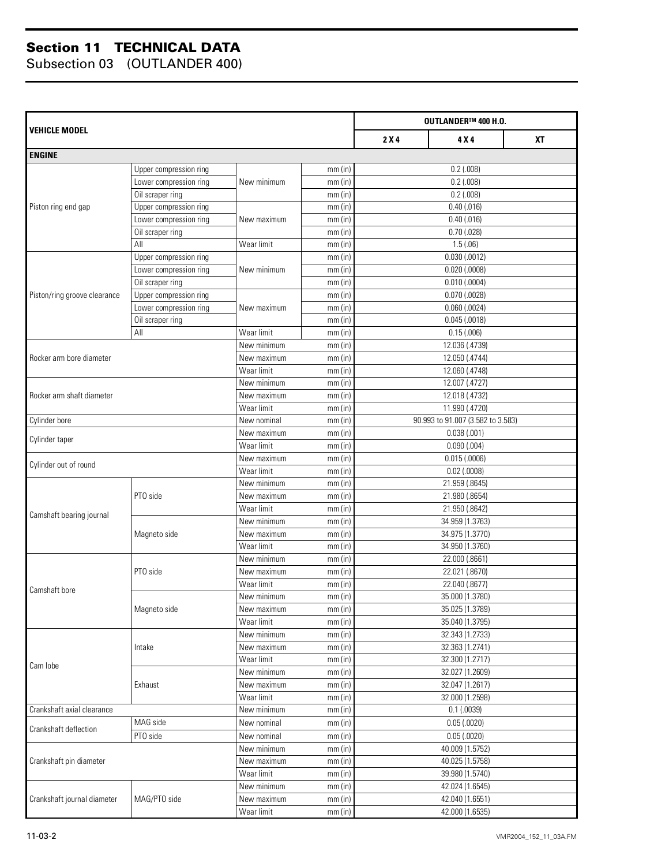|                              |                        |             | OUTLANDER™ 400 H.O. |                                   |                   |           |  |
|------------------------------|------------------------|-------------|---------------------|-----------------------------------|-------------------|-----------|--|
| VEHICLE MODEL                |                        |             |                     | 2X4                               | 4 X 4             | <b>XT</b> |  |
| <b>ENGINE</b>                |                        |             |                     |                                   |                   |           |  |
|                              | Upper compression ring |             | mm(in)              |                                   | $0.2$ (.008)      |           |  |
| Lower compression ring       |                        | New minimum | mm(in)              | $0.2$ (.008)                      |                   |           |  |
|                              | Oil scraper ring       |             | mm(in)              |                                   | $0.2$ (.008)      |           |  |
| Piston ring end gap          | Upper compression ring |             | mm(in)              |                                   | $0.40$ (.016)     |           |  |
|                              | Lower compression ring | New maximum | $mm$ (in)           |                                   | $0.40$ $(.016)$   |           |  |
|                              | Oil scraper ring       |             | $mm$ (in)           |                                   | $0.70$ (.028)     |           |  |
|                              | All                    | Wear limit  | mm(in)              |                                   | 1.5(0.06)         |           |  |
|                              | Upper compression ring |             | mm(in)              |                                   | $0.030$ $(.0012)$ |           |  |
|                              | Lower compression ring | New minimum | mm(in)              |                                   | $0.020$ (.0008)   |           |  |
|                              | Oil scraper ring       |             | $mm$ (in)           |                                   | $0.010$ (.0004)   |           |  |
| Piston/ring groove clearance | Upper compression ring |             | mm(in)              |                                   | $0.070$ $(.0028)$ |           |  |
|                              | Lower compression ring | New maximum | mm(in)              |                                   | $0.060$ $(.0024)$ |           |  |
|                              | Oil scraper ring       |             | mm(in)              |                                   | $0.045$ $(.0018)$ |           |  |
|                              | All                    | Wear limit  | mm(in)              |                                   | 0.15(.006)        |           |  |
|                              |                        | New minimum | mm(in)              |                                   | 12.036 (.4739)    |           |  |
| Rocker arm bore diameter     |                        | New maximum | mm(in)              |                                   | 12.050 (.4744)    |           |  |
|                              |                        | Wear limit  | mm(in)              |                                   | 12.060 (.4748)    |           |  |
|                              |                        | New minimum | mm(in)              |                                   | 12.007 (.4727)    |           |  |
| Rocker arm shaft diameter    |                        | New maximum | mm(in)              |                                   | 12.018 (.4732)    |           |  |
|                              |                        | Wear limit  | mm(in)              | 11.990 (.4720)                    |                   |           |  |
| Cylinder bore                |                        | New nominal | mm(in)              | 90.993 to 91.007 (3.582 to 3.583) |                   |           |  |
| Cylinder taper               |                        | New maximum | $mm$ (in)           |                                   | 0.038(.001)       |           |  |
|                              |                        | Wear limit  | mm(in)              |                                   | 0.090(.004)       |           |  |
|                              |                        | New maximum | $mm$ (in)           |                                   | 0.015(0.006)      |           |  |
| Cylinder out of round        |                        | Wear limit  | mm(in)              |                                   | $0.02$ (.0008)    |           |  |
|                              |                        | New minimum | mm(in)              | 21.959 (.8645)                    |                   |           |  |
|                              | PTO side               | New maximum | mm(in)              |                                   | 21.980 (.8654)    |           |  |
|                              |                        | Wear limit  | mm(in)              | 21.950 (.8642)                    |                   |           |  |
| Camshaft bearing journal     |                        | New minimum | $mm$ (in)           | 34.959 (1.3763)                   |                   |           |  |
|                              | Magneto side           | New maximum | mm(in)              | 34.975 (1.3770)                   |                   |           |  |
|                              |                        | Wear limit  | mm(in)              |                                   | 34.950 (1.3760)   |           |  |
|                              |                        | New minimum | mm(in)              |                                   | 22.000 (.8661)    |           |  |
|                              | PTO side               | New maximum | mm(in)              |                                   | 22.021 (.8670)    |           |  |
|                              |                        | Wear limit  | mm(in)              |                                   | 22.040 (.8677)    |           |  |
| Camshaft bore                |                        | New minimum | $mm$ (in)           |                                   | 35.000 (1.3780)   |           |  |
|                              | Magneto side           | New maximum | $mm$ (in)           |                                   | 35.025 (1.3789)   |           |  |
|                              |                        | Wear limit  | mm(in)              |                                   | 35.040 (1.3795)   |           |  |
|                              |                        | New minimum | $mm$ (in)           |                                   | 32.343 (1.2733)   |           |  |
|                              | Intake                 | New maximum | mm(in)              |                                   | 32.363 (1.2741)   |           |  |
|                              |                        | Wear limit  | mm(in)              |                                   | 32.300 (1.2717)   |           |  |
| Cam lobe                     |                        | New minimum | $mm$ (in)           |                                   | 32.027 (1.2609)   |           |  |
|                              | Exhaust                | New maximum | mm(in)              |                                   | 32.047 (1.2617)   |           |  |
|                              |                        | Wear limit  | $mm$ (in)           |                                   | 32.000 (1.2598)   |           |  |
| Crankshaft axial clearance   |                        | New minimum | $mm$ (in)           |                                   | $0.1$ (.0039)     |           |  |
|                              | MAG side               | New nominal | $mm$ (in)           |                                   | 0.05(0.0020)      |           |  |
| Crankshaft deflection        | PTO side               | New nominal | mm(in)              |                                   | 0.05(0.0020)      |           |  |
|                              |                        | New minimum | $mm$ (in)           |                                   | 40.009 (1.5752)   |           |  |
| Crankshaft pin diameter      |                        | New maximum | mm(in)              |                                   | 40.025 (1.5758)   |           |  |
|                              |                        | Wear limit  | $mm$ (in)           |                                   | 39.980 (1.5740)   |           |  |
|                              |                        | New minimum | mm(in)              |                                   | 42.024 (1.6545)   |           |  |
| Crankshaft journal diameter  | MAG/PTO side           | New maximum | $mm$ (in)           |                                   | 42.040 (1.6551)   |           |  |
|                              |                        | Wear limit  | $mm$ (in)           |                                   | 42.000 (1.6535)   |           |  |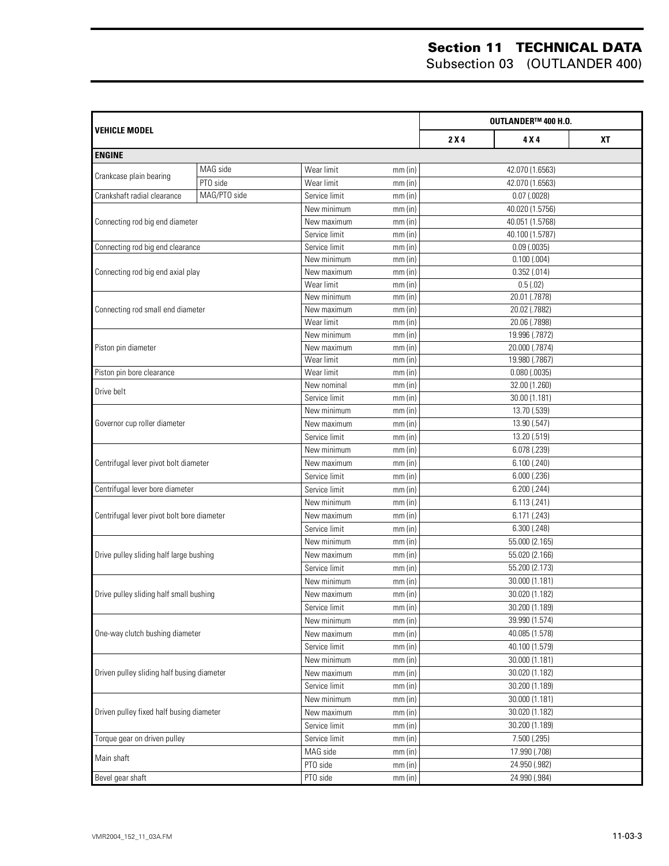|                                            |              | OUTLANDER™ 400 H.O. |           |                  |                  |    |
|--------------------------------------------|--------------|---------------------|-----------|------------------|------------------|----|
| <b>VEHICLE MODEL</b>                       |              |                     |           | 2X4              | 4 X 4            | ХT |
| <b>ENGINE</b>                              |              |                     |           |                  |                  |    |
|                                            | MAG side     | Wear limit          | $mm$ (in) | 42.070 (1.6563)  |                  |    |
| Crankcase plain bearing                    | PTO side     | Wear limit          | mm(in)    |                  | 42.070 (1.6563)  |    |
| Crankshaft radial clearance                | MAG/PTO side | Service limit       | mm(in)    |                  | $0.07$ (.0028)   |    |
|                                            |              | New minimum         | $mm$ (in) |                  | 40.020 (1.5756)  |    |
| Connecting rod big end diameter            |              | New maximum         | $mm$ (in) |                  | 40.051 (1.5768)  |    |
|                                            |              | Service limit       | mm(in)    |                  | 40.100 (1.5787)  |    |
| Connecting rod big end clearance           |              | Service limit       | mm(in)    |                  | $0.09$ $(.0035)$ |    |
|                                            |              | New minimum         | mm(in)    |                  | $0.100$ $(.004)$ |    |
| Connecting rod big end axial play          |              | New maximum         | mm(in)    |                  | 0.352(.014)      |    |
|                                            |              | Wear limit          | mm(in)    |                  | 0.5(0.02)        |    |
|                                            |              | New minimum         | mm(in)    |                  | 20.01 (.7878)    |    |
| Connecting rod small end diameter          |              | New maximum         | mm(in)    |                  | 20.02 (.7882)    |    |
|                                            |              | Wear limit          | mm(in)    |                  | 20.06 (.7898)    |    |
|                                            |              | New minimum         | mm(in)    |                  | 19.996 (.7872)   |    |
| Piston pin diameter                        |              | New maximum         | mm(in)    |                  | 20.000 (.7874)   |    |
|                                            |              | Wear limit          | mm(in)    |                  | 19.980 (.7867)   |    |
| Piston pin bore clearance                  |              | Wear limit          | $mm$ (in) |                  | $0.080$ (.0035)  |    |
| Drive belt                                 |              | New nominal         | mm(in)    |                  | 32.00 (1.260)    |    |
|                                            |              | Service limit       | mm(in)    |                  | 30.00 (1.181)    |    |
|                                            |              | New minimum         | $mm$ (in) |                  | 13.70 (.539)     |    |
| Governor cup roller diameter               |              | New maximum         | $mm$ (in) | 13.90 (.547)     |                  |    |
|                                            |              | Service limit       | $mm$ (in) |                  | 13.20 (.519)     |    |
|                                            |              | New minimum         | $mm$ (in) |                  | 6.078 (.239)     |    |
| Centrifugal lever pivot bolt diameter      |              | New maximum         | $mm$ (in) | 6.100(.240)      |                  |    |
|                                            |              | Service limit       | $mm$ (in) | $6.000$ $(.236)$ |                  |    |
| Centrifugal lever bore diameter            |              | Service limit       | $mm$ (in) | 6.200(.244)      |                  |    |
|                                            |              | New minimum         | $mm$ (in) |                  | 6.113(.241)      |    |
| Centrifugal lever pivot bolt bore diameter |              | New maximum         | $mm$ (in) |                  | 6.171 (.243)     |    |
|                                            |              | Service limit       | $mm$ (in) |                  | 6.300(.248)      |    |
|                                            |              | New minimum         | $mm$ (in) |                  | 55.000 (2.165)   |    |
| Drive pulley sliding half large bushing    |              | New maximum         | $mm$ (in) |                  | 55.020 (2.166)   |    |
|                                            |              | Service limit       | $mm$ (in) |                  | 55.200 (2.173)   |    |
|                                            |              | New minimum         | $mm$ (in) |                  | 30.000 (1.181)   |    |
| Drive pulley sliding half small bushing    |              | New maximum         | mm(in)    |                  | 30.020 (1.182)   |    |
|                                            |              | Service limit       | mm(in)    |                  | 30.200 (1.189)   |    |
|                                            |              | New minimum         | $mm$ (in) |                  | 39.990 (1.574)   |    |
| One-way clutch bushing diameter            |              | New maximum         | mm(in)    |                  | 40.085 (1.578)   |    |
|                                            |              | Service limit       | $mm$ (in) |                  | 40.100 (1.579)   |    |
|                                            |              | New minimum         | mm(in)    |                  | 30.000 (1.181)   |    |
| Driven pulley sliding half busing diameter |              | New maximum         | mm(in)    |                  | 30.020 (1.182)   |    |
|                                            |              | Service limit       | mm(in)    |                  | 30.200 (1.189)   |    |
|                                            |              | New minimum         | mm(in)    |                  | 30.000 (1.181)   |    |
| Driven pulley fixed half busing diameter   |              | New maximum         | mm(in)    |                  | 30.020 (1.182)   |    |
|                                            |              | Service limit       | mm(in)    | 30.200 (1.189)   |                  |    |
| Torque gear on driven pulley               |              | Service limit       | mm(in)    |                  | 7.500 (.295)     |    |
|                                            |              | MAG side            |           |                  | 17.990 (.708)    |    |
| Main shaft                                 |              |                     | $mm$ (in) |                  |                  |    |
|                                            |              | PTO side            | $mm$ (in) |                  | 24.950 (.982)    |    |
| Bevel gear shaft                           |              | PTO side            | $mm$ (in) |                  | 24.990 (.984)    |    |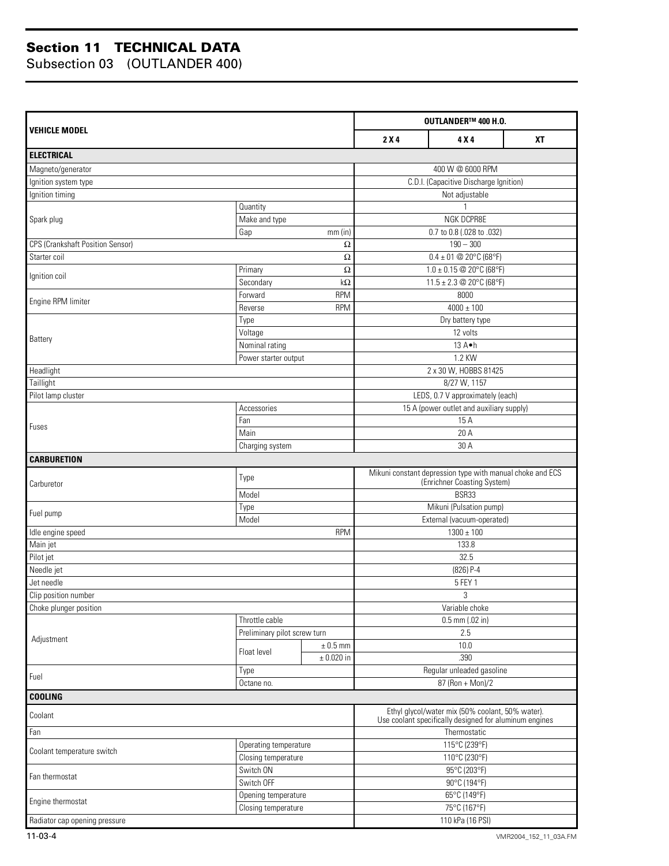|                                         |                              |                | OUTLANDER™ 400 H.O.                                                                      |                                                                                                            |  |  |
|-----------------------------------------|------------------------------|----------------|------------------------------------------------------------------------------------------|------------------------------------------------------------------------------------------------------------|--|--|
| VEHICLE MODEL                           | 2X4                          | 4 X 4          | <b>XT</b>                                                                                |                                                                                                            |  |  |
| <b>ELECTRICAL</b>                       |                              |                |                                                                                          |                                                                                                            |  |  |
| Magneto/generator                       |                              |                |                                                                                          | 400 W @ 6000 RPM                                                                                           |  |  |
| Ignition system type                    |                              |                |                                                                                          | C.D.I. (Capacitive Discharge Ignition)                                                                     |  |  |
| Ignition timing                         |                              |                |                                                                                          | Not adjustable                                                                                             |  |  |
|                                         | Quantity                     |                |                                                                                          |                                                                                                            |  |  |
| Spark plug                              | Make and type                |                |                                                                                          | NGK DCPR8E                                                                                                 |  |  |
|                                         | Gap                          | $mm$ (in)      |                                                                                          | 0.7 to 0.8 (.028 to .032)                                                                                  |  |  |
| <b>CPS (Crankshaft Position Sensor)</b> |                              | $\Omega$       |                                                                                          | $190 - 300$                                                                                                |  |  |
| Starter coil                            |                              | $\Omega$       |                                                                                          | $0.4 \pm 01$ @ 20°C (68°F)                                                                                 |  |  |
| Ignition coil                           | Primary                      | $\Omega$       |                                                                                          | $1.0 \pm 0.15$ @ 20°C (68°F)                                                                               |  |  |
|                                         | Secondary                    | $k\Omega$      |                                                                                          | 11.5 ± 2.3 @ 20°C (68°F)                                                                                   |  |  |
| Engine RPM limiter                      | Forward                      | <b>RPM</b>     |                                                                                          | 8000                                                                                                       |  |  |
|                                         | Reverse                      | <b>RPM</b>     |                                                                                          | $\frac{1}{4000}$ ± 100                                                                                     |  |  |
|                                         | Type                         |                |                                                                                          | Dry battery type                                                                                           |  |  |
| Battery                                 | Voltage                      |                |                                                                                          | 12 volts                                                                                                   |  |  |
|                                         | Nominal rating               |                |                                                                                          | 13 A.h                                                                                                     |  |  |
|                                         | Power starter output         |                |                                                                                          | 1.2 KW                                                                                                     |  |  |
| Headlight                               |                              |                |                                                                                          | 2 x 30 W, HOBBS 81425                                                                                      |  |  |
| Taillight                               |                              |                |                                                                                          | 8/27 W, 1157                                                                                               |  |  |
| Pilot lamp cluster                      |                              |                |                                                                                          | LEDS, 0.7 V approximately (each)                                                                           |  |  |
|                                         | Accessories                  |                |                                                                                          | 15 A (power outlet and auxiliary supply)                                                                   |  |  |
| Fuses                                   | Fan                          |                | 15A                                                                                      |                                                                                                            |  |  |
|                                         | Main                         |                | 20 A                                                                                     |                                                                                                            |  |  |
|                                         | Charging system              |                |                                                                                          | 30 A                                                                                                       |  |  |
| <b>CARBURETION</b>                      |                              |                |                                                                                          |                                                                                                            |  |  |
| Carburetor                              | Type                         |                | Mikuni constant depression type with manual choke and ECS<br>(Enrichner Coasting System) |                                                                                                            |  |  |
|                                         | Model                        |                | BSR33                                                                                    |                                                                                                            |  |  |
| Fuel pump                               | Type                         |                | Mikuni (Pulsation pump)                                                                  |                                                                                                            |  |  |
|                                         | Model                        |                |                                                                                          | External (vacuum-operated)                                                                                 |  |  |
| Idle engine speed                       |                              | <b>RPM</b>     |                                                                                          | $1300 \pm 100$                                                                                             |  |  |
| Main jet                                |                              |                |                                                                                          | 133.8                                                                                                      |  |  |
| Pilot jet                               |                              |                |                                                                                          | 32.5                                                                                                       |  |  |
| Needle jet                              |                              |                |                                                                                          | $(826)$ P-4                                                                                                |  |  |
| Jet needle                              |                              |                |                                                                                          | 5 FEY 1                                                                                                    |  |  |
| Clip position number                    |                              |                |                                                                                          | 3                                                                                                          |  |  |
| Choke plunger position                  |                              |                |                                                                                          | Variable choke                                                                                             |  |  |
|                                         | Throttle cable               |                |                                                                                          | $0.5$ mm $(.02$ in)                                                                                        |  |  |
| Adjustment                              | Preliminary pilot screw turn |                |                                                                                          | 2.5                                                                                                        |  |  |
|                                         | Float level                  | $\pm$ 0.5 mm   |                                                                                          | 10.0                                                                                                       |  |  |
|                                         |                              | $\pm$ 0.020 in |                                                                                          | .390                                                                                                       |  |  |
| Fuel                                    | Type                         |                |                                                                                          | Regular unleaded gasoline                                                                                  |  |  |
|                                         | Octane no.                   |                |                                                                                          | 87 (Ron + Mon)/2                                                                                           |  |  |
| <b>COOLING</b>                          |                              |                |                                                                                          |                                                                                                            |  |  |
| Coolant                                 |                              |                |                                                                                          | Ethyl glycol/water mix (50% coolant, 50% water).<br>Use coolant specifically designed for aluminum engines |  |  |
| Fan                                     |                              |                |                                                                                          | Thermostatic                                                                                               |  |  |
| Coolant temperature switch              | Operating temperature        |                |                                                                                          | 115°C (239°F)                                                                                              |  |  |
|                                         | Closing temperature          |                |                                                                                          | 110°C (230°F)                                                                                              |  |  |
| Fan thermostat                          | Switch ON                    |                |                                                                                          | 95°C (203°F)                                                                                               |  |  |
|                                         | Switch OFF                   |                |                                                                                          | 90°C (194°F)                                                                                               |  |  |
| Engine thermostat                       | Opening temperature          |                |                                                                                          | 65°C (149°F)                                                                                               |  |  |
|                                         | Closing temperature          |                |                                                                                          | 75°C (167°F)                                                                                               |  |  |
| Radiator cap opening pressure           |                              |                |                                                                                          | 110 kPa (16 PSI)                                                                                           |  |  |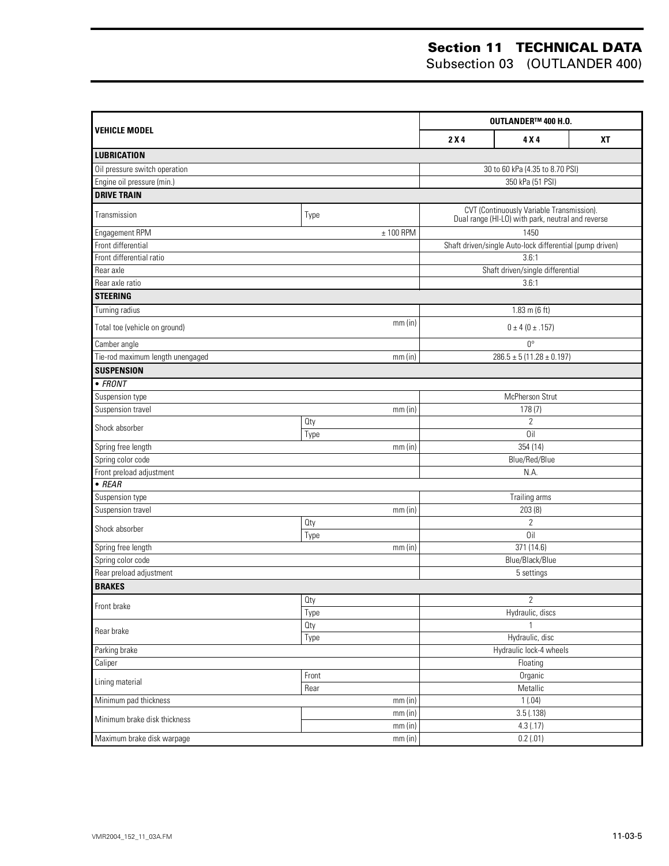|                                  |             |                         | OUTLANDER™ 400 H.O.                                                                            |           |  |  |
|----------------------------------|-------------|-------------------------|------------------------------------------------------------------------------------------------|-----------|--|--|
| <b>VEHICLE MODEL</b>             |             | 2X4                     | 4 X 4                                                                                          | <b>XT</b> |  |  |
| <b>LUBRICATION</b>               |             |                         |                                                                                                |           |  |  |
| Oil pressure switch operation    |             |                         | 30 to 60 kPa (4.35 to 8.70 PSI)                                                                |           |  |  |
| Engine oil pressure (min.)       |             |                         | 350 kPa (51 PSI)                                                                               |           |  |  |
| <b>DRIVE TRAIN</b>               |             |                         |                                                                                                |           |  |  |
| Transmission                     | Type        |                         | CVT (Continuously Variable Transmission).<br>Dual range (HI-LO) with park, neutral and reverse |           |  |  |
| Engagement RPM                   | $± 100$ RPM |                         | 1450                                                                                           |           |  |  |
| Front differential               |             |                         | Shaft driven/single Auto-lock differential (pump driven)                                       |           |  |  |
| Front differential ratio         |             |                         | 3.6:1                                                                                          |           |  |  |
| Rear axle                        |             |                         | Shaft driven/single differential                                                               |           |  |  |
| Rear axle ratio                  |             |                         | 3.6:1                                                                                          |           |  |  |
| <b>STEERING</b>                  |             |                         |                                                                                                |           |  |  |
| Turning radius                   |             |                         | $1.83 \text{ m}$ (6 ft)                                                                        |           |  |  |
| Total toe (vehicle on ground)    | $mm$ (in)   |                         | $0 \pm 4 (0 \pm .157)$                                                                         |           |  |  |
| Camber angle                     |             |                         | $0^{\circ}$                                                                                    |           |  |  |
| Tie-rod maximum length unengaged | mm(in)      |                         | $286.5 \pm 5(11.28 \pm 0.197)$                                                                 |           |  |  |
| <b>SUSPENSION</b>                |             |                         |                                                                                                |           |  |  |
| $\bullet$ FRONT                  |             |                         |                                                                                                |           |  |  |
| Suspension type                  |             |                         | McPherson Strut                                                                                |           |  |  |
| Suspension travel                | $mm$ (in)   |                         | 178(7)                                                                                         |           |  |  |
| Shock absorber                   | Qty         |                         | $\overline{2}$                                                                                 |           |  |  |
|                                  | Type        |                         | $\overline{0}$ il                                                                              |           |  |  |
| Spring free length               | mm(in)      |                         | 354 (14)                                                                                       |           |  |  |
| Spring color code                |             |                         | Blue/Red/Blue                                                                                  |           |  |  |
| Front preload adjustment         |             |                         | N.A.                                                                                           |           |  |  |
| $\bullet$ REAR                   |             |                         |                                                                                                |           |  |  |
| Suspension type                  |             |                         | Trailing arms                                                                                  |           |  |  |
| Suspension travel                | $mm$ (in)   |                         | 203(8)                                                                                         |           |  |  |
| Shock absorber                   | <b>Qty</b>  |                         | $\overline{2}$                                                                                 |           |  |  |
|                                  | Type        |                         | 0il                                                                                            |           |  |  |
| Spring free length               | mm(in)      |                         | 371 (14.6)                                                                                     |           |  |  |
| Spring color code                |             |                         | Blue/Black/Blue                                                                                |           |  |  |
| Rear preload adjustment          |             |                         | 5 settings                                                                                     |           |  |  |
| <b>BRAKES</b>                    |             |                         |                                                                                                |           |  |  |
| Front brake                      | Oty         |                         | $\overline{2}$                                                                                 |           |  |  |
|                                  | Type        |                         | Hydraulic, discs                                                                               |           |  |  |
| Rear brake                       | <b>Qty</b>  |                         | 1                                                                                              |           |  |  |
|                                  | Type        |                         | Hydraulic, disc                                                                                |           |  |  |
| Parking brake                    |             | Hydraulic lock-4 wheels |                                                                                                |           |  |  |
| Caliper                          |             |                         | Floating                                                                                       |           |  |  |
| Lining material                  | Front       |                         | Organic                                                                                        |           |  |  |
|                                  | Rear        |                         | Metallic                                                                                       |           |  |  |
| Minimum pad thickness            | $mm$ (in)   |                         | 1(.04)                                                                                         |           |  |  |
| Minimum brake disk thickness     | mm (in)     |                         | 3.5( .138)                                                                                     |           |  |  |
|                                  | mm(in)      |                         | 4.3(.17)                                                                                       |           |  |  |
| Maximum brake disk warpage       | mm (in)     |                         | 0.2(0.01)                                                                                      |           |  |  |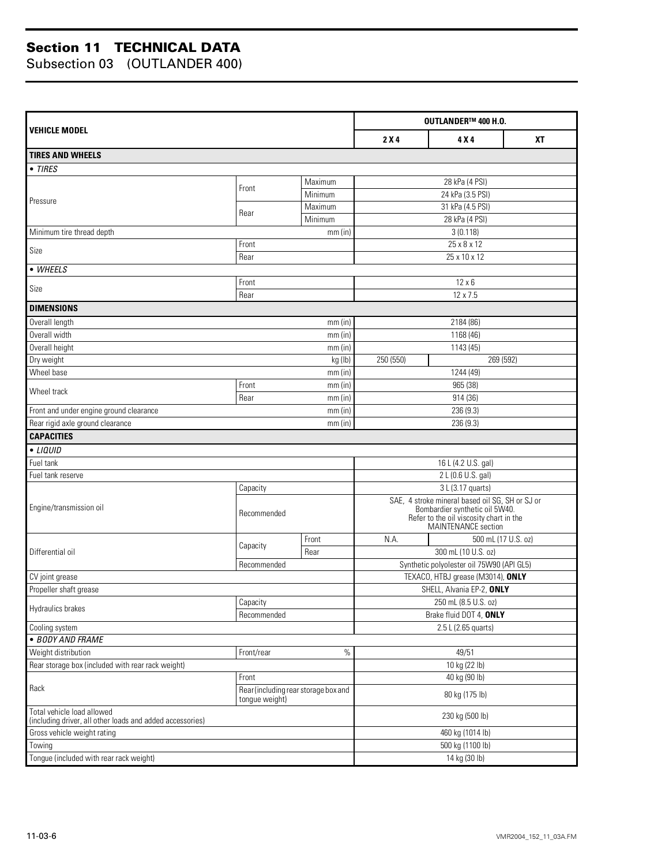|                                                                                         |                |                                      | OUTLANDER™ 400 H.O. |                                                                                                                                                            |           |  |
|-----------------------------------------------------------------------------------------|----------------|--------------------------------------|---------------------|------------------------------------------------------------------------------------------------------------------------------------------------------------|-----------|--|
| <b>VEHICLE MODEL</b>                                                                    |                |                                      | 2X4                 | 4 X 4                                                                                                                                                      | <b>XT</b> |  |
| <b>TIRES AND WHEELS</b>                                                                 |                |                                      |                     |                                                                                                                                                            |           |  |
| • TIRES                                                                                 |                |                                      |                     |                                                                                                                                                            |           |  |
|                                                                                         | Front          | Maximum                              |                     | 28 kPa (4 PSI)                                                                                                                                             |           |  |
| Pressure                                                                                |                | Minimum                              |                     | 24 kPa (3.5 PSI)                                                                                                                                           |           |  |
|                                                                                         | Rear           | Maximum                              |                     | 31 kPa (4.5 PSI)                                                                                                                                           |           |  |
|                                                                                         |                | Minimum                              |                     | 28 kPa (4 PSI)                                                                                                                                             |           |  |
| Minimum tire thread depth                                                               |                | $mm$ (in)                            |                     | 3(0.118)                                                                                                                                                   |           |  |
| Size                                                                                    | Front          |                                      |                     | 25 x 8 x 12                                                                                                                                                |           |  |
|                                                                                         | Rear           |                                      |                     | 25 x 10 x 12                                                                                                                                               |           |  |
| • WHEELS                                                                                |                |                                      |                     |                                                                                                                                                            |           |  |
| Size                                                                                    | Front          |                                      |                     | $12 \times 6$                                                                                                                                              |           |  |
|                                                                                         | Rear           |                                      |                     | 12 x 7.5                                                                                                                                                   |           |  |
| <b>DIMENSIONS</b>                                                                       |                |                                      |                     |                                                                                                                                                            |           |  |
| Overall length                                                                          |                | mm(in)                               |                     | 2184 (86)                                                                                                                                                  |           |  |
| Overall width                                                                           |                | $mm$ (in)                            |                     | 1168 (46)                                                                                                                                                  |           |  |
| Overall height                                                                          |                | $mm$ (in)                            |                     | 1143 (45)                                                                                                                                                  |           |  |
| Dry weight                                                                              |                | kg (lb)                              | 250 (550)           | 269 (592)                                                                                                                                                  |           |  |
| Wheel base                                                                              |                | $mm$ (in)                            |                     | 1244 (49)                                                                                                                                                  |           |  |
| Wheel track                                                                             | Front          | $mm$ (in)                            |                     | 965 (38)                                                                                                                                                   |           |  |
|                                                                                         | Rear           | mm(in)                               |                     | 914 (36)                                                                                                                                                   |           |  |
| Front and under engine ground clearance                                                 |                | $mm$ (in)                            | 236 (9.3)           |                                                                                                                                                            |           |  |
| Rear rigid axle ground clearance                                                        |                | mm(in)                               |                     | 236 (9.3)                                                                                                                                                  |           |  |
| <b>CAPACITIES</b>                                                                       |                |                                      |                     |                                                                                                                                                            |           |  |
| • LIQUID                                                                                |                |                                      |                     |                                                                                                                                                            |           |  |
| Fuel tank                                                                               |                |                                      |                     | 16 L (4.2 U.S. gal)                                                                                                                                        |           |  |
| Fuel tank reserve                                                                       |                |                                      |                     | 2 L (0.6 U.S. gal)                                                                                                                                         |           |  |
|                                                                                         | Capacity       |                                      |                     | 3 L (3.17 quarts)                                                                                                                                          |           |  |
| Engine/transmission oil                                                                 | Recommended    |                                      |                     | SAE, 4 stroke mineral based oil SG, SH or SJ or<br>Bombardier synthetic oil 5W40.<br>Refer to the oil viscosity chart in the<br><b>MAINTENANCE</b> section |           |  |
|                                                                                         | Capacity       | Front                                | N.A.                | 500 mL (17 U.S. oz)                                                                                                                                        |           |  |
| Differential oil                                                                        |                | Rear                                 |                     | 300 mL (10 U.S. oz)                                                                                                                                        |           |  |
|                                                                                         | Recommended    |                                      |                     | Synthetic polyolester oil 75W90 (API GL5)                                                                                                                  |           |  |
| CV joint grease                                                                         |                |                                      |                     | TEXACO, HTBJ grease (M3014), ONLY                                                                                                                          |           |  |
| Propeller shaft grease                                                                  |                |                                      |                     | SHELL, Alvania EP-2, ONLY                                                                                                                                  |           |  |
| Hydraulics brakes                                                                       | Capacity       |                                      |                     | 250 mL (8.5 U.S. oz)                                                                                                                                       |           |  |
|                                                                                         | Recommended    |                                      |                     | Brake fluid DOT 4, ONLY                                                                                                                                    |           |  |
| Cooling system                                                                          |                |                                      |                     | 2.5 L (2.65 quarts)                                                                                                                                        |           |  |
| · BODY AND FRAME                                                                        |                |                                      |                     |                                                                                                                                                            |           |  |
| Weight distribution                                                                     | Front/rear     | $\%$                                 |                     | 49/51                                                                                                                                                      |           |  |
| Rear storage box (included with rear rack weight)                                       |                |                                      |                     | 10 kg (22 lb)                                                                                                                                              |           |  |
| Rack                                                                                    | Front          |                                      |                     | 40 kg (90 lb)                                                                                                                                              |           |  |
|                                                                                         | tongue weight) | Rear (including rear storage box and |                     | 80 kg (175 lb)                                                                                                                                             |           |  |
| Total vehicle load allowed<br>(including driver, all other loads and added accessories) |                |                                      |                     | 230 kg (500 lb)                                                                                                                                            |           |  |
| Gross vehicle weight rating                                                             |                |                                      |                     | 460 kg (1014 lb)                                                                                                                                           |           |  |
| Towing                                                                                  |                |                                      |                     | 500 kg (1100 lb)                                                                                                                                           |           |  |
| Tongue (included with rear rack weight)                                                 |                |                                      |                     | 14 kg (30 lb)                                                                                                                                              |           |  |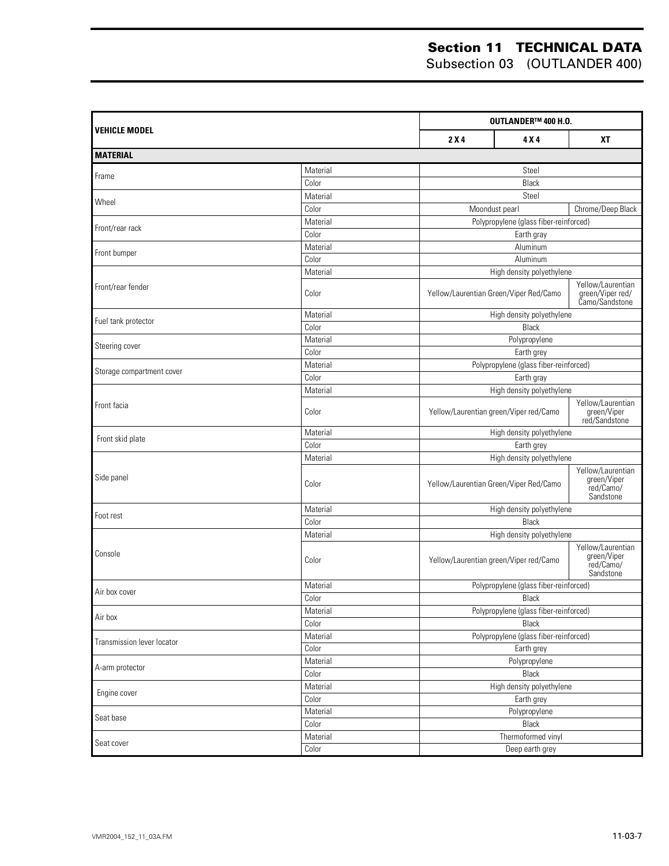|                                   |                           | OUTLANDER™ 400 H.O.                     |                                        |                                                            |  |
|-----------------------------------|---------------------------|-----------------------------------------|----------------------------------------|------------------------------------------------------------|--|
| VEHICLE MODEL                     |                           | 2X4                                     | 4 X 4                                  | <b>XT</b>                                                  |  |
| <b>MATERIAL</b>                   |                           |                                         |                                        |                                                            |  |
| Frame                             | Material                  |                                         | Steel                                  |                                                            |  |
|                                   | Color                     |                                         | Black                                  |                                                            |  |
| Wheel                             | Material                  |                                         | Steel                                  |                                                            |  |
|                                   | Color                     |                                         | Moondust pearl                         | Chrome/Deep Black                                          |  |
| Front/rear rack                   | Material                  |                                         | Polypropylene (glass fiber-reinforced) |                                                            |  |
|                                   | Color                     |                                         | Earth gray                             |                                                            |  |
| Front bumper                      | Material                  |                                         | Aluminum                               |                                                            |  |
|                                   | Color                     |                                         | Aluminum                               |                                                            |  |
|                                   | Material                  |                                         | High density polyethylene              |                                                            |  |
| Front/rear fender                 | Color                     | Yellow/Laurentian Green/Viper Red/Camo  |                                        | Yellow/Laurentian<br>green/Viper red/<br>Camo/Sandstone    |  |
| Fuel tank protector               | Material                  |                                         | High density polyethylene              |                                                            |  |
|                                   | Color                     |                                         | Black                                  |                                                            |  |
| Steering cover                    | Material                  |                                         | Polypropylene                          |                                                            |  |
|                                   | Color                     |                                         | Earth grey                             |                                                            |  |
| Storage compartment cover         | Material                  |                                         | Polypropylene (glass fiber-reinforced) |                                                            |  |
|                                   | Color                     |                                         | Earth gray                             |                                                            |  |
| Front facia                       | Material                  |                                         | High density polyethylene              |                                                            |  |
|                                   | Color                     | Yellow/Laurentian green/Viper red/Camo  |                                        | Yellow/Laurentian<br>green/Viper<br>red/Sandstone          |  |
| Front skid plate                  | Material                  | High density polyethylene               |                                        |                                                            |  |
|                                   | Color                     | Earth grey<br>High density polyethylene |                                        |                                                            |  |
|                                   | Material                  |                                         |                                        |                                                            |  |
| Side panel                        | Color                     | Yellow/Laurentian Green/Viper Red/Camo  |                                        | Yellow/Laurentian<br>green/Viper<br>red/Camo/<br>Sandstone |  |
| Foot rest                         | Material                  |                                         | High density polyethylene              |                                                            |  |
|                                   | Color                     |                                         | Black                                  |                                                            |  |
|                                   | Material                  | High density polyethylene               |                                        |                                                            |  |
| Console                           | Color                     |                                         | Yellow/Laurentian green/Viper red/Camo | Yellow/Laurentian<br>green/Viper<br>red/Camo/<br>Sandstone |  |
| Air box cover                     | Material                  |                                         | Polypropylene (glass fiber-reinforced) |                                                            |  |
|                                   | $\overline{\text{Color}}$ |                                         | Black                                  |                                                            |  |
| Air box                           | Material                  |                                         | Polypropylene (glass fiber-reinforced) |                                                            |  |
|                                   | Color                     |                                         | Black                                  |                                                            |  |
| <b>Transmission lever locator</b> | Material                  |                                         | Polypropylene (glass fiber-reinforced) |                                                            |  |
|                                   | Color                     |                                         | Earth grey                             |                                                            |  |
| A-arm protector                   | Material                  |                                         | Polypropylene                          |                                                            |  |
|                                   | Color                     |                                         | Black                                  |                                                            |  |
| Engine cover                      | Material<br>Color         |                                         | High density polyethylene              |                                                            |  |
|                                   | Material                  |                                         | Earth grey                             |                                                            |  |
| Seat base                         | Color                     |                                         | Polypropylene<br>Black                 |                                                            |  |
|                                   | Material                  |                                         | Thermoformed vinyl                     |                                                            |  |
| Seat cover                        | Color                     |                                         | Deep earth grey                        |                                                            |  |
|                                   |                           |                                         |                                        |                                                            |  |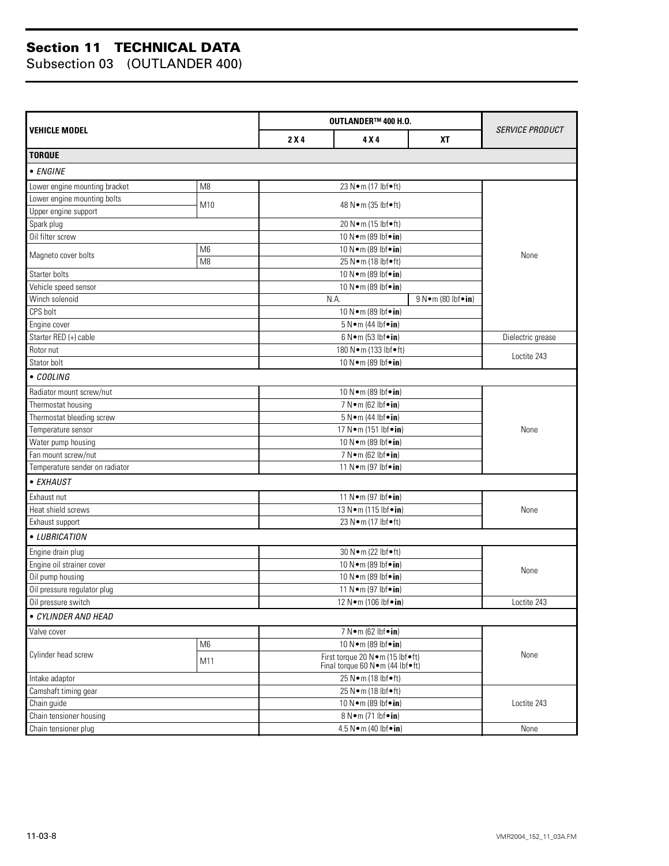|                                |                |                    | OUTLANDER™ 400 H.O.                                                        |                   |                   |  |  |
|--------------------------------|----------------|--------------------|----------------------------------------------------------------------------|-------------------|-------------------|--|--|
| <b>VEHICLE MODEL</b>           | 2X4            | 4 X 4<br><b>XT</b> |                                                                            |                   |                   |  |  |
| <b>TORQUE</b>                  |                |                    |                                                                            |                   |                   |  |  |
| • ENGINE                       |                |                    |                                                                            |                   |                   |  |  |
| Lower engine mounting bracket  | M <sub>8</sub> |                    | 23 N•m (17 lbf•ft)                                                         |                   |                   |  |  |
| Lower engine mounting bolts    |                |                    |                                                                            |                   |                   |  |  |
| Upper engine support           | M10            |                    | 48 N • m (35 lbf • ft)                                                     |                   |                   |  |  |
| Spark plug                     |                |                    | 20 N•m (15 lbf•ft)                                                         |                   |                   |  |  |
| Oil filter screw               |                |                    | 10 N•m (89 lbf•in)                                                         |                   |                   |  |  |
|                                | M <sub>6</sub> |                    | 10 N · m (89 lbf · in)                                                     |                   |                   |  |  |
| Magneto cover bolts            | M <sub>8</sub> |                    | 25 N•m (18 lbf•ft)                                                         |                   | None              |  |  |
| Starter bolts                  |                |                    | 10 N · m (89 lbf · in)                                                     |                   |                   |  |  |
| Vehicle speed sensor           |                |                    | 10 N•m (89 lbf•in)                                                         |                   |                   |  |  |
| Winch solenoid                 |                |                    | N.A.                                                                       | 9 N•m (80 lbf•in) |                   |  |  |
| CPS bolt                       |                |                    | 10 N · m (89 lbf · in)                                                     |                   |                   |  |  |
| Engine cover                   |                |                    | 5 N · m (44 lbf · in)                                                      |                   |                   |  |  |
| Starter RED (+) cable          |                |                    | $6 N \cdot m (53 lbf \cdot in)$                                            |                   | Dielectric grease |  |  |
| Rotor nut                      |                |                    | 180 N · m (133 lbf · ft)                                                   |                   |                   |  |  |
| Stator bolt                    |                |                    | 10 N · m (89 lbf · in)                                                     |                   | Loctite 243       |  |  |
| • COOLING                      |                |                    |                                                                            |                   |                   |  |  |
| Radiator mount screw/nut       |                |                    | 10 N•m (89 lbf•in)                                                         |                   |                   |  |  |
| Thermostat housing             |                |                    | 7 N • m (62 lbf • in)                                                      |                   |                   |  |  |
| Thermostat bleeding screw      |                |                    | $5 N \cdot m$ (44 lbf $\cdot in$ )                                         |                   |                   |  |  |
| Temperature sensor             |                |                    | 17 N·m (151 lbf•in)                                                        |                   |                   |  |  |
| Water pump housing             |                |                    | 10 N · m (89 lbf · in)                                                     |                   |                   |  |  |
| Fan mount screw/nut            |                |                    | 7 N • m (62 lbf • in)                                                      |                   |                   |  |  |
| Temperature sender on radiator |                |                    | 11 N • m (97 lbf • in)                                                     |                   |                   |  |  |
| • EXHAUST                      |                |                    |                                                                            |                   |                   |  |  |
| Exhaust nut                    |                |                    | 11 N•m (97 lbf•in)                                                         |                   |                   |  |  |
| Heat shield screws             |                |                    | 13 N • m (115 lbf • in)                                                    |                   |                   |  |  |
| Exhaust support                |                |                    | 23 N•m (17 lbf•ft)                                                         |                   |                   |  |  |
| • LUBRICATION                  |                |                    |                                                                            |                   |                   |  |  |
| Engine drain plug              |                |                    | 30 N•m (22 lbf•ft)                                                         |                   |                   |  |  |
| Engine oil strainer cover      |                |                    | 10 N · m (89 lbf · in)                                                     |                   | None              |  |  |
| Oil pump housing               |                |                    | 10 N · m (89 lbf · in)                                                     |                   |                   |  |  |
| Oil pressure regulator plug    |                |                    | 11 N • m (97 lbf • in)                                                     |                   |                   |  |  |
| Oil pressure switch            |                |                    | 12 N●m (106 lbf●in)                                                        |                   | Loctite 243       |  |  |
| • CYLINDER AND HEAD            |                |                    |                                                                            |                   |                   |  |  |
| Valve cover                    |                |                    | 7 N • m (62 lbf • in)                                                      |                   |                   |  |  |
|                                | M <sub>6</sub> |                    | 10 N · m (89 lbf · in)                                                     |                   |                   |  |  |
| Cylinder head screw<br>M11     |                |                    | First torque 20 N · m (15 lbf · ft)<br>Final torque 60 N · m (44 lbf · ft) |                   |                   |  |  |
| Intake adaptor                 |                |                    | 25 N•m (18 lbf•ft)                                                         |                   |                   |  |  |
| Camshaft timing gear           |                |                    | 25 N•m (18 lbf•ft)                                                         |                   |                   |  |  |
| Chain guide                    |                |                    | 10 N • m (89 lbf • in)                                                     |                   |                   |  |  |
| Chain tensioner housing        |                |                    | 8 N • m (71 lbf • in)                                                      |                   |                   |  |  |
| Chain tensioner plug           |                |                    | 4.5 N•m (40 lbf•in)                                                        |                   | None              |  |  |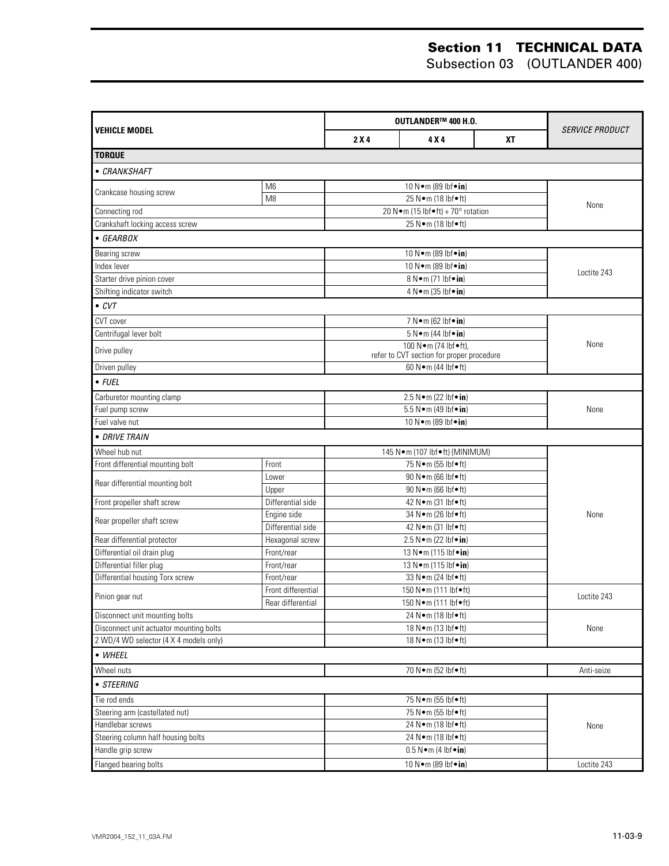|                                         |                    | OUTLANDER™ 400 H.O. |                                                |           |                        |
|-----------------------------------------|--------------------|---------------------|------------------------------------------------|-----------|------------------------|
| <b>VEHICLE MODEL</b>                    |                    | 2X4                 | 4 X 4                                          | <b>XT</b> | <i>SERVICE PRODUCT</i> |
| <b>TORQUE</b>                           |                    |                     |                                                |           |                        |
| • CRANKSHAFT                            |                    |                     |                                                |           |                        |
|                                         | M <sub>6</sub>     |                     | 10 N•m (89 lbf•in)                             |           |                        |
| Crankcase housing screw                 | M <sub>8</sub>     |                     | 25 N•m (18 lbf•ft)                             |           |                        |
| Connecting rod                          |                    |                     | 20 N · m (15 lbf • ft) + 70° rotation          |           | None                   |
| Crankshaft locking access screw         |                    |                     | 25 N•m (18 lbf•ft)                             |           |                        |
| • GEARBOX                               |                    |                     |                                                |           |                        |
| Bearing screw                           |                    |                     | 10 N•m (89 lbf•in)                             |           |                        |
| Index lever                             |                    |                     | 10 N•m (89 lbf•in)                             |           |                        |
| Starter drive pinion cover              |                    |                     | 8 N•m (71 lbf•in)                              |           | Loctite 243            |
| Shifting indicator switch               |                    |                     | 4 N • m (35 lbf • in)                          |           |                        |
| $\bullet$ CVT                           |                    |                     |                                                |           |                        |
| CVT cover                               |                    |                     | 7 N • m (62 lbf • in)                          |           |                        |
| Centrifugal lever bolt                  |                    |                     | $5 N \cdot m$ (44 lbf $\cdot$ in)              |           |                        |
|                                         |                    |                     | 100 N•m (74 lbf•ft),                           |           | None                   |
| Drive pulley                            |                    |                     | refer to CVT section for proper procedure      |           |                        |
| Driven pulley                           |                    |                     | 60 N · m (44 lbf • ft)                         |           |                        |
| $\bullet$ FUEL                          |                    |                     |                                                |           |                        |
| Carburetor mounting clamp               |                    |                     | 2.5 N • m (22 lbf • in)                        |           |                        |
| Fuel pump screw                         |                    |                     | 5.5 N · m (49 lbf · in)                        |           | None                   |
| Fuel valve nut                          |                    |                     | 10 N · m (89 lbf · in)                         |           |                        |
| · DRIVE TRAIN                           |                    |                     |                                                |           |                        |
| Wheel hub nut                           |                    |                     | 145 N · m (107 lbf · ft) (MINIMUM)             |           |                        |
| Front differential mounting bolt        | Front              |                     | 75 N•m (55 lbf•ft)                             |           |                        |
| Rear differential mounting bolt         | Lower              |                     | 90 N · m (66 lbf · ft)                         |           |                        |
|                                         | Upper              |                     | 90 N · m (66 lbf · ft)                         |           |                        |
| Front propeller shaft screw             | Differential side  |                     | 42 N • m (31 lbf • ft)                         |           |                        |
| Rear propeller shaft screw              | Engine side        |                     | 34 N · m (26 lbf · ft)                         |           | None                   |
|                                         | Differential side  |                     | 42 N • m (31 lbf • ft)                         |           |                        |
| Rear differential protector             | Hexagonal screw    |                     | 2.5 N • m (22 lbf • in)                        |           |                        |
| Differential oil drain plug             | Front/rear         |                     | 13 N · m (115 lbf · in)                        |           |                        |
| Differential filler plug                | Front/rear         |                     | 13 N • m (115 lbf • in)                        |           |                        |
| Differential housing Torx screw         | Front/rear         |                     | 33 N • m (24 lbf • ft)                         |           |                        |
| Pinion gear nut                         | Front differential |                     | 150 N · m (111 lbf · ft)                       |           | Loctite 243            |
| Disconnect unit mounting bolts          | Rear differential  |                     | 150 N • m (111 lbf • ft)<br>24 N•m (18 lbf•ft) |           |                        |
| Disconnect unit actuator mounting bolts |                    |                     | 18 N • m (13 lbf • ft)                         |           | None                   |
| 2 WD/4 WD selector (4 X 4 models only)  |                    |                     |                                                |           |                        |
| • WHEEL                                 |                    |                     | 18 N•m (13 lbf•ft)                             |           |                        |
| Wheel nuts                              |                    |                     | 70 N · m (52 lbf · ft)                         |           | Anti-seize             |
| • STEERING                              |                    |                     |                                                |           |                        |
| Tie rod ends                            |                    |                     | 75 N•m (55 lbf•ft)                             |           |                        |
| Steering arm (castellated nut)          |                    |                     | 75 N•m (55 lbf•ft)                             |           |                        |
| Handlebar screws                        |                    |                     | 24 N•m (18 lbf•ft)                             |           | None                   |
| Steering column half housing bolts      |                    | 24 N•m (18 lbf•ft)  |                                                |           |                        |
| Handle grip screw                       |                    |                     | $0.5 N \cdot m$ (4 lbf $\cdot in$ )            |           |                        |
| Flanged bearing bolts                   |                    |                     | 10 N•m (89 lbf•in)                             |           | Loctite 243            |
|                                         |                    |                     |                                                |           |                        |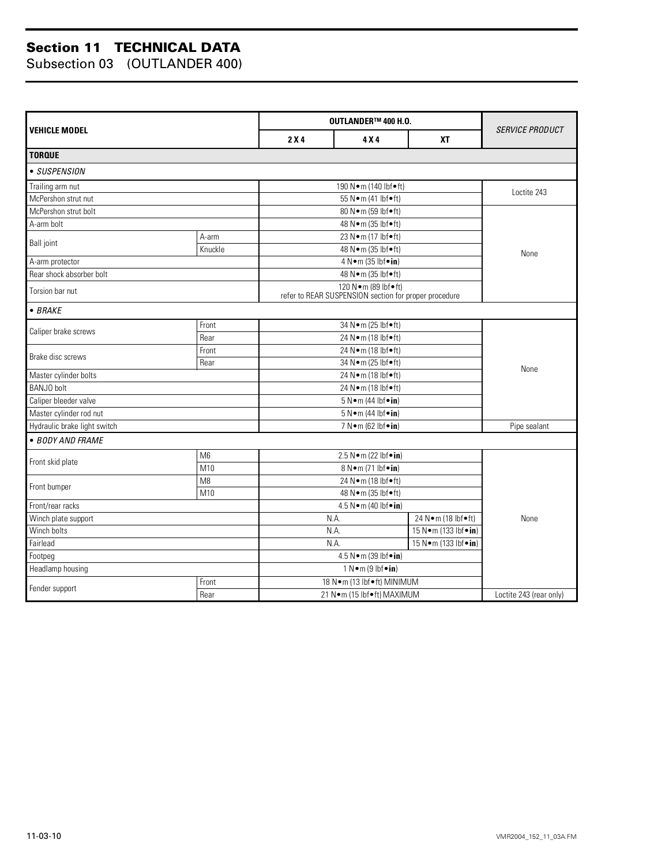| <b>VEHICLE MODEL</b>         |                |                                 | OUTLANDER™ 400 H.O.                                                              |           |                         |  |
|------------------------------|----------------|---------------------------------|----------------------------------------------------------------------------------|-----------|-------------------------|--|
|                              |                | 2X4                             | 4 X 4                                                                            | <b>XT</b> | <i>SERVICE PRODUCT</i>  |  |
| <b>TORQUE</b>                |                |                                 |                                                                                  |           |                         |  |
| • SUSPENSION                 |                |                                 |                                                                                  |           |                         |  |
| Trailing arm nut             |                |                                 | 190 N•m (140 lbf•ft)                                                             |           |                         |  |
| McPershon strut nut          |                |                                 | 55 N • m (41 lbf • ft)                                                           |           | Loctite 243             |  |
| McPershon strut bolt         |                |                                 | 80 N · m (59 lbf • ft)                                                           |           |                         |  |
| A-arm bolt                   |                |                                 | 48 N · m (35 lbf · ft)                                                           |           |                         |  |
| <b>Ball</b> joint            | A-arm          |                                 | 23 N•m (17 lbf•ft)                                                               |           |                         |  |
|                              | Knuckle        |                                 | 48 N • m (35 lbf • ft)                                                           |           | None                    |  |
| A-arm protector              |                |                                 | 4 N • m (35 lbf • in)                                                            |           |                         |  |
| Rear shock absorber bolt     |                |                                 | 48 N • m (35 lbf • ft)                                                           |           |                         |  |
| Torsion bar nut              |                |                                 | 120 N · m (89 lbf · ft)<br>refer to REAR SUSPENSION section for proper procedure |           |                         |  |
| $\bullet$ BRAKE              |                |                                 |                                                                                  |           |                         |  |
| Caliper brake screws         | Front          |                                 | 34 N · m (25 lbf • ft)                                                           |           |                         |  |
|                              | Rear           |                                 | 24 N•m (18 lbf•ft)                                                               |           |                         |  |
| Brake disc screws            | Front          |                                 | 24 N•m (18 lbf•ft)                                                               |           |                         |  |
|                              | Rear           |                                 | 34 N•m (25 lbf•ft)                                                               |           |                         |  |
| Master cylinder bolts        |                |                                 | None                                                                             |           |                         |  |
| <b>BANJO</b> bolt            |                |                                 |                                                                                  |           |                         |  |
| Caliper bleeder valve        |                |                                 |                                                                                  |           |                         |  |
| Master cylinder rod nut      |                |                                 |                                                                                  |           |                         |  |
| Hydraulic brake light switch |                | 7 N•m (62 lbf•in)               |                                                                                  |           | Pipe sealant            |  |
| • BODY AND FRAME             |                |                                 |                                                                                  |           |                         |  |
| Front skid plate             | M <sub>6</sub> |                                 | 2.5 N•m (22 lbf•in)                                                              |           |                         |  |
|                              | M10            |                                 | 8 N•m (71 lbf•in)                                                                |           |                         |  |
| Front bumper                 | M8             |                                 | 24 N•m (18 lbf•ft)                                                               |           |                         |  |
|                              | M10            |                                 | 48 N • m (35 lbf • ft)                                                           |           |                         |  |
| Front/rear racks             |                |                                 | 4.5 N•m (40 lbf•in)                                                              |           |                         |  |
| Winch plate support          |                |                                 | N.A.<br>24 N · m (18 lbf • ft)                                                   |           | None                    |  |
| Winch bolts                  |                |                                 | $\overline{15}$ N $\bullet$ m (133 lbf $\bullet$ in)<br>N.A.                     |           |                         |  |
| Fairlead                     |                | N.A.<br>15 N • m (133 lbf • in) |                                                                                  |           |                         |  |
| Footpeg                      |                | 4.5 N•m (39 lbf•in)             |                                                                                  |           |                         |  |
| Headlamp housing             |                | $1 N \cdot m (9 lbf \cdot in)$  |                                                                                  |           |                         |  |
| Fender support               | Front          |                                 | 18 N·m (13 lbf•ft) MINIMUM                                                       |           |                         |  |
|                              | Rear           |                                 | 21 N•m (15 lbf•ft) MAXIMUM                                                       |           | Loctite 243 (rear only) |  |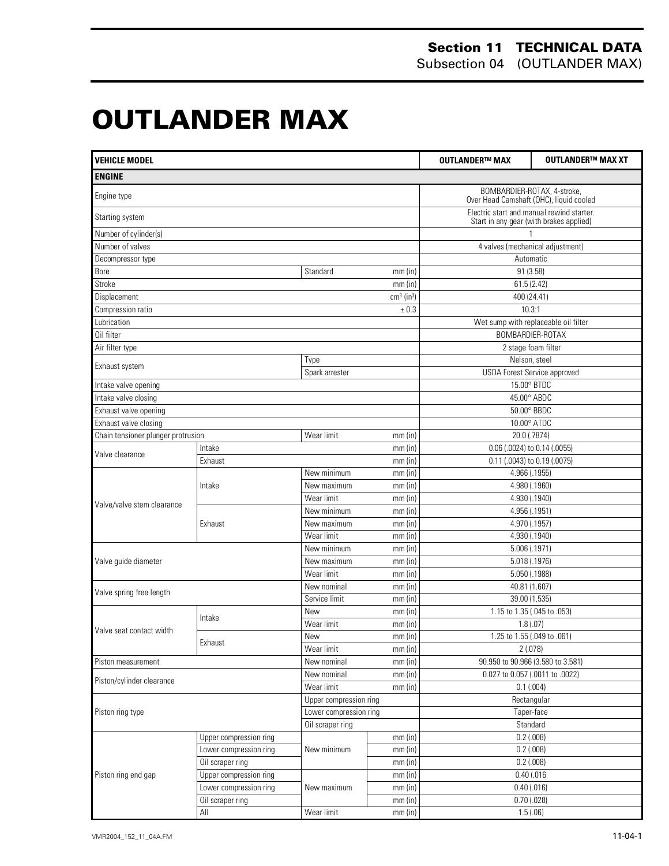# **OUTLANDER MAX 0**

| <b>VEHICLE MODEL</b>               |                        |                                                                        |                          | <b>OUTLANDER™ MAX</b>                                                                | <b>OUTLANDER™ MAX XT</b> |
|------------------------------------|------------------------|------------------------------------------------------------------------|--------------------------|--------------------------------------------------------------------------------------|--------------------------|
| <b>ENGINE</b>                      |                        |                                                                        |                          |                                                                                      |                          |
| Engine type                        |                        | BOMBARDIER-ROTAX, 4-stroke,<br>Over Head Camshaft (OHC), liquid cooled |                          |                                                                                      |                          |
| Starting system                    |                        |                                                                        |                          | Electric start and manual rewind starter.<br>Start in any gear (with brakes applied) |                          |
| Number of cylinder(s)              |                        |                                                                        |                          |                                                                                      |                          |
| Number of valves                   |                        |                                                                        |                          | 4 valves (mechanical adjustment)                                                     |                          |
| Decompressor type                  |                        |                                                                        |                          | Automatic                                                                            |                          |
| Bore                               |                        | Standard                                                               | $mm$ (in)                | 91 (3.58)                                                                            |                          |
| Stroke                             |                        |                                                                        | $mm$ (in)                | 61.5 (2.42)                                                                          |                          |
| Displacement                       |                        |                                                                        | $cm3$ (in <sup>3</sup> ) | 400 (24.41)                                                                          |                          |
| Compression ratio                  |                        |                                                                        | ± 0.3                    | 10.3:1                                                                               |                          |
| Lubrication                        |                        |                                                                        |                          | Wet sump with replaceable oil filter                                                 |                          |
| Oil filter                         |                        |                                                                        |                          |                                                                                      | BOMBARDIER-ROTAX         |
| Air filter type                    |                        |                                                                        |                          |                                                                                      | 2 stage foam filter      |
|                                    |                        | Type                                                                   |                          | Nelson, steel                                                                        |                          |
| Exhaust system                     |                        | Spark arrester                                                         |                          | <b>USDA Forest Service approved</b>                                                  |                          |
| Intake valve opening               |                        |                                                                        |                          | 15.00° BTDC                                                                          |                          |
| Intake valve closing               |                        |                                                                        |                          | 45.00° ABDC                                                                          |                          |
| Exhaust valve opening              |                        |                                                                        |                          | 50.00° BBDC                                                                          |                          |
| Exhaust valve closing              |                        |                                                                        |                          | 10.00° ATDC                                                                          |                          |
| Chain tensioner plunger protrusion |                        | Wear limit                                                             | $mm$ (in)                | 20.0 (.7874)                                                                         |                          |
|                                    | Intake                 |                                                                        | $mm$ (in)                | 0.06 (.0024) to 0.14 (.0055)                                                         |                          |
| Valve clearance                    | Exhaust                |                                                                        | $mm$ (in)                | 0.11 (.0043) to 0.19 (.0075)                                                         |                          |
|                                    | Intake                 | New minimum                                                            | $mm$ (in)                | 4.966 (.1955)                                                                        |                          |
|                                    |                        | 4.980 (.1960)<br>$mm$ (in)<br>New maximum                              |                          |                                                                                      |                          |
|                                    |                        | Wear limit                                                             | $mm$ (in)                | 4.930 (.1940)                                                                        |                          |
| Valve/valve stem clearance         |                        | 4.956 (.1951)<br>New minimum<br>$mm$ (in)                              |                          |                                                                                      |                          |
|                                    | Exhaust                | New maximum                                                            | $mm$ (in)                | 4.970 (.1957)                                                                        |                          |
|                                    |                        | Wear limit                                                             | $mm$ (in)                | 4.930 (.1940)                                                                        |                          |
|                                    |                        | New minimum                                                            | mm(in)                   | 5.006 (.1971)                                                                        |                          |
| Valve guide diameter               |                        | New maximum                                                            | mm(in)                   | 5.018 (.1976)                                                                        |                          |
|                                    |                        | Wear limit                                                             | $mm$ (in)                | 5.050 (.1988)                                                                        |                          |
| Valve spring free length           |                        | New nominal                                                            | $mm$ (in)                | 40.81 (1.607)                                                                        |                          |
|                                    |                        | Service limit                                                          | $mm$ (in)                | 39.00 (1.535)                                                                        |                          |
|                                    |                        | New                                                                    | $mm$ (in)                | 1.15 to 1.35 (.045 to .053)                                                          |                          |
|                                    | Intake                 | Wear limit                                                             | mm(in)                   | 1.8(0.07)                                                                            |                          |
| Valve seat contact width           | Exhaust                | New                                                                    | $mm$ (in)                | 1.25 to 1.55 (.049 to .061)                                                          |                          |
|                                    |                        | Wear limit                                                             | $mm$ (in)                | 2(.078)                                                                              |                          |
| Piston measurement                 |                        | New nominal                                                            | $mm$ (in)                | 90.950 to 90.966 (3.580 to 3.581)                                                    |                          |
| Piston/cylinder clearance          |                        | New nominal                                                            | $mm$ (in)                | 0.027 to 0.057 (.0011 to .0022)                                                      |                          |
|                                    |                        | Wear limit                                                             | $mm$ (in)                | 0.1(.004)                                                                            |                          |
|                                    |                        | Upper compression ring                                                 |                          | Rectangular                                                                          |                          |
| Piston ring type                   |                        | Lower compression ring                                                 |                          | Taper-face                                                                           |                          |
|                                    |                        | Oil scraper ring                                                       |                          | Standard                                                                             |                          |
|                                    | Upper compression ring |                                                                        | mm(in)                   | $0.2$ (.008)                                                                         |                          |
|                                    | Lower compression ring | New minimum                                                            | mm(in)                   | $0.2$ (.008)                                                                         |                          |
|                                    | Oil scraper ring       |                                                                        | $mm$ (in)                | $0.2$ (.008)                                                                         |                          |
| Piston ring end gap                | Upper compression ring |                                                                        | $mm$ (in)                | $0.40$ (.016                                                                         |                          |
|                                    | Lower compression ring | New maximum                                                            | mm(in)                   | $0.40$ (.016)                                                                        |                          |
|                                    | Oil scraper ring       |                                                                        | $mm$ (in)                | $0.70$ (.028)                                                                        |                          |
|                                    | All                    | Wear limit                                                             | mm(in)                   | 1.5(.06)                                                                             |                          |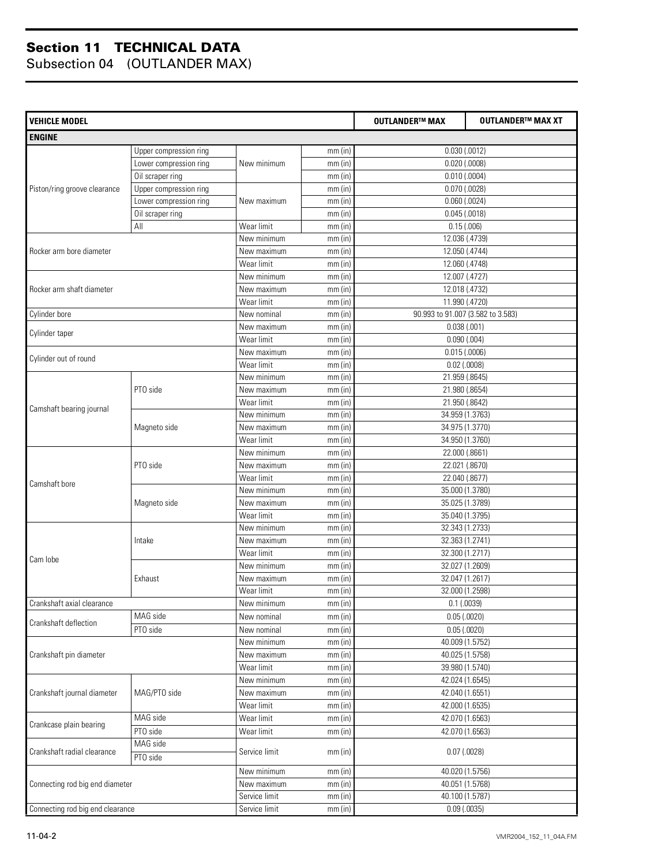| <b>VEHICLE MODEL</b>             |                        |               |           | <b>OUTLANDER™ MAX</b>             | <b>OUTLANDER™ MAX XT</b> |
|----------------------------------|------------------------|---------------|-----------|-----------------------------------|--------------------------|
| <b>ENGINE</b>                    |                        |               |           |                                   |                          |
|                                  | Upper compression ring |               | mm(in)    | $0.030$ $(.0012)$                 |                          |
|                                  | Lower compression ring | New minimum   | mm(in)    | $0.020$ (.0008)                   |                          |
|                                  | Oil scraper ring       |               | $mm$ (in) | $0.010$ (.0004)                   |                          |
| Piston/ring groove clearance     | Upper compression ring |               | mm(in)    | $0.070$ $(.0028)$                 |                          |
|                                  | Lower compression ring | New maximum   | mm(in)    | $0.060$ $(.0024)$                 |                          |
|                                  | Oil scraper ring       |               | mm(in)    | $0.045$ $(.0018)$                 |                          |
|                                  | All                    | Wear limit    | mm(in)    | 0.15(0.006)                       |                          |
|                                  |                        | New minimum   | mm(in)    | 12.036 (.4739)                    |                          |
| Rocker arm bore diameter         |                        | New maximum   | mm(in)    | 12.050 (.4744)                    |                          |
|                                  |                        | Wear limit    | mm(in)    | 12.060 (.4748)                    |                          |
|                                  |                        | New minimum   | mm(in)    | 12.007 (.4727)                    |                          |
| Rocker arm shaft diameter        |                        | New maximum   | mm(in)    | 12.018 (.4732)                    |                          |
|                                  |                        | Wear limit    | mm(in)    | 11.990 (.4720)                    |                          |
| Cylinder bore                    |                        | New nominal   | $mm$ (in) | 90.993 to 91.007 (3.582 to 3.583) |                          |
|                                  |                        | New maximum   | $mm$ (in) | 0.038(.001)                       |                          |
| Cylinder taper                   |                        | Wear limit    | mm(in)    | 0.090(.004)                       |                          |
|                                  |                        | New maximum   | $mm$ (in) | 0.015(.0006)                      |                          |
| Cylinder out of round            |                        | Wear limit    | mm(in)    | $0.02$ (.0008)                    |                          |
|                                  |                        | New minimum   | mm(in)    | 21.959 (.8645)                    |                          |
|                                  | PTO side               | New maximum   | mm(in)    | 21.980 (.8654)                    |                          |
|                                  |                        | Wear limit    | mm(in)    | 21.950 (.8642)                    |                          |
| Camshaft bearing journal         |                        | New minimum   | mm(in)    | 34.959 (1.3763)                   |                          |
|                                  | Magneto side           | New maximum   | mm(in)    | 34.975 (1.3770)                   |                          |
|                                  |                        | Wear limit    | mm(in)    | 34.950 (1.3760)                   |                          |
|                                  |                        | New minimum   | mm(in)    | 22.000 (.8661)                    |                          |
|                                  | PTO side               | New maximum   | mm(in)    | 22.021 (.8670)                    |                          |
|                                  |                        | Wear limit    | mm(in)    | 22.040 (.8677)                    |                          |
| Camshaft bore                    | Magneto side           | New minimum   | mm(in)    | 35.000 (1.3780)                   |                          |
|                                  |                        | New maximum   | mm(in)    | 35.025 (1.3789)                   |                          |
|                                  |                        | Wear limit    | $mm$ (in) | 35.040 (1.3795)                   |                          |
|                                  |                        | New minimum   | mm(in)    | 32.343 (1.2733)                   |                          |
|                                  | Intake                 | New maximum   | mm(in)    | 32.363 (1.2741)                   |                          |
|                                  |                        | Wear limit    | mm(in)    | 32.300 (1.2717)                   |                          |
| Cam lobe                         |                        | New minimum   | mm(in)    | 32.027 (1.2609)                   |                          |
|                                  | Exhaust                | New maximum   | $mm$ (in) | 32.047 (1.2617)                   |                          |
|                                  |                        | Wear limit    | $mm$ (in) | 32.000 (1.2598)                   |                          |
| Crankshaft axial clearance       |                        | New minimum   | $mm$ (in) | $0.1$ (.0039)                     |                          |
|                                  | MAG side               | New nominal   | mm(in)    | 0.05(0.0020)                      |                          |
| Crankshaft deflection            | PTO side               | New nominal   | mm(in)    | 0.05(0.0020)                      |                          |
|                                  |                        | New minimum   | mm(in)    | 40.009 (1.5752)                   |                          |
| Crankshaft pin diameter          |                        | New maximum   | mm(in)    | 40.025 (1.5758)                   |                          |
|                                  |                        | Wear limit    | mm(in)    | 39.980 (1.5740)                   |                          |
|                                  |                        | New minimum   | mm(in)    | 42.024 (1.6545)                   |                          |
| Crankshaft journal diameter      | MAG/PTO side           | New maximum   | $mm$ (in) | 42.040 (1.6551)                   |                          |
|                                  |                        | Wear limit    | $mm$ (in) | 42.000 (1.6535)                   |                          |
|                                  | MAG side               | Wear limit    | $mm$ (in) | 42.070 (1.6563)                   |                          |
| Crankcase plain bearing          | PTO side               | Wear limit    | $mm$ (in) | 42.070 (1.6563)                   |                          |
|                                  | MAG side               |               |           |                                   |                          |
| Crankshaft radial clearance      | PTO side               | Service limit | $mm$ (in) | $0.07$ $(.0028)$                  |                          |
|                                  |                        | New minimum   | $mm$ (in) | 40.020 (1.5756)                   |                          |
| Connecting rod big end diameter  |                        | New maximum   | $mm$ (in) | 40.051 (1.5768)                   |                          |
|                                  |                        | Service limit | $mm$ (in) | 40.100 (1.5787)                   |                          |
| Connecting rod big end clearance |                        | Service limit | $mm$ (in) | 0.09(0.0035)                      |                          |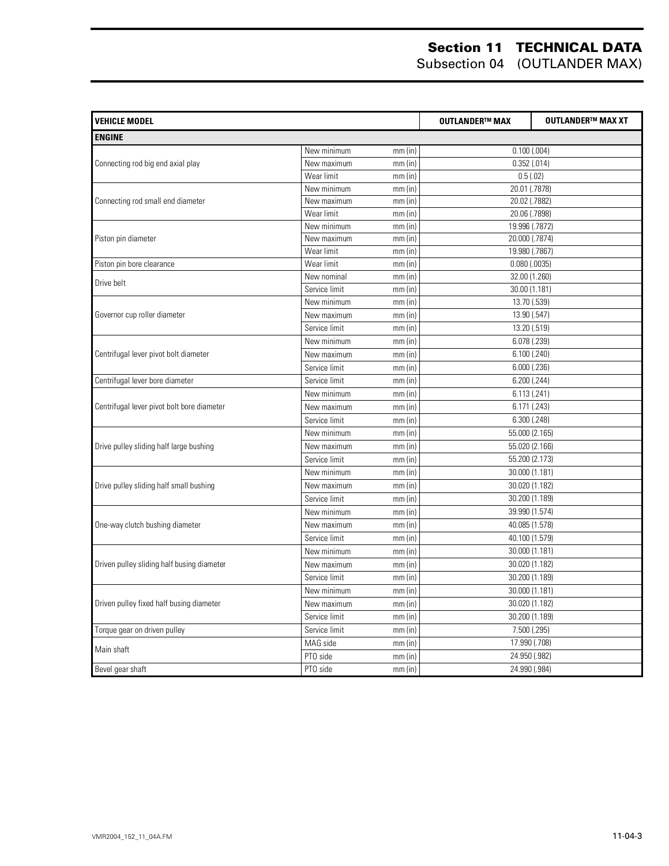| <b>VEHICLE MODEL</b>                       |               |           | <b>OUTLANDER™ MAX</b> | <b>OUTLANDER™ MAX XT</b> |
|--------------------------------------------|---------------|-----------|-----------------------|--------------------------|
| <b>ENGINE</b>                              |               |           |                       |                          |
|                                            | New minimum   | $mm$ (in) | 0.100(.004)           |                          |
| Connecting rod big end axial play          | New maximum   | $mm$ (in) | $0.352$ $(.014)$      |                          |
|                                            | Wear limit    | $mm$ (in) | 0.5(0.02)             |                          |
|                                            | New minimum   | $mm$ (in) | 20.01 (.7878)         |                          |
| Connecting rod small end diameter          | New maximum   | $mm$ (in) | 20.02 (.7882)         |                          |
|                                            | Wear limit    | $mm$ (in) | 20.06 (.7898)         |                          |
|                                            | New minimum   | $mm$ (in) | 19.996 (.7872)        |                          |
| Piston pin diameter                        | New maximum   | $mm$ (in) | 20.000 (.7874)        |                          |
|                                            | Wear limit    | $mm$ (in) | 19.980 (.7867)        |                          |
| Piston pin bore clearance                  | Wear limit    | $mm$ (in) | $0.080$ (.0035)       |                          |
| Drive belt                                 | New nominal   | $mm$ (in) | 32.00 (1.260)         |                          |
|                                            | Service limit | $mm$ (in) | 30.00 (1.181)         |                          |
|                                            | New minimum   | $mm$ (in) | 13.70 (.539)          |                          |
| Governor cup roller diameter               | New maximum   | $mm$ (in) | 13.90 (.547)          |                          |
|                                            | Service limit | $mm$ (in) | 13.20 (.519)          |                          |
|                                            | New minimum   | $mm$ (in) | 6.078 (.239)          |                          |
| Centrifugal lever pivot bolt diameter      | New maximum   | $mm$ (in) | 6.100(.240)           |                          |
|                                            | Service limit | $mm$ (in) | $6.000$ $(.236)$      |                          |
| Centrifugal lever bore diameter            | Service limit | $mm$ (in) | 6.200 (.244)          |                          |
|                                            | New minimum   | $mm$ (in) | 6.113(.241)           |                          |
| Centrifugal lever pivot bolt bore diameter | New maximum   | $mm$ (in) | 6.171(.243)           |                          |
|                                            | Service limit | $mm$ (in) | 6.300(.248)           |                          |
|                                            | New minimum   | $mm$ (in) | 55.000 (2.165)        |                          |
| Drive pulley sliding half large bushing    | New maximum   | $mm$ (in) | 55.020 (2.166)        |                          |
|                                            | Service limit | $mm$ (in) | 55.200 (2.173)        |                          |
|                                            | New minimum   | $mm$ (in) | 30.000 (1.181)        |                          |
| Drive pulley sliding half small bushing    | New maximum   | $mm$ (in) | 30.020 (1.182)        |                          |
|                                            | Service limit | $mm$ (in) | 30.200 (1.189)        |                          |
|                                            | New minimum   | $mm$ (in) | 39.990 (1.574)        |                          |
| One-way clutch bushing diameter            | New maximum   | $mm$ (in) | 40.085 (1.578)        |                          |
|                                            | Service limit | $mm$ (in) | 40.100 (1.579)        |                          |
|                                            | New minimum   | $mm$ (in) | 30.000 (1.181)        |                          |
| Driven pulley sliding half busing diameter | New maximum   | $mm$ (in) | 30.020 (1.182)        |                          |
|                                            | Service limit | $mm$ (in) | 30.200 (1.189)        |                          |
|                                            | New minimum   | $mm$ (in) | 30.000 (1.181)        |                          |
| Driven pulley fixed half busing diameter   | New maximum   | $mm$ (in) | 30.020 (1.182)        |                          |
|                                            | Service limit | $mm$ (in) | 30.200 (1.189)        |                          |
| Torque gear on driven pulley               | Service limit | $mm$ (in) | 7.500 (.295)          |                          |
|                                            | MAG side      | $mm$ (in) | 17.990 (.708)         |                          |
| Main shaft                                 | PTO side      | $mm$ (in) | 24.950 (.982)         |                          |
| Bevel gear shaft                           | PTO side      | $mm$ (in) | 24.990 (.984)         |                          |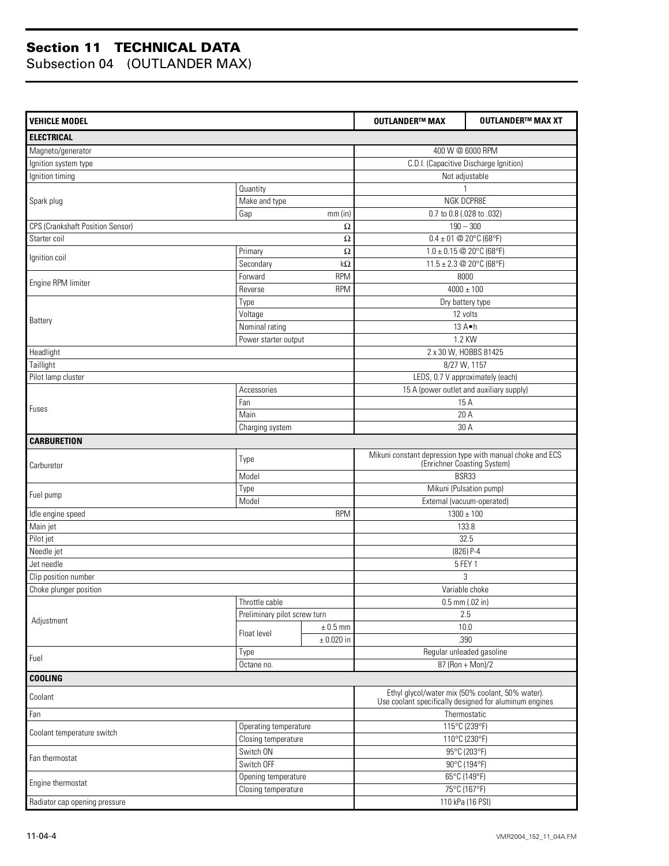| <b>VEHICLE MODEL</b>             |                              |                | <b>OUTLANDER™ MAX</b>                                                                    | <b>OUTLANDER™ MAX XT</b>                                                                                   |  |
|----------------------------------|------------------------------|----------------|------------------------------------------------------------------------------------------|------------------------------------------------------------------------------------------------------------|--|
| <b>ELECTRICAL</b>                |                              |                |                                                                                          |                                                                                                            |  |
| Magneto/generator                | 400 W @ 6000 RPM             |                |                                                                                          |                                                                                                            |  |
| Ignition system type             |                              |                | C.D.I. (Capacitive Discharge Ignition)                                                   |                                                                                                            |  |
| Ignition timing                  |                              |                | Not adjustable                                                                           |                                                                                                            |  |
|                                  | Quantity                     |                |                                                                                          |                                                                                                            |  |
| Spark plug                       | Make and type                |                | NGK DCPR8E                                                                               |                                                                                                            |  |
|                                  | Gap                          | $mm$ (in)      | 0.7 to 0.8 (.028 to .032)                                                                |                                                                                                            |  |
| CPS (Crankshaft Position Sensor) |                              | Ω              |                                                                                          | $190 - 300$                                                                                                |  |
| Starter coil                     |                              | Ω              | $0.4 \pm 01$ @ 20°C (68°F)                                                               |                                                                                                            |  |
| Ignition coil                    | Primary                      | Ω              |                                                                                          | $1.0 \pm 0.15$ @ 20°C (68°F)                                                                               |  |
|                                  | Secondary                    | $k\Omega$      |                                                                                          | 11.5 ± 2.3 @ 20°C (68°F)                                                                                   |  |
| Engine RPM limiter               | Forward                      | <b>RPM</b>     |                                                                                          | 8000                                                                                                       |  |
|                                  | Reverse                      | <b>RPM</b>     |                                                                                          | $4000 \pm 100$                                                                                             |  |
|                                  | Type                         |                |                                                                                          | Dry battery type                                                                                           |  |
| Battery                          | Voltage                      |                |                                                                                          | 12 volts                                                                                                   |  |
|                                  | Nominal rating               |                |                                                                                          | 13 A.h                                                                                                     |  |
|                                  | Power starter output         |                |                                                                                          | 1.2 KW                                                                                                     |  |
| Headlight                        |                              |                |                                                                                          | 2 x 30 W, HOBBS 81425                                                                                      |  |
| Taillight                        |                              |                |                                                                                          | 8/27 W, 1157                                                                                               |  |
| Pilot lamp cluster               |                              |                |                                                                                          | LEDS, 0.7 V approximately (each)                                                                           |  |
|                                  | Accessories                  |                | 15 A (power outlet and auxiliary supply)                                                 |                                                                                                            |  |
| Fuses                            | Fan                          |                | 15 A                                                                                     |                                                                                                            |  |
|                                  | Main                         |                | 20 A                                                                                     |                                                                                                            |  |
|                                  | Charging system              |                | 30 A                                                                                     |                                                                                                            |  |
| <b>CARBURETION</b>               |                              |                |                                                                                          |                                                                                                            |  |
| Carburetor                       | Type                         |                | Mikuni constant depression type with manual choke and ECS<br>(Enrichner Coasting System) |                                                                                                            |  |
|                                  | Model                        |                | BSR33                                                                                    |                                                                                                            |  |
|                                  | Type                         |                | Mikuni (Pulsation pump)                                                                  |                                                                                                            |  |
| Fuel pump                        | Model                        |                | External (vacuum-operated)                                                               |                                                                                                            |  |
| <b>RPM</b><br>Idle engine speed  |                              |                |                                                                                          | $1300 \pm 100$                                                                                             |  |
| Main jet                         |                              |                |                                                                                          | 133.8                                                                                                      |  |
| Pilot jet                        |                              |                |                                                                                          | 32.5                                                                                                       |  |
| Needle jet                       |                              |                | $(826)$ P-4                                                                              |                                                                                                            |  |
| Jet needle                       |                              |                | 5 FEY 1                                                                                  |                                                                                                            |  |
| Clip position number             |                              |                | 3                                                                                        |                                                                                                            |  |
| Choke plunger position           |                              |                | Variable choke                                                                           |                                                                                                            |  |
|                                  | Throttle cable               |                | $0.5$ mm (.02 in)                                                                        |                                                                                                            |  |
| Adjustment                       | Preliminary pilot screw turn |                | 2.5                                                                                      |                                                                                                            |  |
|                                  | Float level                  | $\pm$ 0.5 mm   |                                                                                          | 10.0                                                                                                       |  |
|                                  |                              | $\pm$ 0.020 in |                                                                                          | .390                                                                                                       |  |
| Fuel                             | Type                         |                |                                                                                          | Regular unleaded gasoline                                                                                  |  |
|                                  | Octane no.                   |                | $87 (Ron + Mon)/2$                                                                       |                                                                                                            |  |
| <b>COOLING</b>                   |                              |                |                                                                                          |                                                                                                            |  |
| Coolant                          |                              |                |                                                                                          | Ethyl glycol/water mix (50% coolant, 50% water).<br>Use coolant specifically designed for aluminum engines |  |
| Fan                              |                              |                |                                                                                          | Thermostatic                                                                                               |  |
|                                  | Operating temperature        |                |                                                                                          | 115°C (239°F)                                                                                              |  |
| Coolant temperature switch       | Closing temperature          |                | 110°C (230°F)                                                                            |                                                                                                            |  |
|                                  | Switch ON                    |                | 95°C (203°F)                                                                             |                                                                                                            |  |
| Fan thermostat                   | Switch OFF                   |                | 90°C (194°F)                                                                             |                                                                                                            |  |
| Engine thermostat                | Opening temperature          |                |                                                                                          | 65°C (149°F)                                                                                               |  |
|                                  | Closing temperature          |                | 75°C (167°F)                                                                             |                                                                                                            |  |
| Radiator cap opening pressure    |                              |                |                                                                                          | 110 kPa (16 PSI)                                                                                           |  |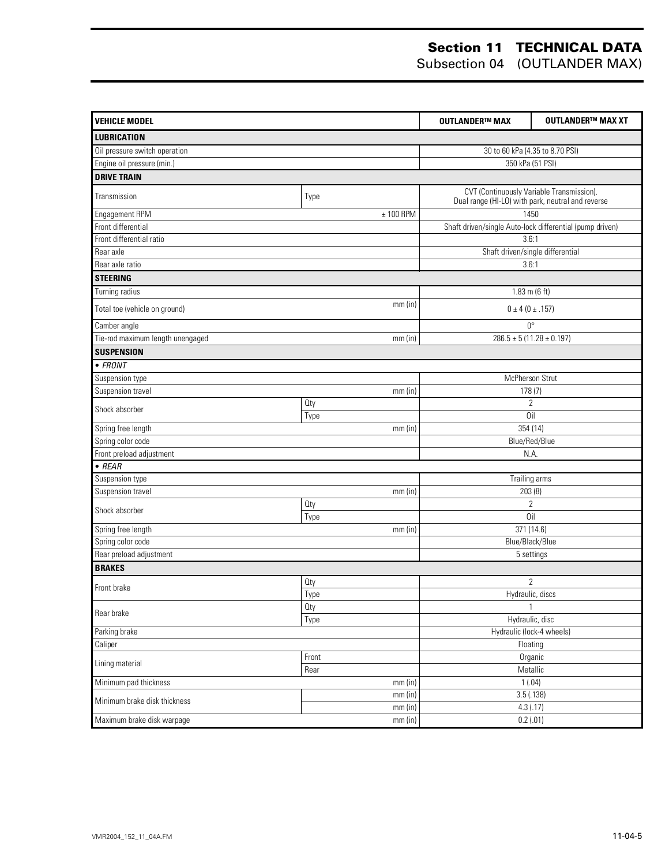| 30 to 60 kPa (4.35 to 8.70 PSI)<br>350 kPa (51 PSI)<br>CVT (Continuously Variable Transmission).<br>Type<br>Dual range (HI-LO) with park, neutral and reverse<br>1450<br>$± 100$ RPM<br>Front differential<br>Shaft driven/single Auto-lock differential (pump driven)<br>Front differential ratio<br>3.6:1<br>Rear axle<br>Shaft driven/single differential<br>Rear axle ratio<br>3.6:1<br><b>STEERING</b><br>Turning radius<br>$1.83 \text{ m}$ (6 ft)<br>mm(in)<br>$0 \pm 4 (0 \pm .157)$<br>$0^{\circ}$<br>Tie-rod maximum length unengaged<br>$286.5 \pm 5 (11.28 \pm 0.197)$<br>mm(in)<br>McPherson Strut<br>Suspension travel<br>mm(in)<br>178(7)<br><b>Qty</b><br>$\overline{2}$<br>Oil<br>Type<br>354 (14)<br>Spring free length<br>mm(in)<br>Spring color code<br>Blue/Red/Blue<br>Front preload adjustment<br>N.A.<br>Trailing arms<br>Suspension type<br>203(8)<br>mm(in)<br>$\sqrt{2}$<br>Qty<br>Shock absorber<br>Oil<br>Type<br>371 (14.6)<br>mm(in)<br>Spring color code<br>Blue/Black/Blue<br>Rear preload adjustment<br>5 settings<br>$\overline{2}$<br>Oty<br>Front brake<br>Type<br>Hydraulic, discs<br>Oty<br>1<br>Rear brake<br>Hydraulic, disc<br>Type<br>Hydraulic (lock-4 wheels)<br>Floating<br>Organic<br>Front<br>Lining material<br>Metallic<br>Rear<br>Minimum pad thickness<br>1(.04)<br>mm (in)<br>3.5(0.138)<br>mm (in)<br>4.3(.17)<br>mm (in) | <b>VEHICLE MODEL</b>          | <b>OUTLANDER™ MAX</b> | <b>OUTLANDER™ MAX XT</b> |  |  |
|---------------------------------------------------------------------------------------------------------------------------------------------------------------------------------------------------------------------------------------------------------------------------------------------------------------------------------------------------------------------------------------------------------------------------------------------------------------------------------------------------------------------------------------------------------------------------------------------------------------------------------------------------------------------------------------------------------------------------------------------------------------------------------------------------------------------------------------------------------------------------------------------------------------------------------------------------------------------------------------------------------------------------------------------------------------------------------------------------------------------------------------------------------------------------------------------------------------------------------------------------------------------------------------------------------------------------------------------------------------------------------|-------------------------------|-----------------------|--------------------------|--|--|
|                                                                                                                                                                                                                                                                                                                                                                                                                                                                                                                                                                                                                                                                                                                                                                                                                                                                                                                                                                                                                                                                                                                                                                                                                                                                                                                                                                                 | <b>LUBRICATION</b>            |                       |                          |  |  |
|                                                                                                                                                                                                                                                                                                                                                                                                                                                                                                                                                                                                                                                                                                                                                                                                                                                                                                                                                                                                                                                                                                                                                                                                                                                                                                                                                                                 | Oil pressure switch operation |                       |                          |  |  |
|                                                                                                                                                                                                                                                                                                                                                                                                                                                                                                                                                                                                                                                                                                                                                                                                                                                                                                                                                                                                                                                                                                                                                                                                                                                                                                                                                                                 | Engine oil pressure (min.)    |                       |                          |  |  |
|                                                                                                                                                                                                                                                                                                                                                                                                                                                                                                                                                                                                                                                                                                                                                                                                                                                                                                                                                                                                                                                                                                                                                                                                                                                                                                                                                                                 | <b>DRIVE TRAIN</b>            |                       |                          |  |  |
|                                                                                                                                                                                                                                                                                                                                                                                                                                                                                                                                                                                                                                                                                                                                                                                                                                                                                                                                                                                                                                                                                                                                                                                                                                                                                                                                                                                 | Transmission                  |                       |                          |  |  |
|                                                                                                                                                                                                                                                                                                                                                                                                                                                                                                                                                                                                                                                                                                                                                                                                                                                                                                                                                                                                                                                                                                                                                                                                                                                                                                                                                                                 | Engagement RPM                |                       |                          |  |  |
|                                                                                                                                                                                                                                                                                                                                                                                                                                                                                                                                                                                                                                                                                                                                                                                                                                                                                                                                                                                                                                                                                                                                                                                                                                                                                                                                                                                 |                               |                       |                          |  |  |
|                                                                                                                                                                                                                                                                                                                                                                                                                                                                                                                                                                                                                                                                                                                                                                                                                                                                                                                                                                                                                                                                                                                                                                                                                                                                                                                                                                                 |                               |                       |                          |  |  |
|                                                                                                                                                                                                                                                                                                                                                                                                                                                                                                                                                                                                                                                                                                                                                                                                                                                                                                                                                                                                                                                                                                                                                                                                                                                                                                                                                                                 |                               |                       |                          |  |  |
|                                                                                                                                                                                                                                                                                                                                                                                                                                                                                                                                                                                                                                                                                                                                                                                                                                                                                                                                                                                                                                                                                                                                                                                                                                                                                                                                                                                 |                               |                       |                          |  |  |
|                                                                                                                                                                                                                                                                                                                                                                                                                                                                                                                                                                                                                                                                                                                                                                                                                                                                                                                                                                                                                                                                                                                                                                                                                                                                                                                                                                                 |                               |                       |                          |  |  |
|                                                                                                                                                                                                                                                                                                                                                                                                                                                                                                                                                                                                                                                                                                                                                                                                                                                                                                                                                                                                                                                                                                                                                                                                                                                                                                                                                                                 |                               |                       |                          |  |  |
|                                                                                                                                                                                                                                                                                                                                                                                                                                                                                                                                                                                                                                                                                                                                                                                                                                                                                                                                                                                                                                                                                                                                                                                                                                                                                                                                                                                 | Total toe (vehicle on ground) |                       |                          |  |  |
|                                                                                                                                                                                                                                                                                                                                                                                                                                                                                                                                                                                                                                                                                                                                                                                                                                                                                                                                                                                                                                                                                                                                                                                                                                                                                                                                                                                 | Camber angle                  |                       |                          |  |  |
|                                                                                                                                                                                                                                                                                                                                                                                                                                                                                                                                                                                                                                                                                                                                                                                                                                                                                                                                                                                                                                                                                                                                                                                                                                                                                                                                                                                 |                               |                       |                          |  |  |
|                                                                                                                                                                                                                                                                                                                                                                                                                                                                                                                                                                                                                                                                                                                                                                                                                                                                                                                                                                                                                                                                                                                                                                                                                                                                                                                                                                                 | <b>SUSPENSION</b>             |                       |                          |  |  |
|                                                                                                                                                                                                                                                                                                                                                                                                                                                                                                                                                                                                                                                                                                                                                                                                                                                                                                                                                                                                                                                                                                                                                                                                                                                                                                                                                                                 | $\bullet$ FRONT               |                       |                          |  |  |
|                                                                                                                                                                                                                                                                                                                                                                                                                                                                                                                                                                                                                                                                                                                                                                                                                                                                                                                                                                                                                                                                                                                                                                                                                                                                                                                                                                                 | Suspension type               |                       |                          |  |  |
|                                                                                                                                                                                                                                                                                                                                                                                                                                                                                                                                                                                                                                                                                                                                                                                                                                                                                                                                                                                                                                                                                                                                                                                                                                                                                                                                                                                 |                               |                       |                          |  |  |
|                                                                                                                                                                                                                                                                                                                                                                                                                                                                                                                                                                                                                                                                                                                                                                                                                                                                                                                                                                                                                                                                                                                                                                                                                                                                                                                                                                                 | Shock absorber                |                       |                          |  |  |
|                                                                                                                                                                                                                                                                                                                                                                                                                                                                                                                                                                                                                                                                                                                                                                                                                                                                                                                                                                                                                                                                                                                                                                                                                                                                                                                                                                                 |                               |                       |                          |  |  |
|                                                                                                                                                                                                                                                                                                                                                                                                                                                                                                                                                                                                                                                                                                                                                                                                                                                                                                                                                                                                                                                                                                                                                                                                                                                                                                                                                                                 |                               |                       |                          |  |  |
|                                                                                                                                                                                                                                                                                                                                                                                                                                                                                                                                                                                                                                                                                                                                                                                                                                                                                                                                                                                                                                                                                                                                                                                                                                                                                                                                                                                 |                               |                       |                          |  |  |
|                                                                                                                                                                                                                                                                                                                                                                                                                                                                                                                                                                                                                                                                                                                                                                                                                                                                                                                                                                                                                                                                                                                                                                                                                                                                                                                                                                                 | $\bullet$ REAR                |                       |                          |  |  |
|                                                                                                                                                                                                                                                                                                                                                                                                                                                                                                                                                                                                                                                                                                                                                                                                                                                                                                                                                                                                                                                                                                                                                                                                                                                                                                                                                                                 |                               |                       |                          |  |  |
|                                                                                                                                                                                                                                                                                                                                                                                                                                                                                                                                                                                                                                                                                                                                                                                                                                                                                                                                                                                                                                                                                                                                                                                                                                                                                                                                                                                 | Suspension travel             |                       |                          |  |  |
|                                                                                                                                                                                                                                                                                                                                                                                                                                                                                                                                                                                                                                                                                                                                                                                                                                                                                                                                                                                                                                                                                                                                                                                                                                                                                                                                                                                 |                               |                       |                          |  |  |
|                                                                                                                                                                                                                                                                                                                                                                                                                                                                                                                                                                                                                                                                                                                                                                                                                                                                                                                                                                                                                                                                                                                                                                                                                                                                                                                                                                                 |                               |                       |                          |  |  |
|                                                                                                                                                                                                                                                                                                                                                                                                                                                                                                                                                                                                                                                                                                                                                                                                                                                                                                                                                                                                                                                                                                                                                                                                                                                                                                                                                                                 | Spring free length            |                       |                          |  |  |
|                                                                                                                                                                                                                                                                                                                                                                                                                                                                                                                                                                                                                                                                                                                                                                                                                                                                                                                                                                                                                                                                                                                                                                                                                                                                                                                                                                                 |                               |                       |                          |  |  |
|                                                                                                                                                                                                                                                                                                                                                                                                                                                                                                                                                                                                                                                                                                                                                                                                                                                                                                                                                                                                                                                                                                                                                                                                                                                                                                                                                                                 |                               |                       |                          |  |  |
|                                                                                                                                                                                                                                                                                                                                                                                                                                                                                                                                                                                                                                                                                                                                                                                                                                                                                                                                                                                                                                                                                                                                                                                                                                                                                                                                                                                 | <b>BRAKES</b>                 |                       |                          |  |  |
|                                                                                                                                                                                                                                                                                                                                                                                                                                                                                                                                                                                                                                                                                                                                                                                                                                                                                                                                                                                                                                                                                                                                                                                                                                                                                                                                                                                 |                               |                       |                          |  |  |
|                                                                                                                                                                                                                                                                                                                                                                                                                                                                                                                                                                                                                                                                                                                                                                                                                                                                                                                                                                                                                                                                                                                                                                                                                                                                                                                                                                                 |                               |                       |                          |  |  |
|                                                                                                                                                                                                                                                                                                                                                                                                                                                                                                                                                                                                                                                                                                                                                                                                                                                                                                                                                                                                                                                                                                                                                                                                                                                                                                                                                                                 |                               |                       |                          |  |  |
|                                                                                                                                                                                                                                                                                                                                                                                                                                                                                                                                                                                                                                                                                                                                                                                                                                                                                                                                                                                                                                                                                                                                                                                                                                                                                                                                                                                 |                               |                       |                          |  |  |
|                                                                                                                                                                                                                                                                                                                                                                                                                                                                                                                                                                                                                                                                                                                                                                                                                                                                                                                                                                                                                                                                                                                                                                                                                                                                                                                                                                                 | Parking brake                 |                       |                          |  |  |
|                                                                                                                                                                                                                                                                                                                                                                                                                                                                                                                                                                                                                                                                                                                                                                                                                                                                                                                                                                                                                                                                                                                                                                                                                                                                                                                                                                                 | Caliper                       |                       |                          |  |  |
|                                                                                                                                                                                                                                                                                                                                                                                                                                                                                                                                                                                                                                                                                                                                                                                                                                                                                                                                                                                                                                                                                                                                                                                                                                                                                                                                                                                 |                               |                       |                          |  |  |
|                                                                                                                                                                                                                                                                                                                                                                                                                                                                                                                                                                                                                                                                                                                                                                                                                                                                                                                                                                                                                                                                                                                                                                                                                                                                                                                                                                                 |                               |                       |                          |  |  |
|                                                                                                                                                                                                                                                                                                                                                                                                                                                                                                                                                                                                                                                                                                                                                                                                                                                                                                                                                                                                                                                                                                                                                                                                                                                                                                                                                                                 |                               |                       |                          |  |  |
|                                                                                                                                                                                                                                                                                                                                                                                                                                                                                                                                                                                                                                                                                                                                                                                                                                                                                                                                                                                                                                                                                                                                                                                                                                                                                                                                                                                 | Minimum brake disk thickness  |                       |                          |  |  |
|                                                                                                                                                                                                                                                                                                                                                                                                                                                                                                                                                                                                                                                                                                                                                                                                                                                                                                                                                                                                                                                                                                                                                                                                                                                                                                                                                                                 | Maximum brake disk warpage    | mm (in)               | 0.2(.01)                 |  |  |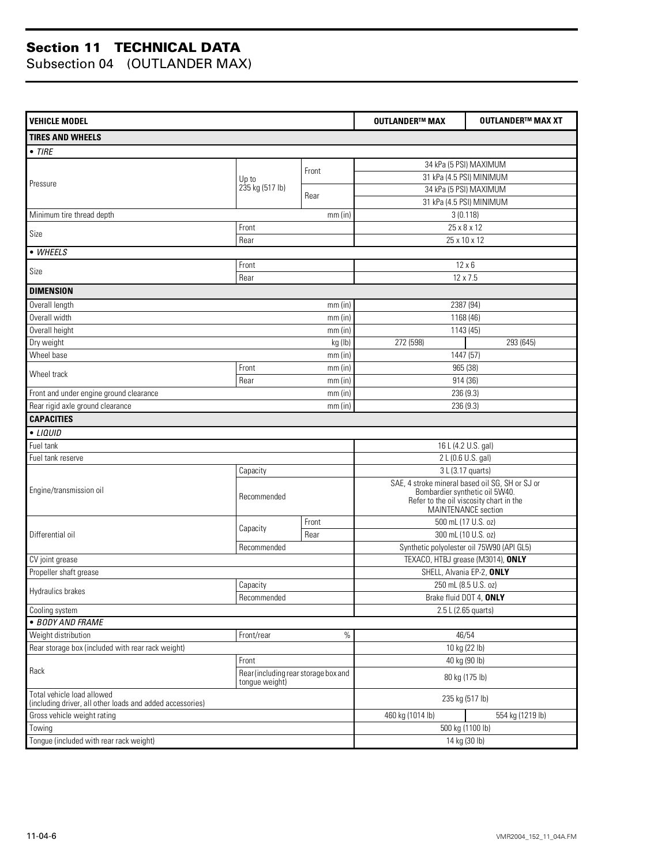| <b>VEHICLE MODEL</b>                                                                                      |                                               |                                           | <b>OUTLANDER™ MAX</b>                                                                                                        | <b>OUTLANDER™ MAX XT</b> |
|-----------------------------------------------------------------------------------------------------------|-----------------------------------------------|-------------------------------------------|------------------------------------------------------------------------------------------------------------------------------|--------------------------|
| <b>TIRES AND WHEELS</b>                                                                                   |                                               |                                           |                                                                                                                              |                          |
| $\bullet$ TIRE                                                                                            |                                               |                                           |                                                                                                                              |                          |
|                                                                                                           |                                               |                                           | 34 kPa (5 PSI) MAXIMUM                                                                                                       |                          |
|                                                                                                           | Up to                                         | Front                                     | 31 kPa (4.5 PSI) MINIMUM                                                                                                     |                          |
| Pressure                                                                                                  | 235 kg (517 lb)                               |                                           | 34 kPa (5 PSI) MAXIMUM                                                                                                       |                          |
|                                                                                                           |                                               | Rear                                      | 31 kPa (4.5 PSI) MINIMUM                                                                                                     |                          |
| Minimum tire thread depth                                                                                 |                                               | mm(in)                                    | 3(0.118)                                                                                                                     |                          |
| Size                                                                                                      | Front                                         |                                           | 25 x 8 x 12                                                                                                                  |                          |
|                                                                                                           | Rear                                          |                                           | 25 x 10 x 12                                                                                                                 |                          |
| • WHEELS                                                                                                  |                                               |                                           |                                                                                                                              |                          |
| Size                                                                                                      | Front                                         |                                           | $12 \times 6$                                                                                                                |                          |
|                                                                                                           | Rear                                          |                                           | 12 x 7.5                                                                                                                     |                          |
| <b>DIMENSION</b>                                                                                          |                                               |                                           |                                                                                                                              |                          |
| Overall length                                                                                            |                                               | $mm$ (in)                                 |                                                                                                                              | 2387 (94)                |
| Overall width                                                                                             |                                               | mm(in)                                    |                                                                                                                              | 1168 (46)                |
| Overall height                                                                                            |                                               | $mm$ (in)                                 |                                                                                                                              | 1143 (45)                |
| Dry weight                                                                                                |                                               | kg (lb)                                   | 272 (598)                                                                                                                    | 293 (645)                |
| Wheel base                                                                                                |                                               | mm(in)                                    |                                                                                                                              | 1447 (57)                |
| Wheel track                                                                                               | Front<br>Rear                                 | $mm$ (in)<br>mm(in)                       | 965 (38)                                                                                                                     |                          |
| Front and under engine ground clearance                                                                   |                                               | mm(in)                                    | 914 (36)<br>236 (9.3)                                                                                                        |                          |
| Rear rigid axle ground clearance                                                                          |                                               | mm(in)                                    | 236 (9.3)                                                                                                                    |                          |
| <b>CAPACITIES</b>                                                                                         |                                               |                                           |                                                                                                                              |                          |
| • LIQUID                                                                                                  |                                               |                                           |                                                                                                                              |                          |
| Fuel tank                                                                                                 |                                               |                                           |                                                                                                                              | 16 L (4.2 U.S. gal)      |
| Fuel tank reserve                                                                                         |                                               |                                           |                                                                                                                              | 2 L (0.6 U.S. gal)       |
|                                                                                                           | Capacity                                      |                                           |                                                                                                                              | 3 L (3.17 quarts)        |
| Engine/transmission oil                                                                                   | Recommended                                   |                                           | SAE, 4 stroke mineral based oil SG, SH or SJ or<br>Bombardier synthetic oil 5W40.<br>Refer to the oil viscosity chart in the |                          |
|                                                                                                           |                                               |                                           | MAINTENANCE section                                                                                                          |                          |
|                                                                                                           |                                               | Front                                     |                                                                                                                              | 500 mL (17 U.S. oz)      |
| Differential oil                                                                                          | Capacity                                      | Rear                                      | 300 mL (10 U.S. oz)                                                                                                          |                          |
|                                                                                                           | Recommended                                   | Synthetic polyolester oil 75W90 (API GL5) |                                                                                                                              |                          |
| CV joint grease                                                                                           |                                               |                                           | TEXACO, HTBJ grease (M3014), ONLY                                                                                            |                          |
| Propeller shaft grease                                                                                    |                                               |                                           | SHELL, Alvania EP-2, ONLY                                                                                                    |                          |
| <b>Hydraulics brakes</b>                                                                                  | Capacity                                      |                                           | 250 mL (8.5 U.S. oz)                                                                                                         |                          |
|                                                                                                           | Recommended                                   |                                           | Brake fluid DOT 4, ONLY                                                                                                      |                          |
| Cooling system                                                                                            |                                               |                                           | 2.5 L (2.65 quarts)                                                                                                          |                          |
| · BODY AND FRAME                                                                                          |                                               |                                           |                                                                                                                              |                          |
| Weight distribution                                                                                       | Front/rear                                    | $\%$                                      |                                                                                                                              | 46/54                    |
| Rear storage box (included with rear rack weight)                                                         |                                               |                                           | 10 kg (22 lb)                                                                                                                |                          |
| Rack                                                                                                      | Front<br>Rear (including rear storage box and |                                           | 40 kg (90 lb)<br>80 kg (175 lb)                                                                                              |                          |
| tongue weight)<br>Total vehicle load allowed<br>(including driver, all other loads and added accessories) |                                               | 235 kg (517 lb)                           |                                                                                                                              |                          |
| Gross vehicle weight rating                                                                               |                                               |                                           | 460 kg (1014 lb)                                                                                                             | 554 kg (1219 lb)         |
| Towing                                                                                                    |                                               |                                           | 500 kg (1100 lb)                                                                                                             |                          |
| Tongue (included with rear rack weight)                                                                   |                                               |                                           |                                                                                                                              | 14 kg (30 lb)            |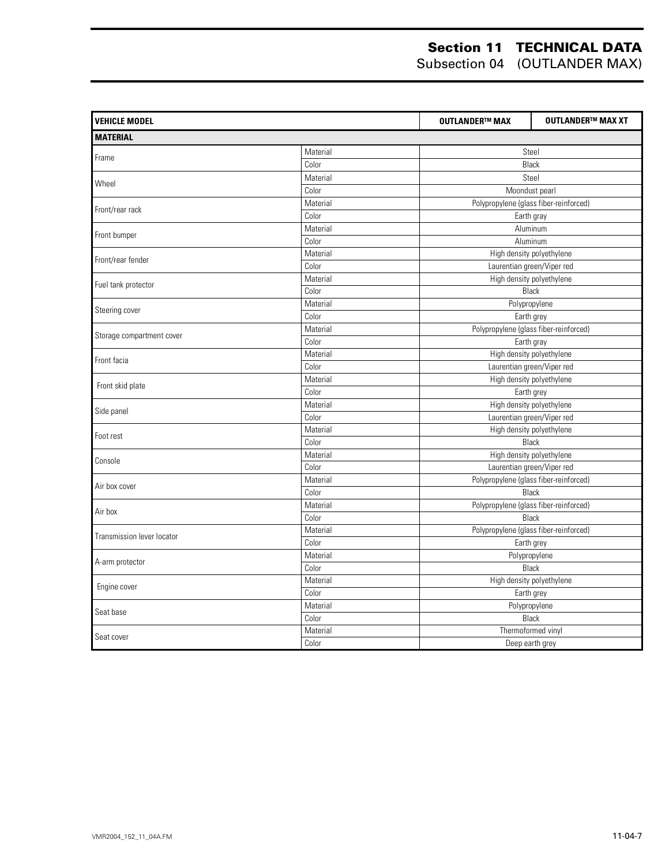| <b>VEHICLE MODEL</b>       |          | <b>OUTLANDER™ MAX</b> | <b>OUTLANDER™ MAX XT</b>               |  |  |
|----------------------------|----------|-----------------------|----------------------------------------|--|--|
| <b>MATERIAL</b>            |          |                       |                                        |  |  |
| Frame                      | Material |                       | Steel                                  |  |  |
|                            | Color    |                       | Black                                  |  |  |
|                            | Material |                       | Steel                                  |  |  |
| Wheel                      | Color    |                       | Moondust pearl                         |  |  |
|                            | Material |                       | Polypropylene (glass fiber-reinforced) |  |  |
| Front/rear rack            | Color    |                       | Earth gray                             |  |  |
|                            | Material |                       | Aluminum                               |  |  |
| Front bumper               | Color    |                       | Aluminum                               |  |  |
|                            | Material |                       | High density polyethylene              |  |  |
| Front/rear fender          | Color    |                       | Laurentian green/Viper red             |  |  |
| Fuel tank protector        | Material |                       | High density polyethylene              |  |  |
|                            | Color    |                       | <b>Black</b>                           |  |  |
| Steering cover             | Material |                       | Polypropylene                          |  |  |
|                            | Color    |                       | Earth grey                             |  |  |
| Storage compartment cover  | Material |                       | Polypropylene (glass fiber-reinforced) |  |  |
|                            | Color    |                       | Earth gray                             |  |  |
| Front facia                | Material |                       | High density polyethylene              |  |  |
|                            | Color    |                       | Laurentian green/Viper red             |  |  |
| Front skid plate           | Material |                       | High density polyethylene              |  |  |
|                            | Color    |                       | Earth grey                             |  |  |
| Side panel                 | Material |                       | High density polyethylene              |  |  |
|                            | Color    |                       | Laurentian green/Viper red             |  |  |
| Foot rest                  | Material |                       | High density polyethylene              |  |  |
|                            | Color    |                       | Black                                  |  |  |
| Console                    | Material |                       | High density polyethylene              |  |  |
|                            | Color    |                       | Laurentian green/Viper red             |  |  |
| Air box cover              | Material |                       | Polypropylene (glass fiber-reinforced) |  |  |
|                            | Color    |                       | <b>Black</b>                           |  |  |
| Air box                    | Material |                       | Polypropylene (glass fiber-reinforced) |  |  |
|                            | Color    |                       | Black                                  |  |  |
| Transmission lever locator | Material |                       | Polypropylene (glass fiber-reinforced) |  |  |
|                            | Color    |                       | Earth grey                             |  |  |
| A-arm protector            | Material |                       | Polypropylene                          |  |  |
|                            | Color    |                       | Black                                  |  |  |
| Engine cover               | Material |                       | High density polyethylene              |  |  |
|                            | Color    |                       | Earth grey                             |  |  |
| Seat base                  | Material |                       | Polypropylene                          |  |  |
|                            | Color    |                       | <b>Black</b>                           |  |  |
| Seat cover                 | Material |                       | Thermoformed vinyl                     |  |  |
|                            | Color    |                       | Deep earth grey                        |  |  |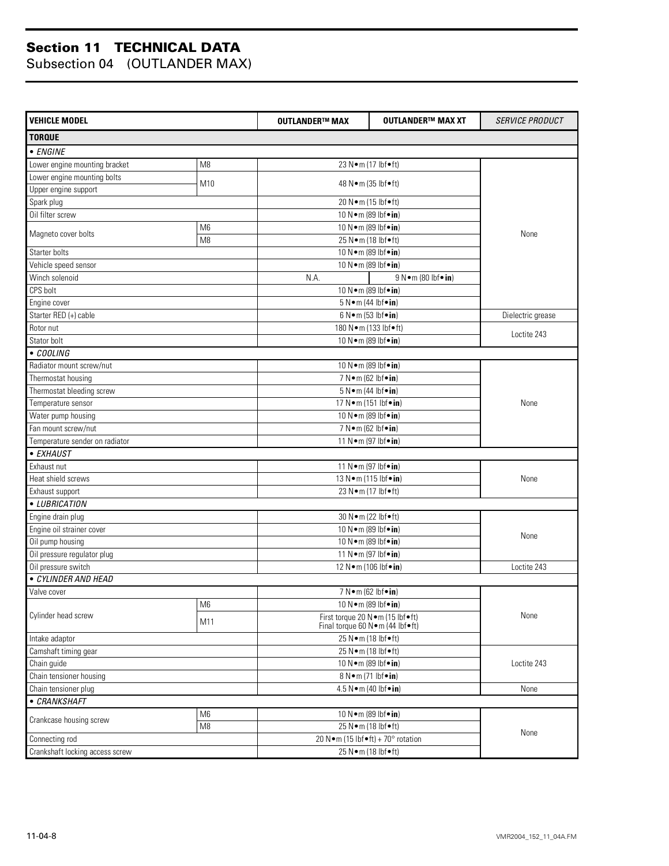| <b>VEHICLE MODEL</b>            |                | <b>OUTLANDER™ MAX</b>              | <b>OUTLANDER™ MAX XT</b>                                                   | <b>SERVICE PRODUCT</b> |  |
|---------------------------------|----------------|------------------------------------|----------------------------------------------------------------------------|------------------------|--|
| <b>TORQUE</b>                   |                |                                    |                                                                            |                        |  |
| • ENGINE                        |                |                                    |                                                                            |                        |  |
| Lower engine mounting bracket   | M <sub>8</sub> |                                    | 23 N · m (17 lbf • ft)                                                     |                        |  |
| Lower engine mounting bolts     |                |                                    |                                                                            |                        |  |
| Upper engine support            | M10            |                                    | 48 N • m (35 lbf • ft)                                                     |                        |  |
| Spark plug                      |                |                                    | 20 N · m (15 lbf • ft)                                                     |                        |  |
| Oil filter screw                |                |                                    | 10 N · m (89 lbf · in)                                                     |                        |  |
|                                 | M <sub>6</sub> |                                    | 10 N•m (89 lbf•in)                                                         |                        |  |
| Magneto cover bolts             | M <sub>8</sub> |                                    | 25 N•m (18 lbf•ft)                                                         |                        |  |
| Starter bolts                   |                |                                    | 10 N · m (89 lbf · in)                                                     |                        |  |
| Vehicle speed sensor            |                |                                    | 10 N · m (89 lbf · in)                                                     |                        |  |
| Winch solenoid                  |                | N.A.                               | $9 N \cdot m (80 h f \cdot in)$                                            |                        |  |
| CPS bolt                        |                | 10 N · m (89 lbf · in)             |                                                                            |                        |  |
| Engine cover                    |                | $5 N \cdot m$ (44 lbf $\cdot in$ ) |                                                                            |                        |  |
| Starter RED (+) cable           |                | $6 N \cdot m (53 lbf \cdot in)$    |                                                                            | Dielectric grease      |  |
| Rotor nut                       |                | 180 N · m (133 lbf · ft)           |                                                                            |                        |  |
| Stator bolt                     |                | 10 N•m (89 lbf•in)                 |                                                                            | Loctite 243            |  |
| • COOLING                       |                |                                    |                                                                            |                        |  |
| Radiator mount screw/nut        |                | 10 N · m (89 lbf · in)             |                                                                            |                        |  |
| Thermostat housing              |                | 7 N • m (62 lbf • in)              |                                                                            |                        |  |
| Thermostat bleeding screw       |                | $5 N \cdot m$ (44 lbf $\cdot$ in)  |                                                                            |                        |  |
| Temperature sensor              |                | 17 N • m (151 lbf • in)            |                                                                            | None                   |  |
| Water pump housing              |                |                                    | 10 N · m (89 lbf · in)                                                     |                        |  |
| Fan mount screw/nut             |                | 7 N • m (62 lbf • in)              |                                                                            |                        |  |
| Temperature sender on radiator  |                | 11 N • m (97 lbf • in)             |                                                                            |                        |  |
| • EXHAUST                       |                |                                    |                                                                            |                        |  |
| Exhaust nut                     |                | 11 N · m (97 lbf · in)             |                                                                            |                        |  |
| Heat shield screws              |                | 13 N · m (115 lbf · in)            |                                                                            | None                   |  |
| Exhaust support                 |                | 23 N · m (17 lbf • ft)             |                                                                            |                        |  |
| • LUBRICATION                   |                |                                    |                                                                            |                        |  |
| Engine drain plug               |                | 30 N · m (22 lbf • ft)             |                                                                            | None                   |  |
| Engine oil strainer cover       |                | 10 N•m (89 lbf•in)                 |                                                                            |                        |  |
| Oil pump housing                |                | 10 N · m (89 lbf · in)             |                                                                            |                        |  |
| Oil pressure regulator plug     |                |                                    | 11 N • m (97 lbf • in)                                                     |                        |  |
| Oil pressure switch             |                | 12 N • m (106 lbf • in)            |                                                                            | Loctite 243            |  |
| · CYLINDER AND HEAD             |                |                                    |                                                                            |                        |  |
| Valve cover                     |                | 7 N • m (62 lbf • in)              |                                                                            |                        |  |
|                                 | M6             |                                    | 10 N · m (89 lbf · in)                                                     |                        |  |
| Cylinder head screw             | M11            |                                    | First torque 20 N · m (15 lbf · ft)<br>Final torque 60 N · m (44 lbf • ft) |                        |  |
| Intake adaptor                  |                | 25 N · m (18 lbf • ft)             |                                                                            |                        |  |
| Camshaft timing gear            |                | 25 N•m (18 lbf•ft)                 |                                                                            |                        |  |
| Chain guide                     |                | 10 N · m (89 lbf · in)             |                                                                            | Loctite 243            |  |
| Chain tensioner housing         |                |                                    | 8 N•m (71 lbf•in)                                                          |                        |  |
| Chain tensioner plug            |                | 4.5 N•m (40 lbf•in)                |                                                                            | None                   |  |
| • CRANKSHAFT                    |                |                                    |                                                                            |                        |  |
| Crankcase housing screw         | M <sub>6</sub> | 10 N · m (89 lbf · in)             |                                                                            |                        |  |
|                                 | M <sub>8</sub> |                                    | 25 N · m (18 lbf • ft)                                                     |                        |  |
| Connecting rod                  |                | 20 N•m (15 lbf•ft) + 70° rotation  |                                                                            | None                   |  |
| Crankshaft locking access screw |                | 25 N•m (18 lbf•ft)                 |                                                                            |                        |  |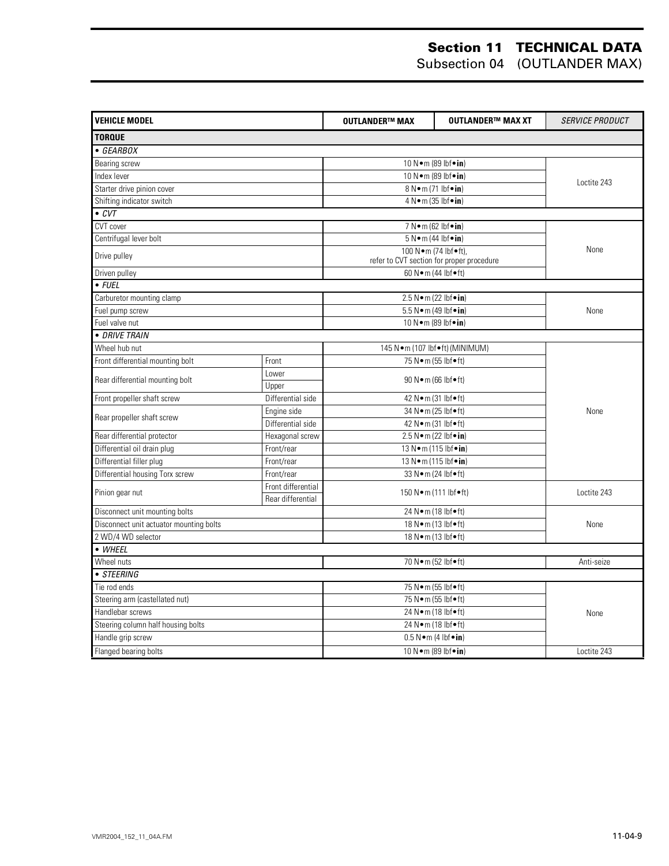| <b>VEHICLE MODEL</b>                    |                    | <b>OUTLANDER™ MAX</b>                            | <b>OUTLANDER™ MAX XT</b>                                          | <b>SERVICE PRODUCT</b> |
|-----------------------------------------|--------------------|--------------------------------------------------|-------------------------------------------------------------------|------------------------|
| <b>TORQUE</b>                           |                    |                                                  |                                                                   |                        |
| • GEARBOX                               |                    |                                                  |                                                                   |                        |
| Bearing screw                           |                    |                                                  | 10 N • m (89 lbf • in)                                            |                        |
| Index lever                             |                    |                                                  | 10 N • m (89 lbf • in)                                            |                        |
| Starter drive pinion cover              |                    |                                                  | 8 N•m (71 lbf•in)                                                 | Loctite 243            |
| Shifting indicator switch               |                    | 4 N•m (35 lbf•in)                                |                                                                   |                        |
| $\overline{\cdot$ CVT                   |                    |                                                  |                                                                   |                        |
| CVT cover                               |                    | 7 N • m (62 lbf • in)                            |                                                                   |                        |
| Centrifugal lever bolt                  |                    | $5 N \cdot m (44 lbf \cdot in)$                  |                                                                   |                        |
| Drive pulley                            |                    |                                                  | 100 N.m (74 lbf.ft),<br>refer to CVT section for proper procedure | None                   |
| Driven pulley                           |                    |                                                  | 60 N · m (44 lbf • ft)                                            |                        |
| $\bullet$ FUEL                          |                    |                                                  |                                                                   |                        |
| Carburetor mounting clamp               |                    |                                                  | 2.5 $N \cdot m$ (22 lbf $\cdot in$ )                              |                        |
| Fuel pump screw                         |                    |                                                  | 5.5 N · m (49 lbf · in)                                           | None                   |
| Fuel valve nut                          |                    |                                                  | 10 N • m (89 lbf • in)                                            |                        |
| • DRIVE TRAIN                           |                    |                                                  |                                                                   |                        |
| Wheel hub nut                           |                    |                                                  | 145 N · m (107 lbf • ft) (MINIMUM)                                |                        |
| Front differential mounting bolt        | Front              |                                                  | 75 N • m (55 lbf • ft)                                            |                        |
| Rear differential mounting bolt         | Lower<br>Upper     |                                                  | 90 N • m (66 lbf • ft)                                            |                        |
| Front propeller shaft screw             | Differential side  |                                                  | 42 N • m (31 lbf • ft)                                            |                        |
|                                         | Engine side        |                                                  | 34 N · m (25 lbf • ft)                                            | None                   |
| Rear propeller shaft screw              | Differential side  |                                                  | 42 N · m (31 lbf · ft)                                            |                        |
| Rear differential protector             | Hexagonal screw    |                                                  | 2.5 N•m (22 lbf•in)                                               |                        |
| Differential oil drain plug             | Front/rear         |                                                  | 13 N • m (115 lbf • in)                                           |                        |
| Differential filler plug                | Front/rear         |                                                  | 13 N · m (115 lbf · in)                                           |                        |
| Differential housing Torx screw         | Front/rear         |                                                  | 33 N · m (24 lbf • ft)                                            |                        |
|                                         | Front differential |                                                  |                                                                   |                        |
| Pinion gear nut                         | Rear differential  | 150 N•m (111 lbf•ft)                             |                                                                   | Loctite 243            |
| Disconnect unit mounting bolts          |                    |                                                  | 24 N · m (18 lbf • ft)                                            |                        |
| Disconnect unit actuator mounting bolts |                    | 18 N · m (13 lbf • ft)<br>18 N · m (13 lbf • ft) |                                                                   | None                   |
| 2 WD/4 WD selector                      |                    |                                                  |                                                                   |                        |
| • WHEEL                                 |                    |                                                  |                                                                   |                        |
| Wheel nuts                              |                    |                                                  | 70 N · m (52 lbf · ft)                                            | Anti-seize             |
| • STEERING                              |                    |                                                  |                                                                   |                        |
| Tie rod ends                            |                    |                                                  | 75 N•m (55 lbf•ft)                                                |                        |
| Steering arm (castellated nut)          |                    | 75 N•m (55 lbf•ft)<br>24 Nom (18 lbfoft)         |                                                                   | None                   |
| Handlebar screws                        |                    |                                                  |                                                                   |                        |
| Steering column half housing bolts      |                    |                                                  | 24 N · m (18 lbf · ft)                                            |                        |
| Handle grip screw                       |                    |                                                  | $0.5 N \cdot m$ (4 lbf $\cdot in$ )                               |                        |
| Flanged bearing bolts                   |                    | 10 N • m (89 lbf • in)                           |                                                                   | Loctite 243            |